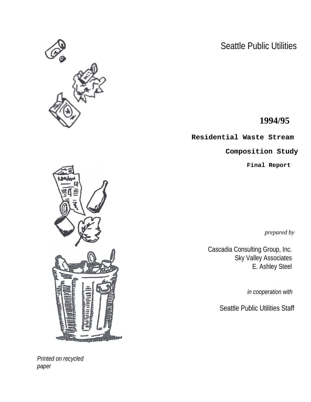

Seattle Public Utilities

## **1994/95**

**Residential Waste Stream**

**Composition Study**

**Final Report**

*prepared by*

Cascadia Consulting Group, Inc. Sky Valley Associates E. Ashley Steel

*in cooperation with*

Seattle Public Utilities Staff



*Printed on recycled paper*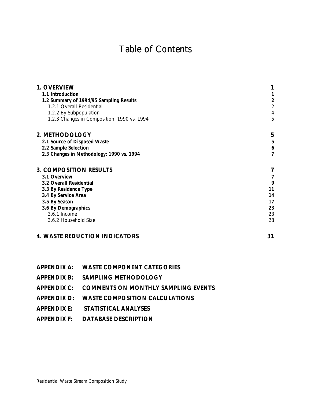# Table of Contents

| 1. OVERVIEW                                 | 1              |
|---------------------------------------------|----------------|
| 1.1 Introduction                            |                |
| 1.2 Summary of 1994/95 Sampling Results     | $\overline{c}$ |
| 1.2.1 Overall Residential                   | $\overline{2}$ |
| 1.2.2 By Subpopulation                      | $\overline{4}$ |
| 1.2.3 Changes in Composition, 1990 vs. 1994 | 5              |
| 2. METHODOLOGY                              | 5              |
| 2.1 Source of Disposed Waste                | 5              |
| 2.2 Sample Selection                        | 6              |
| 2.3 Changes in Methodology: 1990 vs. 1994   | 7              |
| <b>3. COMPOSITION RESULTS</b>               | 7              |
| 3.1 Overview                                | 7              |
| <b>3.2 Overall Residential</b>              | 9              |
| 3.3 By Residence Type                       | 11             |
| 3.4 By Service Area                         | 14             |
| 3.5 By Season                               | 17             |
| 3.6 By Demographics                         | 23             |
| 3.6.1 Income                                | 23             |
| 3.6.2 Household Size                        | 28             |
|                                             |                |

### **4. WASTE REDUCTION INDICATORS 31**

- **APPENDIX A: WASTE COMPONENT CATEGORIES**
- **APPENDIX B: SAMPLING METHODOLOGY**
- **APPENDIX C: COMMENTS ON MONTHLY SAMPLING EVENTS**
- **APPENDIX D: WASTE COMPOSITION CALCULATIONS**
- **APPENDIX E: STATISTICAL ANALYSES**
- **APPENDIX F: DATABASE DESCRIPTION**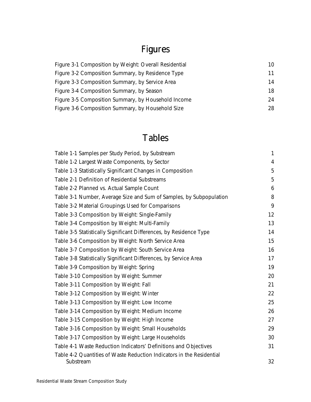# Figures

| Figure 3-1 Composition by Weight: Overall Residential | 10 |
|-------------------------------------------------------|----|
| Figure 3-2 Composition Summary, by Residence Type     | 11 |
| Figure 3-3 Composition Summary, by Service Area       | 14 |
| Figure 3-4 Composition Summary, by Season             | 18 |
| Figure 3-5 Composition Summary, by Household Income   | 24 |
| Figure 3-6 Composition Summary, by Household Size     | 28 |

# Tables

| Table 1-1 Samples per Study Period, by Substream                                   | $\mathbf{1}$   |
|------------------------------------------------------------------------------------|----------------|
| Table 1-2 Largest Waste Components, by Sector                                      | $\overline{4}$ |
| Table 1-3 Statistically Significant Changes in Composition                         | 5              |
| Table 2-1 Definition of Residential Substreams                                     | 5              |
| Table 2-2 Planned vs. Actual Sample Count                                          | 6              |
| Table 3-1 Number, Average Size and Sum of Samples, by Subpopulation                | 8              |
| Table 3-2 Material Groupings Used for Comparisons                                  | 9              |
| Table 3-3 Composition by Weight: Single-Family                                     | 12             |
| Table 3-4 Composition by Weight: Multi-Family                                      | 13             |
| Table 3-5 Statistically Significant Differences, by Residence Type                 | 14             |
| Table 3-6 Composition by Weight: North Service Area                                | 15             |
| Table 3-7 Composition by Weight: South Service Area                                | 16             |
| Table 3-8 Statistically Significant Differences, by Service Area                   | 17             |
| Table 3-9 Composition by Weight: Spring                                            | 19             |
| Table 3-10 Composition by Weight: Summer                                           | 20             |
| Table 3-11 Composition by Weight: Fall                                             | 21             |
| Table 3-12 Composition by Weight: Winter                                           | 22             |
| Table 3-13 Composition by Weight: Low Income                                       | 25             |
| Table 3-14 Composition by Weight: Medium Income                                    | 26             |
| Table 3-15 Composition by Weight: High Income                                      | 27             |
| Table 3-16 Composition by Weight: Small Households                                 | 29             |
| Table 3-17 Composition by Weight: Large Households                                 | 30             |
| Table 4-1 Waste Reduction Indicators' Definitions and Objectives                   | 31             |
| Table 4-2 Quantities of Waste Reduction Indicators in the Residential<br>Substream | 32             |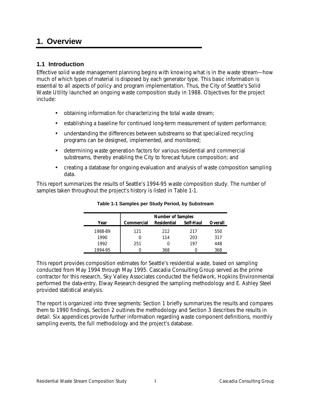## **1. Overview**

### **1.1 Introduction**

Effective solid waste management planning begins with knowing what is in the waste stream—how much of which types of material is disposed by each generator type*.* This basic information is essential to all aspects of policy and program implementation. Thus, the City of Seattle's Solid Waste Utility launched an ongoing waste composition study in 1988. Objectives for the project include:

- obtaining information for characterizing the total waste stream;
- establishing a baseline for continued long-term measurement of system performance;
- understanding the differences between substreams so that specialized recycling programs can be designed, implemented, and monitored;
- determining waste generation factors for various residential and commercial substreams, thereby enabling the City to forecast future composition; and
- creating a database for ongoing evaluation and analysis of waste composition sampling data.

This report summarizes the results of Seattle's 1994-95 waste composition study. The number of samples taken throughout the project's history is listed in Table 1-1.

|         |            | <b>Number of Samples</b> |           |         |
|---------|------------|--------------------------|-----------|---------|
| Year    | Commercial | <b>Residential</b>       | Self-Haul | Overall |
| 1988-89 | 121        | 212                      | 217       | 550     |
| 1990    |            | 114                      | 203       | 317     |
| 1992    | 251        |                          | 197       | 448     |
| 1994-95 |            | 368                      |           | 368     |

**Table 1-1 Samples per Study Period, by Substream**

This report provides composition estimates for Seattle's residential waste, based on sampling conducted from May 1994 through May 1995. Cascadia Consulting Group served as the prime contractor for this research, Sky Valley Associates conducted the fieldwork, Hopkins Environmental performed the data-entry, Elway Research designed the sampling methodology and E. Ashley Steel provided statistical analysis.

The report is organized into three segments: Section 1 briefly summarizes the results and compares them to 1990 findings, Section 2 outlines the methodology and Section 3 describes the results in detail. Six appendices provide further information regarding waste component definitions, monthly sampling events, the full methodology and the project's database.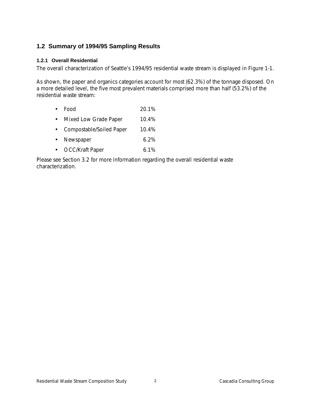### **1.2 Summary of 1994/95 Sampling Results**

### **1.2.1 Overall Residential**

The overall characterization of Seattle's 1994/95 residential waste stream is displayed in Figure 1-1.

As shown, the paper and organics categories account for most (62.3%) of the tonnage disposed. On a more detailed level, the five most prevalent materials comprised more than half (53.2%) of the residential waste stream:

- Food 20.1%
- Mixed Low Grade Paper 10.4%
- Compostable/Soiled Paper 10.4%
- Newspaper 6.2%
- OCC/Kraft Paper 6.1%

Please see Section 3.2 for more information regarding the overall residential waste characterization.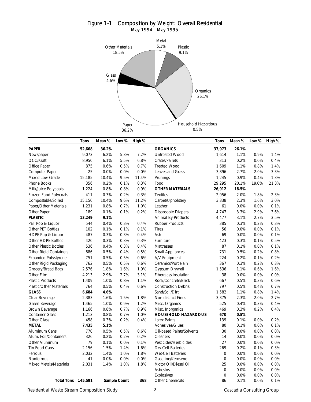

### Figure 1-1 Composition by Weight: Overall Residential May 1994 - May 1995

|                               | Tons    | Mean % | Low %        | High % |                            | <b>Tons</b>    | Mean % | Low % | High % |
|-------------------------------|---------|--------|--------------|--------|----------------------------|----------------|--------|-------|--------|
| <b>PAPER</b>                  | 52,668  | 36.2%  |              |        | <b>ORGANICS</b>            | 37,973         | 26.1%  |       |        |
| Newspaper                     | 9,073   | 6.2%   | 5.3%         | 7.2%   | Untreated Wood             | 1,614          | 1.1%   | 0.9%  | 1.4%   |
| OCC/Kraft                     | 8,950   | 6.1%   | 5.5%         | 6.8%   | <b>Crates/Pallets</b>      | 313            | 0.2%   | 0.0%  | 0.4%   |
| Office Paper                  | 875     | 0.6%   | 0.5%         | 0.7%   | <b>Treated Wood</b>        | 1,609          | 1.1%   | 0.8%  | 1.4%   |
| <b>Computer Paper</b>         | 25      | 0.0%   | 0.0%         | 0.0%   | Leaves and Grass           | 3,896          | 2.7%   | 2.0%  | 3.3%   |
| Mixed Low Grade               | 15,185  | 10.4%  | 9.5%         | 11.4%  | Prunings                   | 1,245          | 0.9%   | 0.4%  | 1.3%   |
| Phone Books                   | 356     | 0.2%   | 0.1%         | 0.3%   | Food                       | 29,295         | 20.1%  | 19.0% | 21.3%  |
| Milk/Juice Polycoats          | 1,224   | 0.8%   | 0.8%         | 0.9%   | <b>OTHER MATERIALS</b>     | 26,912         | 18.5%  |       |        |
| Frozen Food Polycoats         | 411     | 0.3%   | 0.2%         | 0.3%   | <b>Textiles</b>            | 2,956          | 2.0%   | 1.8%  | 2.3%   |
| Compostable/Soiled            | 15,150  | 10.4%  | 9.6%         | 11.2%  | Carpet/Upholstery          | 3,338          | 2.3%   | 1.6%  | 3.0%   |
| Paper/Other Materials         | 1,231   | 0.8%   | 0.7%         | 1.0%   | Leather                    | 61             | 0.0%   | 0.0%  | 0.1%   |
| Other Paper                   | 189     | 0.1%   | 0.1%         | 0.2%   | <b>Disposable Diapers</b>  | 4,747          | 3.3%   | 2.9%  | 3.6%   |
| <b>PLASTIC</b>                | 13,249  | 9.1%   |              |        | Animal By-Products         | 4,477          | 3.1%   | 2.7%  | 3.5%   |
| PET Pop & Liquor              | 544     | 0.4%   | 0.3%         | 0.4%   | <b>Rubber Products</b>     | 385            | 0.3%   | 0.2%  | 0.3%   |
| Other PET Bottles             | 102     | 0.1%   | 0.1%         | 0.1%   | <b>Tires</b>               | 56             | 0.0%   | 0.0%  | 0.1%   |
| HDPE Pop & Liquor             | 487     | 0.3%   | 0.3%         | 0.4%   | Ash                        | 69             | 0.0%   | 0.0%  | 0.1%   |
| Other HDPE Bottles            | 420     | 0.3%   | 0.3%         | 0.3%   | Furniture                  | 423            | 0.3%   | 0.1%  | 0.5%   |
| <b>Other Plastic Bottles</b>  | 536     | 0.4%   | 0.3%         | 0.4%   | Mattresses                 | 87             | 0.1%   | 0.0%  | 0.1%   |
| Other Rigid Containers        | 686     | 0.5%   | 0.4%         | 0.5%   | <b>Small Appliances</b>    | 731            | 0.5%   | 0.2%  | 0.8%   |
| <b>Expanded Polystyrene</b>   | 751     | 0.5%   | 0.5%         | 0.6%   | A/V Equipment              | 224            | 0.2%   | 0.1%  | 0.2%   |
| Other Rigid Packaging         | 762     | 0.5%   | 0.5%         | 0.6%   | Ceramics/Porcelain         | 367            | 0.3%   | 0.2%  | 0.3%   |
| Grocery/Bread Bags            | 2,576   | 1.8%   | 1.6%         | 1.9%   | Gypsum Drywall             | 1,536          | 1.1%   | 0.6%  | 1.6%   |
| Other Film                    | 4,213   | 2.9%   | 2.7%         | 3.1%   | Fiberglass Insulation      | 38             | 0.0%   | 0.0%  | 0.0%   |
| <b>Plastic Products</b>       | 1,409   | 1.0%   | 0.8%         | 1.1%   | Rock/Concrete/Brick        | 667            | 0.5%   | 0.3%  | 0.6%   |
| Plastic/Other Materials       | 764     | 0.5%   | 0.4%         | 0.6%   | <b>Construction Debris</b> | 797            | 0.5%   | 0.4%  | 0.7%   |
| <b>GLASS</b>                  | 6,684   | 4.6%   |              |        | Sand/Soil/Dirt             | 1,582          | 1.1%   | 0.8%  | 1.4%   |
| Clear Beverage                | 2,383   | 1.6%   | 1.5%         | 1.8%   | Non-distinct Fines         | 3,375          | 2.3%   | 2.0%  | 2.7%   |
| Green Beverage                | 1,465   | 1.0%   | 0.9%         | 1.2%   | Misc. Organics             | 525            | 0.4%   | 0.3%  | 0.4%   |
| Brown Beverage                | 1,166   | 0.8%   | 0.7%         | 0.9%   | Misc. Inorganics           | 469            | 0.3%   | 0.2%  | 0.4%   |
| <b>Container Glass</b>        | 1,213   | 0.8%   | 0.7%         | 1.0%   | <b>HOUSEHOLD HAZARDOUS</b> | 670            | 0.5%   |       |        |
| <b>Other Glass</b>            | 458     | 0.3%   | 0.2%         | 0.4%   | <b>Latex Paints</b>        | 139            | 0.1%   | 0.0%  | 0.2%   |
| <b>METAL</b>                  | 7,435   | 5.1%   |              |        | Adhesives/Glues            | 80             | 0.1%   | 0.0%  | 0.1%   |
| Aluminum Cans                 | 770     | 0.5%   | 0.5%         | 0.6%   | Oil-based Paints/Solvents  | 30             | 0.0%   | 0.0%  | 0.0%   |
| Alum. Foil/Containers         | 326     | 0.2%   | 0.2%         | 0.2%   | Cleaners                   | 14             | 0.0%   | 0.0%  | 0.0%   |
| Other Aluminum                | 79      | 0.1%   | 0.0%         | 0.1%   | Pesticides/Herbicides      | 27             | 0.0%   | 0.0%  | 0.0%   |
| Tin Food Cans                 | 2,156   | 1.5%   | 1.4%         | 1.6%   | <b>Dry-Cell Batteries</b>  | 269            | 0.2%   | 0.1%  | 0.3%   |
| Ferrous                       | 2,032   | 1.4%   | 1.0%         | 1.8%   | Wet-Cell Batteries         | $\mathbf 0$    | 0.0%   | 0.0%  | 0.0%   |
| <b>Nonferrous</b>             | 41      | 0.0%   | 0.0%         | 0.0%   | Gasoline/Kerosene          | $\mathbf 0$    | 0.0%   | 0.0%  | 0.0%   |
| <b>Mixed Metals/Materials</b> | 2,031   | 1.4%   | 1.0%         | 1.8%   | Motor Oil/Diesel Oil       | 25             | 0.0%   | 0.0%  | 0.0%   |
|                               |         |        |              |        | Asbestos                   | $\overline{0}$ | 0.0%   | 0.0%  | 0.0%   |
|                               |         |        |              |        | Explosives                 | $\overline{0}$ | 0.0%   | 0.0%  | 0.0%   |
| <b>Total Tons</b>             | 145,591 |        | Sample Count | 368    | <b>Other Chemicals</b>     | 86             | 0.1%   | 0.0%  | 0.1%   |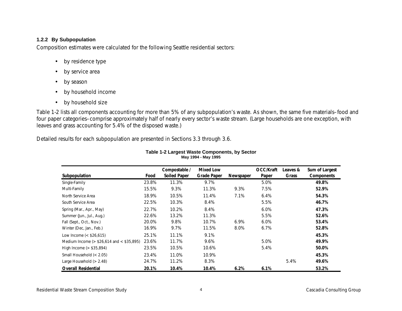#### **1.2.2 By Subpopulation**

Composition estimates were calculated for the following Seattle residential sectors:

- by residence type
- by service area
- by season
- by household income
- by household size

Table 1-2 lists all components accounting for more than 5% of any subpopulation's waste. As shown, the same five materials–food and four paper categories–comprise approximately half of nearly every sector's waste stream. (Large households are one exception, with leaves and grass accounting for 5.4% of the disposed waste.)

Detailed results for each subpopulation are presented in Sections 3.3 through 3.6.

| Subpopulation                                 | Food  | Compostable /<br><b>Soiled Paper</b> | <b>Mixed Low</b><br><b>Grade Paper</b> | Newspaper | <b>OCC/Kraft</b><br>Paper | Leaves &<br>Grass | Sum of Largest<br><b>Components</b> |
|-----------------------------------------------|-------|--------------------------------------|----------------------------------------|-----------|---------------------------|-------------------|-------------------------------------|
| Single-Family                                 | 23.8% | 11.3%                                | 9.7%                                   |           | 5.0%                      |                   | 49.8%                               |
| Multi-Family                                  | 15.5% | 9.3%                                 | 11.3%                                  | 9.3%      | 7.5%                      |                   | 52.9%                               |
| North Service Area                            | 18.9% | 10.5%                                | 11.4%                                  | 7.1%      | 6.4%                      |                   | 54.3%                               |
| South Service Area                            | 22.5% | 10.3%                                | 8.4%                                   |           | 5.5%                      |                   | 46.7%                               |
| Spring (Mar., Apr., May)                      | 22.7% | 10.2%                                | 8.4%                                   |           | $6.0\%$                   |                   | 47.3%                               |
| Summer (Jun., Jul., Aug.)                     | 22.6% | 13.2%                                | 11.3%                                  |           | 5.5%                      |                   | 52.6%                               |
| Fall (Sept., Oct., Nov.)                      | 20.0% | 9.8%                                 | 10.7%                                  | 6.9%      | $6.0\%$                   |                   | 53.4%                               |
| Winter (Dec, Jan., Feb.)                      | 16.9% | 9.7%                                 | 11.5%                                  | 8.0%      | 6.7%                      |                   | 52.8%                               |
| Low Income $(< $26,615)$                      | 25.1% | 11.1%                                | 9.1%                                   |           |                           |                   | 45.3%                               |
| Medium Income ( $> $26,614$ and $< $35,895$ ) | 23.6% | 11.7%                                | 9.6%                                   |           | 5.0%                      |                   | 49.9%                               |
| High Income $($ > \$35,894)                   | 23.5% | 10.5%                                | 10.6%                                  |           | 5.4%                      |                   | 50.0%                               |
| Small Household $(< 2.05)$                    | 23.4% | 11.0%                                | 10.9%                                  |           |                           |                   | 45.3%                               |
| Large Household $(>2.48)$                     | 24.7% | 11.2%                                | 8.3%                                   |           |                           | 5.4%              | 49.6%                               |
| <b>Overall Residential</b>                    | 20.1% | 10.4%                                | 10.4%                                  | 6.2%      | 6.1%                      |                   | 53.2%                               |

#### **Table 1-2 Largest Waste Components, by Sector May 1994 - May 1995**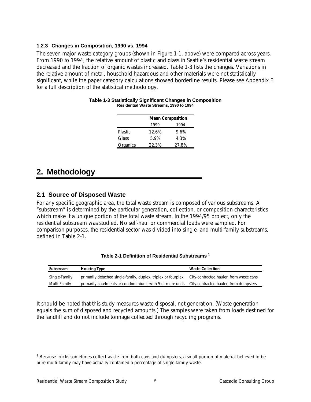### **1.2.3 Changes in Composition, 1990 vs. 1994**

The seven major waste category groups (shown in Figure 1-1, above) were compared across years. From 1990 to 1994, the relative amount of plastic and glass in Seattle's residential waste stream decreased and the fraction of organic wastes increased. Table 1-3 lists the changes. Variations in the relative amount of metal, household hazardous and other materials were not statistically significant, while the paper category calculations showed borderline results. Please see Appendix E for a full description of the statistical methodology.

|                | <b>Mean Composition</b> |       |  |  |
|----------------|-------------------------|-------|--|--|
|                | 1990                    | 1994  |  |  |
| <b>Plastic</b> | 12.6%                   | 9.6%  |  |  |
| Glass          | 5.9%                    | 4.3%  |  |  |
| Organics       | 22.3%                   | 27.8% |  |  |

#### **Table 1-3 Statistically Significant Changes in Composition Residential Waste Streams, 1990 to 1994**

## **2. Methodology**

### **2.1 Source of Disposed Waste**

For any specific geographic area, the total waste stream is composed of various substreams. A "substream" is determined by the particular generation, collection, or composition characteristics which make it a unique portion of the total waste stream. In the 1994/95 project, only the residential substream was studied. *No self-haul or commercial loads were sampled.* For comparison purposes, the residential sector was divided into single- and multi-family substreams, defined in Table 2-1.

| Substream     | <b>Housing Type</b>                                           | <b>Waste Collection</b>                 |
|---------------|---------------------------------------------------------------|-----------------------------------------|
| Single-Family | primarily detached single-family, duplex, triplex or fourplex | City-contracted hauler, from waste cans |
| Multi-Family  | primarily apartments or condominiums with 5 or more units     | City-contracted hauler, from dumpsters  |

It should be noted that this study measures waste disposal, not generation. (Waste generation equals the sum of disposed and recycled amounts.) The samples were taken from loads destined for the landfill and do not include tonnage collected through recycling programs.

 $\overline{a}$ 

<sup>&</sup>lt;sup>1</sup> Because trucks sometimes collect waste from both cans and dumpsters, a small portion of material believed to be pure multi-family may have actually contained a percentage of single-family waste.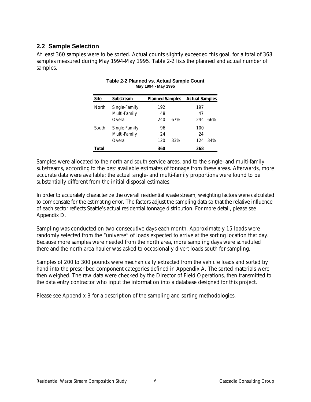### **2.2 Sample Selection**

At least 360 samples were to be sorted. Actual counts slightly exceeded this goal, for a total of 368 samples measured during May 1994-May 1995. Table 2-2 lists the planned and actual number of samples.

| <b>Site</b> | Substream                                | <b>Planned Samples</b> |     | <b>Actual Samples</b> |     |
|-------------|------------------------------------------|------------------------|-----|-----------------------|-----|
| North       | Single-Family<br>Multi-Family<br>Overall | 192<br>48<br>240       | 67% | 197<br>47<br>244      | 66% |
| South       | Single-Family<br>Multi-Family<br>Overall | 96<br>24<br>120        | 33% | 100<br>24<br>124      | 34% |
| Total       |                                          | 360                    |     | 368                   |     |

### **Table 2-2 Planned vs. Actual Sample Count May 1994 - May 1995**

Samples were allocated to the north and south service areas, and to the single- and multi-family substreams, according to the best available estimates of tonnage from these areas. Afterwards, more accurate data were available; the actual single- and multi-family proportions were found to be substantially different from the initial disposal estimates.

In order to accurately characterize the overall residential waste stream, weighting factors were calculated to compensate for the estimating error. The factors adjust the sampling data so that the relative influence of each sector reflects Seattle's actual residential tonnage distribution. For more detail, please see Appendix D.

Sampling was conducted on two consecutive days each month. Approximately 15 loads were randomly selected from the "universe" of loads expected to arrive at the sorting location that day. Because more samples were needed from the north area, more sampling days were scheduled there and the north area hauler was asked to occasionally divert loads south for sampling.

Samples of 200 to 300 pounds were mechanically extracted from the vehicle loads and sorted by hand into the prescribed component categories defined in Appendix A. The sorted materials were then weighed. The raw data were checked by the Director of Field Operations, then transmitted to the data entry contractor who input the information into a database designed for this project.

Please see Appendix B for a description of the sampling and sorting methodologies.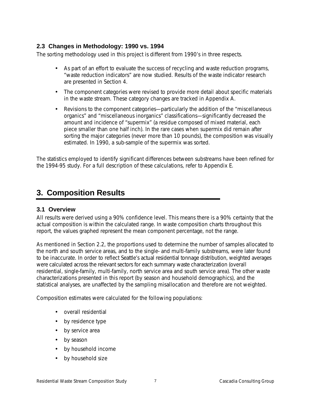### **2.3 Changes in Methodology: 1990 vs. 1994**

The sorting methodology used in this project is different from 1990's in three respects.

- As part of an effort to evaluate the success of recycling and waste reduction programs, "waste reduction indicators" are now studied. Results of the waste indicator research are presented in Section 4.
- The component categories were revised to provide more detail about specific materials in the waste stream. These category changes are tracked in Appendix A.
- Revisions to the component categories—particularly the addition of the "miscellaneous organics" and "miscellaneous inorganics" classifications—significantly decreased the amount and incidence of "supermix" (a residue composed of mixed material, each piece smaller than one half inch). In the rare cases when supermix did remain after sorting the major categories (never more than 10 pounds), the composition was visually estimated. In 1990, a sub-sample of the supermix was sorted.

The statistics employed to identify significant differences between substreams have been refined for the 1994-95 study. For a full description of these calculations, refer to Appendix E.

## **3. Composition Results**

### **3.1 Overview**

All results were derived using a 90% confidence level. This means there is a 90% certainty that the actual composition is within the calculated range. In waste composition charts throughout this report, the values graphed represent the mean component percentage, not the range.

As mentioned in Section 2.2, the proportions used to determine the number of samples allocated to the north and south service areas, and to the single- and multi-family substreams, were later found to be inaccurate. In order to reflect Seattle's actual residential tonnage distribution, weighted averages were calculated across the relevant sectors for each summary waste characterization (overall residential, single-family, multi-family, north service area and south service area). The other waste characterizations presented in this report (by season and household demographics), and the statistical analyses, are unaffected by the sampling misallocation and therefore are not weighted.

Composition estimates were calculated for the following populations:

- overall residential
- by residence type
- by service area
- by season
- by household income
- by household size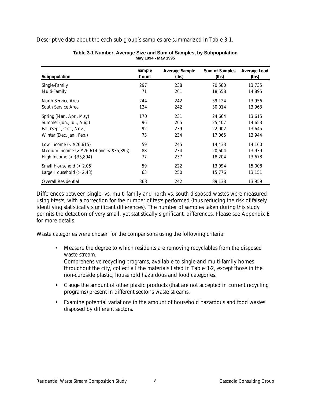Descriptive data about the each sub-group's samples are summarized in Table 3-1.

| Subpopulation                                 | Sample<br>Count | Average Sample<br>(lbs) | Sum of Samples<br>(lbs) | Average Load<br>(lbs) |
|-----------------------------------------------|-----------------|-------------------------|-------------------------|-----------------------|
| Single-Family                                 | 297             | 238                     | 70,580                  | 13,735                |
| Multi-Family                                  | 71              | 261                     | 18,558                  | 14,895                |
| North Service Area                            | 244             | 242                     | 59,124                  | 13,956                |
| South Service Area                            | 124             | 242                     | 30,014                  | 13,963                |
| Spring (Mar., Apr., May)                      | 170             | 231                     | 24,664                  | 13,615                |
| Summer (Jun., Jul., Aug.)                     | 96              | 265                     | 25,407                  | 14,653                |
| Fall (Sept., Oct., Nov.)                      | 92              | 239                     | 22,002                  | 13,645                |
| Winter (Dec, Jan., Feb.)                      | 73              | 234                     | 17.065                  | 13,944                |
| Low Income $(<$ \$26,615)                     | 59              | 245                     | 14,433                  | 14,160                |
| Medium Income ( $> $26,614$ and $< $35,895$ ) | 88              | 234                     | 20,604                  | 13,939                |
| High Income $($ > \$35,894)                   | 77              | 237                     | 18,204                  | 13,678                |
| Small Household $(< 2.05)$                    | 59              | 222                     | 13,094                  | 15,008                |
| Large Household $(>2.48)$                     | 63              | 250                     | 15,776                  | 13,151                |
| <b>Overall Residential</b>                    | 368             | 242                     | 89,138                  | 13,959                |

**Table 3-1 Number, Average Size and Sum of Samples, by Subpopulation May 1994 - May 1995**

Differences between single- vs. multi-family and north vs. south disposed wastes were measured using t-tests, with a correction for the number of tests performed (thus reducing the risk of falsely identifying statistically significant differences). The number of samples taken during this study permits the detection of very small, yet statistically significant, differences. Please see Appendix E for more details.

Waste categories were chosen for the comparisons using the following criteria:

• Measure the degree to which residents are removing recyclables from the disposed waste stream.

*Comprehensive recycling programs, available to single-and multi-family homes throughout the city, collect all the materials listed in Table 3-2, except those in the non-curbside plastic, household hazardous and food categories.*

- Gauge the amount of other plastic products (that are not accepted in current recycling programs) present in different sector's waste streams.
- Examine potential variations in the amount of household hazardous and food wastes disposed by different sectors.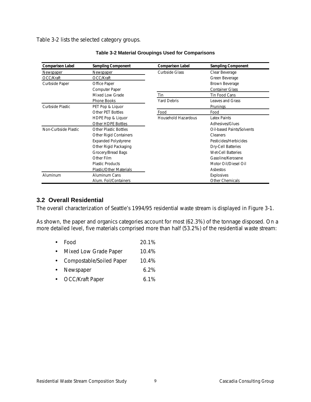Table 3-2 lists the selected category groups.

| <b>Comparison Label</b> | <b>Sampling Component</b>    | <b>Comparison Label</b> | <b>Sampling Component</b> |
|-------------------------|------------------------------|-------------------------|---------------------------|
| Newspaper               | Newspaper                    | Curbside Glass          | Clear Beverage            |
| OCC/Kraft               | OCC/Kraft                    |                         | Green Beverage            |
| Curbside Paper          | Office Paper                 |                         | Brown Beverage            |
|                         | Computer Paper               |                         | <b>Container Glass</b>    |
|                         | Mixed Low Grade              | Tin                     | Tin Food Cans             |
|                         | Phone Books                  | <b>Yard Debris</b>      | Leaves and Grass          |
| Curbside Plastic        | PET Pop & Liquor             |                         | Prunings                  |
|                         | Other PET Bottles            | Food                    | Food                      |
|                         | HDPE Pop & Liquor            | Household Hazardous     | Latex Paints              |
|                         | Other HDPE Bottles           |                         | Adhesives/Glues           |
| Non-Curbside Plastic    | <b>Other Plastic Bottles</b> |                         | Oil-based Paints/Solvents |
|                         | Other Rigid Containers       |                         | Cleaners                  |
|                         | <b>Expanded Polystyrene</b>  |                         | Pesticides/Herbicides     |
|                         | Other Rigid Packaging        |                         | <b>Dry-Cell Batteries</b> |
|                         | Grocery/Bread Bags           |                         | <b>Wet-Cell Batteries</b> |
|                         | Other Film                   |                         | Gasoline/Kerosene         |
|                         | <b>Plastic Products</b>      |                         | Motor Oil/Diesel Oil      |
|                         | Plastic/Other Materials      |                         | Asbestos                  |
| Aluminum                | Aluminum Cans                |                         | Explosives                |
|                         | Alum. Foil/Containers        |                         | <b>Other Chemicals</b>    |

#### **Table 3-2 Material Groupings Used for Comparisons**

### **3.2 Overall Residential**

The overall characterization of Seattle's 1994/95 residential waste stream is displayed in Figure 3-1.

As shown, the paper and organics categories account for most (62.3%) of the tonnage disposed. On a more detailed level, five materials comprised more than half (53.2%) of the residential waste stream:

- Food 20.1%
- Mixed Low Grade Paper 10.4%
- Compostable/Soiled Paper 10.4%
- Newspaper 6.2%
- OCC/Kraft Paper 6.1%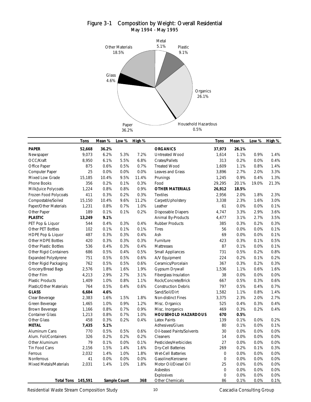

### Figure 3-1 Composition by Weight: Overall Residential May 1994 - May 1995

|                               | Tons   | Mean % | Low %        | High % |                            | <b>Tons</b> | Mean % | Low % | High % |
|-------------------------------|--------|--------|--------------|--------|----------------------------|-------------|--------|-------|--------|
| <b>PAPER</b>                  | 52,668 | 36.2%  |              |        | <b>ORGANICS</b>            | 37,973      | 26.1%  |       |        |
| Newspaper                     | 9,073  | 6.2%   | 5.3%         | 7.2%   | Untreated Wood             | 1,614       | 1.1%   | 0.9%  | 1.4%   |
| OCC/Kraft                     | 8,950  | 6.1%   | 5.5%         | 6.8%   | <b>Crates/Pallets</b>      | 313         | 0.2%   | 0.0%  | 0.4%   |
| Office Paper                  | 875    | 0.6%   | 0.5%         | 0.7%   | <b>Treated Wood</b>        | 1,609       | 1.1%   | 0.8%  | 1.4%   |
| <b>Computer Paper</b>         | 25     | 0.0%   | 0.0%         | 0.0%   | Leaves and Grass           | 3,896       | 2.7%   | 2.0%  | 3.3%   |
| Mixed Low Grade               | 15,185 | 10.4%  | 9.5%         | 11.4%  | Prunings                   | 1,245       | 0.9%   | 0.4%  | 1.3%   |
| <b>Phone Books</b>            | 356    | 0.2%   | 0.1%         | 0.3%   | Food                       | 29,295      | 20.1%  | 19.0% | 21.3%  |
| Milk/Juice Polycoats          | 1,224  | 0.8%   | 0.8%         | 0.9%   | <b>OTHER MATERIALS</b>     | 26,912      | 18.5%  |       |        |
| Frozen Food Polycoats         | 411    | 0.3%   | 0.2%         | 0.3%   | <b>Textiles</b>            | 2,956       | 2.0%   | 1.8%  | 2.3%   |
| Compostable/Soiled            | 15,150 | 10.4%  | 9.6%         | 11.2%  | Carpet/Upholstery          | 3,338       | 2.3%   | 1.6%  | 3.0%   |
| Paper/Other Materials         | 1,231  | 0.8%   | 0.7%         | 1.0%   | Leather                    | 61          | 0.0%   | 0.0%  | 0.1%   |
| Other Paper                   | 189    | 0.1%   | 0.1%         | 0.2%   | <b>Disposable Diapers</b>  | 4,747       | 3.3%   | 2.9%  | 3.6%   |
| <b>PLASTIC</b>                | 13,249 | 9.1%   |              |        | Animal By-Products         | 4,477       | 3.1%   | 2.7%  | 3.5%   |
| PET Pop & Liquor              | 544    | 0.4%   | 0.3%         | 0.4%   | <b>Rubber Products</b>     | 385         | 0.3%   | 0.2%  | 0.3%   |
| Other PET Bottles             | 102    | 0.1%   | 0.1%         | 0.1%   | <b>Tires</b>               | 56          | 0.0%   | 0.0%  | 0.1%   |
| HDPE Pop & Liquor             | 487    | 0.3%   | 0.3%         | 0.4%   | Ash                        | 69          | 0.0%   | 0.0%  | 0.1%   |
| Other HDPE Bottles            | 420    | 0.3%   | 0.3%         | 0.3%   | Furniture                  | 423         | 0.3%   | 0.1%  | 0.5%   |
| <b>Other Plastic Bottles</b>  | 536    | 0.4%   | 0.3%         | 0.4%   | Mattresses                 | 87          | 0.1%   | 0.0%  | 0.1%   |
| Other Rigid Containers        | 686    | 0.5%   | 0.4%         | 0.5%   | Small Appliances           | 731         | 0.5%   | 0.2%  | 0.8%   |
| <b>Expanded Polystyrene</b>   | 751    | 0.5%   | 0.5%         | 0.6%   | A/V Equipment              | 224         | 0.2%   | 0.1%  | 0.2%   |
| Other Rigid Packaging         | 762    | 0.5%   | 0.5%         | 0.6%   | Ceramics/Porcelain         | 367         | 0.3%   | 0.2%  | 0.3%   |
| Grocery/Bread Bags            | 2,576  | 1.8%   | 1.6%         | 1.9%   | Gypsum Drywall             | 1,536       | 1.1%   | 0.6%  | 1.6%   |
| Other Film                    | 4,213  | 2.9%   | 2.7%         | 3.1%   | Fiberglass Insulation      | 38          | 0.0%   | 0.0%  | 0.0%   |
| <b>Plastic Products</b>       | 1,409  | 1.0%   | 0.8%         | 1.1%   | Rock/Concrete/Brick        | 667         | 0.5%   | 0.3%  | 0.6%   |
| Plastic/Other Materials       | 764    | 0.5%   | 0.4%         | 0.6%   | <b>Construction Debris</b> | 797         | 0.5%   | 0.4%  | 0.7%   |
| <b>GLASS</b>                  | 6,684  | 4.6%   |              |        | Sand/Soil/Dirt             | 1,582       | 1.1%   | 0.8%  | 1.4%   |
| Clear Beverage                | 2,383  | 1.6%   | 1.5%         | 1.8%   | Non-distinct Fines         | 3,375       | 2.3%   | 2.0%  | 2.7%   |
| Green Beverage                | 1,465  | 1.0%   | 0.9%         | 1.2%   | Misc. Organics             | 525         | 0.4%   | 0.3%  | 0.4%   |
| Brown Beverage                | 1,166  | 0.8%   | 0.7%         | 0.9%   | Misc. Inorganics           | 469         | 0.3%   | 0.2%  | 0.4%   |
| <b>Container Glass</b>        | 1,213  | 0.8%   | 0.7%         | 1.0%   | <b>HOUSEHOLD HAZARDOUS</b> | 670         | 0.5%   |       |        |
| Other Glass                   | 458    | 0.3%   | 0.2%         | 0.4%   | <b>Latex Paints</b>        | 139         | 0.1%   | 0.0%  | 0.2%   |
| <b>METAL</b>                  | 7,435  | 5.1%   |              |        | Adhesives/Glues            | 80          | 0.1%   | 0.0%  | 0.1%   |
| Aluminum Cans                 | 770    | 0.5%   | 0.5%         | 0.6%   | Oil-based Paints/Solvents  | 30          | 0.0%   | 0.0%  | 0.0%   |
| Alum. Foil/Containers         | 326    | 0.2%   | 0.2%         | 0.2%   | Cleaners                   | 14          | 0.0%   | 0.0%  | 0.0%   |
| Other Aluminum                | 79     | 0.1%   | 0.0%         | 0.1%   | Pesticides/Herbicides      | 27          | 0.0%   | 0.0%  | 0.0%   |
| Tin Food Cans                 | 2,156  | 1.5%   | 1.4%         | 1.6%   | <b>Dry-Cell Batteries</b>  | 269         | 0.2%   | 0.1%  | 0.3%   |
| Ferrous                       | 2,032  | 1.4%   | 1.0%         | 1.8%   | <b>Wet-Cell Batteries</b>  | 0           | 0.0%   | 0.0%  | 0.0%   |
| Nonferrous                    | 41     | 0.0%   | 0.0%         | 0.0%   | Gasoline/Kerosene          | 0           | 0.0%   | 0.0%  | 0.0%   |
| <b>Mixed Metals/Materials</b> | 2,031  | 1.4%   | 1.0%         | 1.8%   | Motor Oil/Diesel Oil       | 25          | 0.0%   | 0.0%  | 0.0%   |
|                               |        |        |              |        | Asbestos                   | 0           | 0.0%   | 0.0%  | 0.0%   |
|                               |        |        |              |        | Explosives                 | 0           | 0.0%   | 0.0%  | 0.0%   |
| Total Tons 145,591            |        |        | Sample Count | 368    | Other Chemicals            | 86          | 0.1%   | 0.0%  | 0.1%   |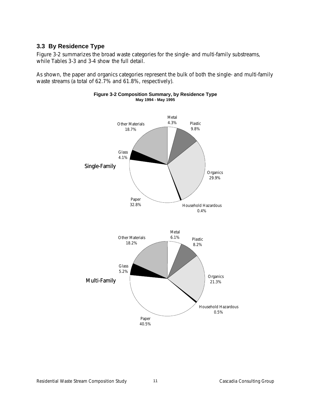### **3.3 By Residence Type**

Figure 3-2 summarizes the broad waste categories for the single- and multi-family substreams, while Tables 3-3 and 3-4 show the full detail.

As shown, the paper and organics categories represent the bulk of both the single- and multi-family waste streams (a total of 62.7% and 61.8%, respectively).



#### **Figure 3-2 Composition Summary, by Residence Type May 1994 - May 1995**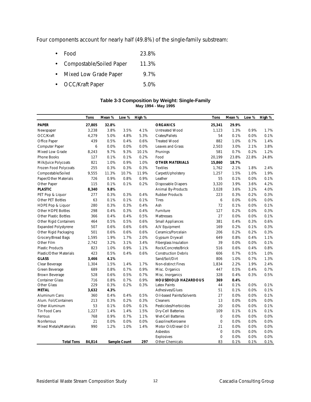Four components account for nearly half (49.8%) of the single-family substream:

- Food 23.8%
- Compostable/Soiled Paper 11.3%
- Mixed Low Grade Paper 9.7%
- OCC/Kraft Paper 5.0%

#### **Table 3-3 Composition by Weight: Single-Family May 1994 - May 1995**

|                               | <b>Tons</b> | Mean % | Low %        | High % |                              | <b>Tons</b>    | Mean % | Low % | High % |
|-------------------------------|-------------|--------|--------------|--------|------------------------------|----------------|--------|-------|--------|
| <b>PAPER</b>                  | 27,805      | 32.8%  |              |        | <b>ORGANICS</b>              | 25,341         | 29.9%  |       |        |
| Newspaper                     | 3,238       | 3.8%   | 3.5%         | 4.1%   | Untreated Wood               | 1,123          | 1.3%   | 0.9%  | 1.7%   |
| OCC/Kraft                     | 4,279       | 5.0%   | 4.8%         | 5.3%   | Crates/Pallets               | 54             | 0.1%   | 0.0%  | 0.1%   |
| Office Paper                  | 439         | 0.5%   | 0.4%         | 0.6%   | <b>Treated Wood</b>          | 882            | 1.0%   | 0.7%  | 1.4%   |
| Computer Paper                | 6           | 0.0%   | 0.0%         | 0.0%   | Leaves and Grass             | 2,503          | 3.0%   | 2.1%  | 3.8%   |
| Mixed Low Grade               | 8,243       | 9.7%   | 9.3%         | 10.1%  | Prunings                     | 581            | 0.7%   | 0.2%  | 1.2%   |
| Phone Books                   | 127         | 0.1%   | 0.1%         | 0.2%   | Food                         | 20,199         | 23.8%  | 22.8% | 24.8%  |
| Milk/Juice Polycoats          | 821         | 1.0%   | 0.9%         | 1.0%   | <b>OTHER MATERIALS</b>       | 15,860         | 18.7%  |       |        |
| Frozen Food Polycoats         | 255         | 0.3%   | 0.3%         | 0.3%   | <b>Textiles</b>              | 1,762          | 2.1%   | 1.8%  | 2.4%   |
| Compostable/Soiled            | 9,555       | 11.3%  | 10.7%        | 11.9%  | Carpet/Upholstery            | 1,257          | 1.5%   | 1.0%  | 1.9%   |
| Paper/Other Materials         | 726         | 0.9%   | 0.8%         | 0.9%   | Leather                      | 55             | 0.1%   | 0.0%  | 0.1%   |
| Other Paper                   | 115         | 0.1%   | 0.1%         | 0.2%   | <b>Disposable Diapers</b>    | 3,320          | 3.9%   | 3.6%  | 4.2%   |
| <b>PLASTIC</b>                | 8,340       | 9.8%   |              |        | <b>Animal By-Products</b>    | 3,028          | 3.6%   | 3.2%  | 4.0%   |
| PET Pop & Liquor              | 277         | 0.3%   | 0.3%         | 0.4%   | <b>Rubber Products</b>       | 223            | 0.3%   | 0.2%  | 0.3%   |
| Other PET Bottles             | 63          | 0.1%   | 0.1%         | 0.1%   | <b>Tires</b>                 | 6              | 0.0%   | 0.0%  | 0.0%   |
| HDPE Pop & Liquor             | 280         | 0.3%   | 0.3%         | 0.4%   | Ash                          | 72             | 0.1%   | 0.0%  | 0.1%   |
| Other HDPE Bottles            | 298         | 0.4%   | 0.3%         | 0.4%   | Furniture                    | 127            | 0.2%   | 0.0%  | 0.3%   |
| <b>Other Plastic Bottles</b>  | 366         | 0.4%   | 0.4%         | 0.5%   | Mattresses                   | 27             | 0.0%   | 0.0%  | 0.1%   |
| Other Rigid Containers        | 464         | 0.5%   | 0.5%         | 0.6%   | <b>Small Appliances</b>      | 381            | 0.4%   | 0.3%  | 0.6%   |
| <b>Expanded Polystyrene</b>   | 507         | 0.6%   | 0.6%         | 0.6%   | A/V Equipment                | 169            | 0.2%   | 0.1%  | 0.3%   |
| Other Rigid Packaging         | 501         | 0.6%   | 0.6%         | 0.6%   | Ceramics/Porcelain           | 206            | 0.2%   | 0.2%  | 0.3%   |
| Grocery/Bread Bags            | 1,595       | 1.9%   | 1.7%         | 2.0%   | Gypsum Drywall               | 649            | 0.8%   | 0.4%  | 1.1%   |
| Other Film                    | 2,742       | 3.2%   | 3.1%         | 3.4%   | <b>Fiberglass Insulation</b> | 39             | 0.0%   | 0.0%  | 0.1%   |
| <b>Plastic Products</b>       | 823         | 1.0%   | 0.9%         | 1.1%   | Rock/Concrete/Brick          | 516            | 0.6%   | 0.4%  | 0.8%   |
| Plastic/Other Materials       | 423         | 0.5%   | 0.4%         | 0.6%   | <b>Construction Debris</b>   | 606            | 0.7%   | 0.5%  | 1.0%   |
| <b>GLASS</b>                  | 3,466       | 4.1%   |              |        | Sand/Soil/Dirt               | 806            | 1.0%   | 0.7%  | 1.3%   |
| Clear Beverage                | 1,304       | 1.5%   | 1.4%         | 1.7%   | Non-distinct Fines           | 1,834          | 2.2%   | 1.9%  | 2.4%   |
| Green Beverage                | 689         | 0.8%   | 0.7%         | 0.9%   | Misc. Organics               | 447            | 0.5%   | 0.4%  | 0.7%   |
| Brown Beverage                | 528         | 0.6%   | 0.5%         | 0.7%   | Misc. Inorganics             | 328            | 0.4%   | 0.3%  | 0.5%   |
| <b>Container Glass</b>        | 716         | 0.8%   | 0.7%         | 0.9%   | <b>HOUSEHOLD HAZARDOUS</b>   | 369            | 0.4%   |       |        |
| Other Glass                   | 229         | 0.3%   | 0.2%         | 0.3%   | Latex Paints                 | 44             | 0.1%   | 0.0%  | 0.1%   |
| <b>METAL</b>                  | 3,632       | 4.3%   |              |        | Adhesives/Glues              | 51             | 0.1%   | 0.0%  | 0.1%   |
| Aluminum Cans                 | 360         | 0.4%   | 0.4%         | 0.5%   | Oil-based Paints/Solvents    | 27             | 0.0%   | 0.0%  | 0.1%   |
| Alum. Foil/Containers         | 213         | 0.3%   | 0.2%         | 0.3%   | Cleaners                     | 13             | 0.0%   | 0.0%  | 0.0%   |
| Other Aluminum                | 53          | 0.1%   | 0.0%         | 0.1%   | Pesticides/Herbicides        | 20             | 0.0%   | 0.0%  | 0.1%   |
| Tin Food Cans                 | 1,227       | 1.4%   | 1.4%         | 1.5%   | <b>Dry-Cell Batteries</b>    | 109            | 0.1%   | 0.1%  | 0.1%   |
| Ferrous                       | 768         | 0.9%   | 0.7%         | 1.1%   | <b>Wet-Cell Batteries</b>    | $\overline{0}$ | 0.0%   | 0.0%  | 0.0%   |
| Nonferrous                    | 21          | 0.0%   | 0.0%         | 0.0%   | Gasoline/Kerosene            | $\overline{0}$ | 0.0%   | 0.0%  | 0.0%   |
| <b>Mixed Metals/Materials</b> | 990         | 1.2%   | 1.0%         | 1.4%   | Motor Oil/Diesel Oil         | 21             | 0.0%   | 0.0%  | 0.0%   |
|                               |             |        |              |        | Asbestos                     | $\mathbf 0$    | 0.0%   | 0.0%  | 0.0%   |
|                               |             |        |              |        | Explosives                   | $\overline{0}$ | 0.0%   | 0.0%  | 0.0%   |
| <b>Total Tons</b>             | 84,814      |        | Sample Count | 297    | Other Chemicals              | 83             | 0.1%   | 0.1%  | 0.1%   |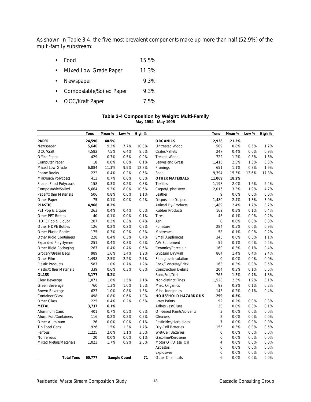As shown in Table 3-4, the five most prevalent components make up more than half (52.9%) of the multi-family substream:

- Food 15.5%
- Mixed Low Grade Paper 11.3%
- Newspaper 9.3%
- Compostable/Soiled Paper 9.3%
- OCC/Kraft Paper 7.5%

#### **Table 3-4 Composition by Weight: Multi-Family May 1994 - May 1995**

|                               | <b>Tons</b> | Mean % | Low %        | High % |                            | <b>Tons</b>    | Mean % | Low % | High % |
|-------------------------------|-------------|--------|--------------|--------|----------------------------|----------------|--------|-------|--------|
| <b>PAPER</b>                  | 24,590      | 40.5%  |              |        | <b>ORGANICS</b>            | 12,938         | 21.3%  |       |        |
| Newspaper                     | 5,640       | 9.3%   | 7.7%         | 10.8%  | <b>Untreated Wood</b>      | 509            | 0.8%   | 0.5%  | 1.2%   |
| OCC/Kraft                     | 4,582       | 7.5%   | 6.4%         | 8.6%   | Crates/Pallets             | 247            | 0.4%   | 0.0%  | 0.9%   |
| Office Paper                  | 429         | 0.7%   | 0.5%         | 0.9%   | <b>Treated Wood</b>        | 722            | 1.2%   | 0.8%  | 1.6%   |
| Computer Paper                | 18          | 0.0%   | 0.0%         | 0.1%   | Leaves and Grass           | 1,415          | 2.3%   | 1.3%  | 3.3%   |
| Mixed Low Grade               | 6,884       | 11.3%  | 9.9%         | 12.8%  | Prunings                   | 651            | 1.1%   | 0.3%  | 1.9%   |
| Phone Books                   | 222         | 0.4%   | 0.2%         | 0.6%   | Food                       | 9,394          | 15.5%  | 13.6% | 17.3%  |
| Milk/Juice Polycoats          | 413         | 0.7%   | 0.6%         | 0.8%   | <b>OTHER MATERIALS</b>     | 11,069         | 18.2%  |       |        |
| Frozen Food Polycoats         | 158         | 0.3%   | 0.2%         | 0.3%   | <b>Textiles</b>            | 1,198          | 2.0%   | 1.6%  | 2.4%   |
| Compostable/Soiled            | 5,664       | 9.3%   | 8.0%         | 10.6%  | Carpet/Upholstery          | 2,016          | 3.3%   | 1.9%  | 4.7%   |
| Paper/Other Materials         | 506         | 0.8%   | 0.6%         | 1.1%   | Leather                    | 9              | 0.0%   | 0.0%  | 0.0%   |
| Other Paper                   | 75          | 0.1%   | 0.0%         | 0.2%   | Disposable Diapers         | 1,480          | 2.4%   | 1.8%  | 3.0%   |
| <b>PLASTIC</b>                | 4,968       | 8.2%   |              |        | Animal By-Products         | 1,489          | 2.4%   | 1.7%  | 3.2%   |
| PET Pop & Liquor              | 263         | 0.4%   | 0.4%         | 0.5%   | <b>Rubber Products</b>     | 162            | 0.3%   | 0.1%  | 0.4%   |
| Other PET Bottles             | 40          | 0.1%   | 0.0%         | 0.1%   | <b>Tires</b>               | 48             | 0.1%   | 0.0%  | 0.2%   |
| HDPE Pop & Liquor             | 207         | 0.3%   | 0.3%         | 0.4%   | Ash                        | $\mathbf 0$    | 0.0%   | 0.0%  | 0.0%   |
| Other HDPE Bottles            | 126         | 0.2%   | 0.2%         | 0.3%   | Furniture                  | 284            | 0.5%   | 0.0%  | 0.9%   |
| <b>Other Plastic Bottles</b>  | 175         | 0.3%   | 0.2%         | 0.3%   | Mattresses                 | 58             | 0.1%   | 0.0%  | 0.2%   |
| Other Rigid Containers        | 228         | 0.4%   | 0.3%         | 0.4%   | <b>Small Appliances</b>    | 345            | 0.6%   | 0.0%  | 1.1%   |
| <b>Expanded Polystyrene</b>   | 251         | 0.4%   | 0.3%         | 0.5%   | A/V Equipment              | 59             | 0.1%   | 0.0%  | 0.2%   |
| Other Rigid Packaging         | 267         | 0.4%   | 0.4%         | 0.5%   | Ceramics/Porcelain         | 160            | 0.3%   | 0.1%  | 0.4%   |
| Grocery/Bread Bags            | 989         | 1.6%   | 1.4%         | 1.9%   | Gypsum Drywall             | 864            | 1.4%   | 0.4%  | 2.4%   |
| Other Film                    | 1,498       | 2.5%   | 2.2%         | 2.7%   | Fiberglass Insulation      | $\overline{0}$ | 0.0%   | 0.0%  | 0.0%   |
| <b>Plastic Products</b>       | 587         | 1.0%   | 0.7%         | 1.2%   | Rock/Concrete/Brick        | 163            | 0.3%   | 0.0%  | 0.5%   |
| Plastic/Other Materials       | 339         | 0.6%   | 0.3%         | 0.8%   | <b>Construction Debris</b> | 204            | 0.3%   | 0.1%  | 0.6%   |
| <b>GLASS</b>                  | 3,177       | 5.2%   |              |        | Sand/Soil/Dirt             | 765            | 1.3%   | 0.7%  | 1.8%   |
| Clear Beverage                | 1,071       | 1.8%   | 1.5%         | 2.1%   | Non-distinct Fines         | 1,528          | 2.5%   | 1.9%  | 3.1%   |
| Green Beverage                | 760         | 1.3%   | 1.0%         | 1.5%   | Misc. Organics             | 92             | 0.2%   | 0.1%  | 0.2%   |
| Brown Beverage                | 623         | 1.0%   | 0.8%         | 1.3%   | Misc. Inorganics           | 146            | 0.2%   | 0.1%  | 0.4%   |
| <b>Container Glass</b>        | 498         | 0.8%   | 0.6%         | 1.0%   | <b>HOUSEHOLD HAZARDOUS</b> | 299            | 0.5%   |       |        |
| Other Glass                   | 225         | 0.4%   | 0.2%         | 0.5%   | <b>Latex Paints</b>        | 92             | 0.2%   | 0.0%  | 0.3%   |
| <b>METAL</b>                  | 3,737       | 6.1%   |              |        | Adhesives/Glues            | 30             | 0.0%   | 0.0%  | 0.1%   |
| Aluminum Cans                 | 401         | 0.7%   | 0.5%         | 0.8%   | Oil-based Paints/Solvents  | 3              | 0.0%   | 0.0%  | 0.0%   |
| Alum. Foil/Containers         | 116         | 0.2%   | 0.2%         | 0.2%   | Cleaners                   | $\overline{2}$ | 0.0%   | 0.0%  | 0.0%   |
| Other Aluminum                | 26          | 0.0%   | 0.0%         | 0.1%   | Pesticides/Herbicides      | $\overline{7}$ | 0.0%   | 0.0%  | 0.0%   |
| Tin Food Cans                 | 926         | 1.5%   | 1.3%         | 1.7%   | Dry-Cell Batteries         | 155            | 0.3%   | 0.0%  | 0.5%   |
| Ferrous                       | 1,225       | 2.0%   | 1.1%         | 3.0%   | <b>Wet-Cell Batteries</b>  | $\overline{0}$ | 0.0%   | 0.0%  | 0.0%   |
| Nonferrous                    | 20          | 0.0%   | 0.0%         | 0.1%   | Gasoline/Kerosene          | $\mathbf 0$    | 0.0%   | 0.0%  | 0.0%   |
| <b>Mixed Metals/Materials</b> | 1,023       | 1.7%   | 0.9%         | 2.5%   | Motor Oil/Diesel Oil       | 4              | 0.0%   | 0.0%  | 0.0%   |
|                               |             |        |              |        | Asbestos                   | $\mathbf 0$    | 0.0%   | 0.0%  | 0.0%   |
|                               |             |        |              |        | Explosives                 | $\overline{0}$ | 0.0%   | 0.0%  | 0.0%   |
| <b>Total Tons</b>             | 60,777      |        | Sample Count | 71     | Other Chemicals            | 6              | 0.0%   | 0.0%  | 0.0%   |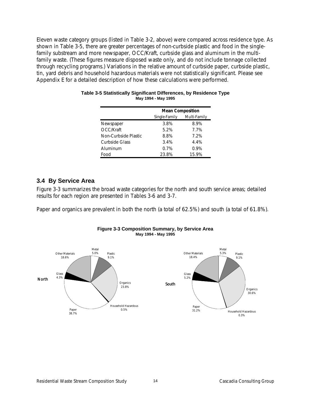Eleven waste category groups (listed in Table 3-2, above) were compared across residence type. As shown in Table 3-5, there are greater percentages of non-curbside plastic and food in the singlefamily substream and more newspaper, OCC/Kraft, curbside glass and aluminum in the multifamily waste. (These figures measure disposed waste only, and do not include tonnage collected through recycling programs.) Variations in the relative amount of curbside paper, curbside plastic, tin, yard debris and household hazardous materials were not statistically significant. Please see Appendix E for a detailed description of how these calculations were performed.

|                      | <b>Mean Composition</b> |              |
|----------------------|-------------------------|--------------|
|                      | Single-Family           | Multi-Family |
| Newspaper            | 3.8%                    | 8.9%         |
| OCC/Kraft            | 5.2%                    | 7.7%         |
| Non-Curbside Plastic | 8.8%                    | 7.2%         |
| Curbside Glass       | 3.4%                    | 4.4%         |
| Aluminum             | 0.7%                    | 0.9%         |
| Food                 | 23.8%                   | 15.9%        |

#### **Table 3-5 Statistically Significant Differences, by Residence Type May 1994 - May 1995**

### **3.4 By Service Area**

Figure 3-3 summarizes the broad waste categories for the north and south service areas; detailed results for each region are presented in Tables 3-6 and 3-7.

Paper and organics are prevalent in both the north (a total of 62.5%) and south (a total of 61.8%).



#### **Figure 3-3 Composition Summary, by Service Area May 1994 - May 1995**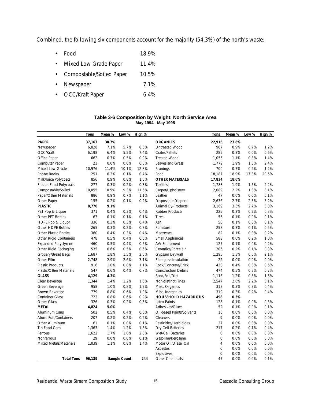Combined, the following six components account for the majority (54.3%) of the north's waste:

- Food 18.9%
- Mixed Low Grade Paper 11.4%
- Compostable/Soiled Paper 10.5%
- Newspaper 7.1%
- OCC/Kraft Paper 6.4%

#### **Table 3-6 Composition by Weight: North Service Area May 1994 - May 1995**

|                                | <b>Tons</b> | Mean % | Low %        | High % |                              | <b>Tons</b>    | Mean % | Low % | High % |
|--------------------------------|-------------|--------|--------------|--------|------------------------------|----------------|--------|-------|--------|
| <b>PAPER</b>                   | 37,167      | 38.7%  |              |        | <b>ORGANICS</b>              | 22,916         | 23.8%  |       |        |
| Newspaper                      | 6,828       | 7.1%   | 5.7%         | 8.5%   | Untreated Wood               | 907            | 0.9%   | 0.7%  | 1.2%   |
| OCC/Kraft                      | 6,198       | 6.4%   | 5.5%         | 7.4%   | Crates/Pallets               | 285            | 0.3%   | 0.0%  | 0.6%   |
| Office Paper                   | 662         | 0.7%   | 0.5%         | 0.9%   | <b>Treated Wood</b>          | 1,056          | 1.1%   | 0.8%  | 1.4%   |
| Computer Paper                 | 21          | 0.0%   | 0.0%         | 0.0%   | Leaves and Grass             | 1.779          | 1.9%   | 1.3%  | 2.4%   |
| Mixed Low Grade                | 10,976      | 11.4%  | 10.1%        | 12.8%  | Prunings                     | 700            | 0.7%   | 0.2%  | 1.2%   |
| Phone Books                    | 251         | 0.3%   | 0.1%         | 0.4%   | Food                         | 18,187         | 18.9%  | 17.3% | 20.5%  |
| Milk/Juice Polycoats           | 856         | 0.9%   | 0.8%         | 1.0%   | <b>OTHER MATERIALS</b>       | 17,834         | 18.6%  |       |        |
| Frozen Food Polycoats          | 277         | 0.3%   | 0.2%         | 0.3%   | <b>Textiles</b>              | 1,788          | 1.9%   | 1.5%  | 2.2%   |
| Compostable/Soiled             | 10,055      | 10.5%  | 9.3%         | 11.6%  | Carpet/Upholstery            | 2,089          | 2.2%   | 1.3%  | 3.1%   |
| Paper/Other Materials          | 886         | 0.9%   | 0.7%         | 1.1%   | Leather                      | 47             | 0.0%   | 0.0%  | 0.1%   |
| Other Paper                    | 155         | 0.2%   | 0.1%         | 0.2%   | <b>Disposable Diapers</b>    | 2,636          | 2.7%   | 2.3%  | 3.2%   |
| <b>PLASTIC</b>                 | 8,770       | 9.1%   |              |        | Animal By-Products           | 3,169          | 3.3%   | 2.7%  | 3.8%   |
| PET Pop & Liquor               | 371         | 0.4%   | 0.3%         | 0.4%   | <b>Rubber Products</b>       | 225            | 0.2%   | 0.2%  | 0.3%   |
| Other PET Bottles              | 67          | 0.1%   | 0.1%         | 0.1%   | <b>Tires</b>                 | 56             | 0.1%   | 0.0%  | 0.1%   |
| HDPE Pop & Liquor              | 336         | 0.3%   | 0.3%         | 0.4%   | Ash                          | 50             | 0.1%   | 0.0%  | 0.1%   |
| Other HDPE Bottles             | 265         | 0.3%   | 0.2%         | 0.3%   | Furniture                    | 258            | 0.3%   | 0.1%  | 0.5%   |
| <b>Other Plastic Bottles</b>   | 360         | 0.4%   | 0.3%         | 0.4%   | Mattresses                   | 82             | 0.1%   | 0.0%  | 0.2%   |
| Other Rigid Containers         | 478         | 0.5%   | 0.4%         | 0.6%   | <b>Small Appliances</b>      | 583            | 0.6%   | 0.2%  | 1.0%   |
| <b>Expanded Polystyrene</b>    | 460         | 0.5%   | 0.4%         | 0.5%   | A/V Equipment                | 127            | 0.1%   | 0.0%  | 0.2%   |
| Other Rigid Packaging          | 535         | 0.6%   | 0.5%         | 0.6%   | Ceramics/Porcelain           | 206            | 0.2%   | 0.1%  | 0.3%   |
| Grocery/Bread Bags             | 1,687       | 1.8%   | 1.5%         | 2.0%   | Gypsum Drywall               | 1,295          | 1.3%   | 0.6%  | 2.1%   |
| Other Film                     | 2,748       | 2.9%   | 2.6%         | 3.1%   | <b>Fiberglass Insulation</b> | 22             | 0.0%   | 0.0%  | 0.0%   |
| <b>Plastic Products</b>        | 916         | 1.0%   | 0.8%         | 1.1%   | Rock/Concrete/Brick          | 430            | 0.4%   | 0.3%  | 0.6%   |
| <b>Plastic/Other Materials</b> | 547         | 0.6%   | 0.4%         | 0.7%   | <b>Construction Debris</b>   | 474            | 0.5%   | 0.3%  | 0.7%   |
| <b>GLASS</b>                   | 4,129       | 4.3%   |              |        | Sand/Soil/Dirt               | 1,116          | 1.2%   | 0.8%  | 1.6%   |
| Clear Beverage                 | 1,344       | 1.4%   | 1.2%         | 1.6%   | Non-distinct Fines           | 2,547          | 2.6%   | 2.2%  | 3.1%   |
| Green Beverage                 | 958         | 1.0%   | 0.8%         | 1.2%   | Misc. Organics               | 318            | 0.3%   | 0.3%  | 0.4%   |
| Brown Beverage                 | 779         | 0.8%   | 0.6%         | 1.0%   | Misc. Inorganics             | 319            | 0.3%   | 0.2%  | 0.4%   |
| <b>Container Glass</b>         | 723         | 0.8%   | 0.6%         | 0.9%   | <b>HOUSEHOLD HAZARDOUS</b>   | 498            | 0.5%   |       |        |
| Other Glass                    | 326         | 0.3%   | 0.2%         | 0.5%   | Latex Paints                 | 126            | 0.1%   | 0.0%  | 0.3%   |
| <b>METAL</b>                   | 4,824       | 5.0%   |              |        | Adhesives/Glues              | 52             | 0.1%   | 0.0%  | 0.1%   |
| Aluminum Cans                  | 502         | 0.5%   | 0.4%         | 0.6%   | Oil-based Paints/Solvents    | 16             | 0.0%   | 0.0%  | 0.0%   |
| Alum. Foil/Containers          | 207         | 0.2%   | 0.2%         | 0.2%   | Cleaners                     | 9              | 0.0%   | 0.0%  | 0.0%   |
| Other Aluminum                 | 61          | 0.1%   | 0.0%         | 0.1%   | Pesticides/Herbicides        | 27             | 0.0%   | 0.0%  | 0.0%   |
| Tin Food Cans                  | 1,363       | 1.4%   | 1.2%         | 1.6%   | Dry-Cell Batteries           | 217            | 0.2%   | 0.1%  | 0.4%   |
| Ferrous                        | 1,622       | 1.7%   | 1.0%         | 2.3%   | <b>Wet-Cell Batteries</b>    | 0              | 0.0%   | 0.0%  | 0.0%   |
| Nonferrous                     | 29          | 0.0%   | 0.0%         | 0.1%   | Gasoline/Kerosene            | 0              | 0.0%   | 0.0%  | 0.0%   |
| <b>Mixed Metals/Materials</b>  | 1,039       | 1.1%   | 0.8%         | 1.4%   | Motor Oil/Diesel Oil         | 4              | 0.0%   | 0.0%  | 0.0%   |
|                                |             |        |              |        | Asbestos                     | 0              | 0.0%   | 0.0%  | 0.0%   |
|                                |             |        |              |        | Explosives                   | $\overline{0}$ | 0.0%   | 0.0%  | 0.0%   |
| <b>Total Tons</b>              | 96,139      |        | Sample Count | 244    | Other Chemicals              | 47             | 0.0%   | 0.0%  | 0.1%   |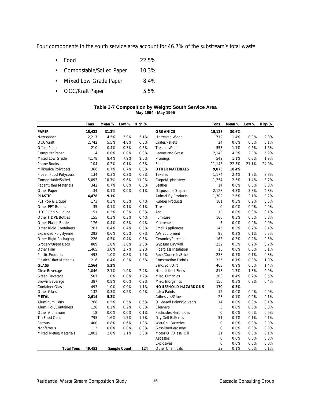Four components in the south service area account for 46.7% of the substream's total waste:

- Food 22.5%
- Compostable/Soiled Paper 10.3%
- Mixed Low Grade Paper 8.4%
- OCC/Kraft Paper 5.5%

#### **Table 3-7 Composition by Weight: South Service Area May 1994 - May 1995**

|                               | <b>Tons</b>    | Mean % | Low %        | High % |                            | <b>Tons</b>    | Mean % | Low % | High % |
|-------------------------------|----------------|--------|--------------|--------|----------------------------|----------------|--------|-------|--------|
| <b>PAPER</b>                  | 15,422         | 31.2%  |              |        | <b>ORGANICS</b>            | 15,128         | 30.6%  |       |        |
| Newspaper                     | 2,217          | 4.5%   | 3.9%         | 5.1%   | Untreated Wood             | 712            | 1.4%   | 0.8%  | 2.0%   |
| OCC/Kraft                     | 2,742          | 5.5%   | 4.8%         | 6.3%   | Crates/Pallets             | 24             | 0.0%   | 0.0%  | 0.1%   |
| Office Paper                  | 210            | 0.4%   | 0.3%         | 0.5%   | <b>Treated Wood</b>        | 553            | 1.1%   | 0.6%  | 1.6%   |
| Computer Paper                | $\overline{4}$ | 0.0%   | 0.0%         | 0.0%   | <b>Leaves and Grass</b>    | 2,143          | 4.3%   | 2.8%  | 5.9%   |
| Mixed Low Grade               | 4,178          | 8.4%   | 7.9%         | 9.0%   | Prunings                   | 549            | 1.1%   | 0.3%  | 1.9%   |
| Phone Books                   | 104            | 0.2%   | 0.1%         | 0.3%   | Food                       | 11,146         | 22.5%  | 21.1% | 24.0%  |
| Milk/Juice Polycoats          | 366            | 0.7%   | 0.7%         | 0.8%   | <b>OTHER MATERIALS</b>     | 9,075          | 18.4%  |       |        |
| Frozen Food Polycoats         | 134            | 0.3%   | 0.2%         | 0.3%   | <b>Textiles</b>            | 1,174          | 2.4%   | 1.9%  | 2.8%   |
| Compostable/Soiled            | 5,093          | 10.3%  | 9.6%         | 11.0%  | Carpet/Upholstery          | 1,254          | 2.5%   | 1.4%  | 3.7%   |
| Paper/Other Materials         | 342            | 0.7%   | 0.6%         | 0.8%   | Leather                    | 14             | 0.0%   | 0.0%  | 0.0%   |
| Other Paper                   | 34             | 0.1%   | 0.0%         | 0.1%   | <b>Disposable Diapers</b>  | 2,128          | 4.3%   | 3.8%  | 4.8%   |
| <b>PLASTIC</b>                | 4,478          | 9.1%   |              |        | Animal By-Products         | 1,302          | 2.6%   | 2.1%  | 3.2%   |
| PET Pop & Liquor              | 173            | 0.3%   | 0.3%         | 0.4%   | <b>Rubber Products</b>     | 161            | 0.3%   | 0.2%  | 0.5%   |
| Other PET Bottles             | 35             | 0.1%   | 0.1%         | 0.1%   | <b>Tires</b>               | $\overline{0}$ | 0.0%   | 0.0%  | 0.0%   |
| HDPE Pop & Liquor             | 151            | 0.3%   | 0.3%         | 0.3%   | Ash                        | 18             | 0.0%   | 0.0%  | 0.1%   |
| Other HDPE Bottles            | 155            | 0.3%   | 0.3%         | 0.4%   | Furniture                  | 166            | 0.3%   | 0.0%  | 0.8%   |
| <b>Other Plastic Bottles</b>  | 176            | 0.4%   | 0.3%         | 0.4%   | Mattresses                 | 5              | 0.0%   | 0.0%  | 0.0%   |
| Other Rigid Containers        | 207            | 0.4%   | 0.4%         | 0.5%   | <b>Small Appliances</b>    | 145            | 0.3%   | 0.2%  | 0.4%   |
| <b>Expanded Polystyrene</b>   | 292            | 0.6%   | 0.5%         | 0.7%   | A/V Equipment              | 98             | 0.2%   | 0.1%  | 0.3%   |
| Other Rigid Packaging         | 226            | 0.5%   | 0.4%         | 0.5%   | Ceramics/Porcelain         | 163            | 0.3%   | 0.2%  | 0.5%   |
| Grocery/Bread Bags            | 889            | 1.8%   | 1.6%         | 2.0%   | Gypsum Drywall             | 232            | 0.5%   | 0.2%  | 0.7%   |
| Other Film                    | 1,465          | 3.0%   | 2.7%         | 3.2%   | Fiberglass Insulation      | 16             | 0.0%   | 0.0%  | 0.1%   |
| <b>Plastic Products</b>       | 493            | 1.0%   | 0.8%         | 1.2%   | Rock/Concrete/Brick        | 238            | 0.5%   | 0.1%  | 0.8%   |
| Plastic/Other Materials       | 216            | 0.4%   | 0.3%         | 0.5%   | <b>Construction Debris</b> | 325            | 0.7%   | 0.3%  | 1.0%   |
| <b>GLASS</b>                  | 2,564          | 5.2%   |              |        | Sand/Soil/Dirt             | 463            | 0.9%   | 0.5%  | 1.4%   |
| Clear Beverage                | 1,046          | 2.1%   | 1.9%         | 2.4%   | Non-distinct Fines         | 818            | 1.7%   | 1.3%  | 2.0%   |
| Green Beverage                | 507            | 1.0%   | 0.8%         | 1.2%   | Misc. Organics             | 208            | 0.4%   | 0.2%  | 0.6%   |
| Brown Beverage                | 387            | 0.8%   | 0.6%         | 0.9%   | Misc. Inorganics           | 150            | 0.3%   | 0.2%  | 0.4%   |
| <b>Container Glass</b>        | 493            | 1.0%   | 0.9%         | 1.1%   | <b>HOUSEHOLD HAZARDOUS</b> | 170            | 0.3%   |       |        |
| Other Glass                   | 132            | 0.3%   | 0.2%         | 0.4%   | <b>Latex Paints</b>        | 12             | 0.0%   | 0.0%  | 0.0%   |
| <b>METAL</b>                  | 2,614          | 5.3%   |              |        | Adhesives/Glues            | 28             | 0.1%   | 0.0%  | 0.1%   |
| Aluminum Cans                 | 268            | 0.5%   | 0.5%         | 0.6%   | Oil-based Paints/Solvents  | 14             | 0.0%   | 0.0%  | 0.1%   |
| Alum. Foil/Containers         | 120            | 0.2%   | 0.2%         | 0.3%   | Cleaners                   | 5              | 0.0%   | 0.0%  | 0.0%   |
| Other Aluminum                | 18             | 0.0%   | 0.0%         | 0.1%   | Pesticides/Herbicides      | $\mathbf 0$    | 0.0%   | 0.0%  | 0.0%   |
| Tin Food Cans                 | 795            | 1.6%   | 1.5%         | 1.7%   | Dry-Cell Batteries         | 51             | 0.1%   | 0.1%  | 0.1%   |
| Ferrous                       | 400            | 0.8%   | 0.6%         | 1.0%   | <b>Wet-Cell Batteries</b>  | $\Omega$       | 0.0%   | 0.0%  | 0.0%   |
| Nonferrous                    | 12             | 0.0%   | 0.0%         | 0.0%   | Gasoline/Kerosene          | 0              | 0.0%   | 0.0%  | 0.0%   |
| <b>Mixed Metals/Materials</b> | 1,002          | 2.0%   | 1.1%         | 3.0%   | Motor Oil/Diesel Oil       | 21             | 0.0%   | 0.0%  | 0.1%   |
|                               |                |        |              |        | Asbestos                   | $\mathbf 0$    | 0.0%   | 0.0%  | 0.0%   |
|                               |                |        |              |        | Explosives                 | $\mathbf 0$    | 0.0%   | 0.0%  | 0.0%   |
| <b>Total Tons</b>             | 49,452         |        | Sample Count | 124    | Other Chemicals            | 39             | 0.1%   | 0.0%  | 0.1%   |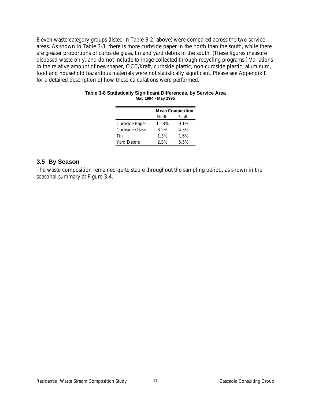Eleven waste category groups (listed in Table 3-2, above) were compared across the two service areas. As shown in Table 3-8, there is more curbside paper in the north than the south, while there are greater proportions of curbside glass, tin and yard debris in the south. (These figures measure disposed waste only, and do not include tonnage collected through recycling programs.) Variations in the relative amount of newspaper, OCC/Kraft, curbside plastic, non-curbside plastic, aluminum, food and household hazardous materials were not statistically significant. Please see Appendix E for a detailed description of how these calculations were performed.

|                    | <b>Mean Composition</b> |       |  |  |  |  |
|--------------------|-------------------------|-------|--|--|--|--|
|                    | North                   | South |  |  |  |  |
| Curbside Paper     | 11.8%                   | 9.1%  |  |  |  |  |
| Curbside Glass     | 3.2%                    | 4.3%  |  |  |  |  |
| Tin                | 1.3%                    | 1.6%  |  |  |  |  |
| <b>Yard Debris</b> | 2.3%                    | 5.5%  |  |  |  |  |

#### **Table 3-8 Statistically Significant Differences, by Service Area May 1994 - May 1995**

### **3.5 By Season**

The waste composition remained quite stable throughout the sampling period, as shown in the seasonal summary at Figure 3-4.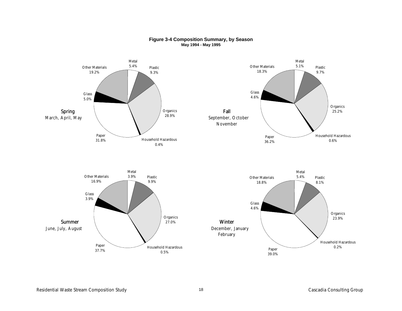

#### **Figure 3-4 Composition Summary, by Season May 1994 - May 1995**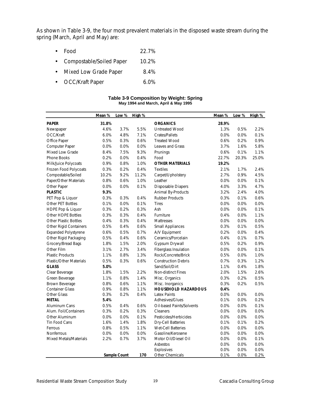As shown in Table 3-9, the four most prevalent materials in the disposed waste stream during the spring (March, April and May) are:

- Food 22.7%
- Compostable/Soiled Paper 10.2%
- Mixed Low Grade Paper 8.4%
- OCC/Kraft Paper 6.0%

#### **Table 3-9 Composition by Weight: Spring May 1994 and March, April & May 1995**

|                               | Mean % | Low %        | High % |                            | Mean % | Low % | High % |
|-------------------------------|--------|--------------|--------|----------------------------|--------|-------|--------|
| <b>PAPER</b>                  | 31.8%  |              |        | <b>ORGANICS</b>            | 28.9%  |       |        |
| Newspaper                     | 4.6%   | 3.7%         | 5.5%   | Untreated Wood             | 1.3%   | 0.5%  | 2.2%   |
| OCC/Kraft                     | 6.0%   | 4.8%         | 7.1%   | <b>Crates/Pallets</b>      | 0.0%   | 0.0%  | 0.1%   |
| Office Paper                  | 0.5%   | 0.3%         | 0.6%   | <b>Treated Wood</b>        | 0.6%   | 0.2%  | 0.9%   |
| <b>Computer Paper</b>         | 0.0%   | 0.0%         | 0.0%   | Leaves and Grass           | 3.7%   | 1.6%  | 5.8%   |
| Mixed Low Grade               | 8.4%   | 7.5%         | 9.3%   | Prunings                   | 0.6%   | 0.1%  | 1.1%   |
| Phone Books                   | 0.2%   | 0.0%         | 0.4%   | Food                       | 22.7%  | 20.3% | 25.0%  |
| Milk/Juice Polycoats          | 0.9%   | 0.8%         | 1.0%   | <b>OTHER MATERIALS</b>     | 19.2%  |       |        |
| Frozen Food Polycoats         | 0.3%   | 0.2%         | 0.4%   | <b>Textiles</b>            | 2.1%   | 1.7%  | 2.4%   |
| Compostable/Soiled            | 10.2%  | 9.2%         | 11.2%  | Carpet/Upholstery          | 2.7%   | 0.9%  | 4.5%   |
| Paper/Other Materials         | 0.8%   | 0.6%         | 1.0%   | Leather                    | 0.0%   | 0.0%  | 0.1%   |
| Other Paper                   | 0.0%   | 0.0%         | 0.1%   | Disposable Diapers         | 4.0%   | 3.3%  | 4.7%   |
| <b>PLASTIC</b>                | 9.3%   |              |        | Animal By-Products         | 3.2%   | 2.4%  | 4.0%   |
| PET Pop & Liquor              | 0.3%   | 0.3%         | 0.4%   | <b>Rubber Products</b>     | 0.3%   | 0.1%  | 0.6%   |
| Other PET Bottles             | 0.1%   | 0.0%         | 0.1%   | <b>Tires</b>               | 0.0%   | 0.0%  | 0.0%   |
| HDPE Pop & Liquor             | 0.3%   | 0.2%         | 0.3%   | Ash                        | 0.0%   | 0.0%  | 0.1%   |
| Other HDPE Bottles            | 0.3%   | 0.3%         | 0.4%   | Furniture                  | 0.4%   | 0.0%  | 1.1%   |
| <b>Other Plastic Bottles</b>  | 0.4%   | 0.3%         | 0.4%   | Mattresses                 | 0.0%   | 0.0%  | 0.0%   |
| <b>Other Rigid Containers</b> | 0.5%   | 0.4%         | 0.6%   | Small Appliances           | 0.3%   | 0.1%  | 0.5%   |
| <b>Expanded Polystyrene</b>   | 0.6%   | 0.5%         | 0.7%   | A/V Equipment              | 0.2%   | 0.0%  | 0.4%   |
| Other Rigid Packaging         | 0.5%   | 0.4%         | 0.6%   | Ceramics/Porcelain         | 0.4%   | 0.1%  | 0.7%   |
| Grocery/Bread Bags            | 1.8%   | 1.5%         | 2.0%   | Gypsum Drywall             | 0.5%   | 0.2%  | 0.9%   |
| Other Film                    | 3.1%   | 2.7%         | 3.4%   | Fiberglass Insulation      | 0.0%   | 0.0%  | 0.1%   |
| <b>Plastic Products</b>       | 1.1%   | 0.8%         | 1.3%   | Rock/Concrete/Brick        | 0.5%   | 0.0%  | 1.0%   |
| Plastic/Other Materials       | 0.5%   | 0.3%         | 0.6%   | <b>Construction Debris</b> | 0.7%   | 0.3%  | 1.2%   |
| <b>GLASS</b>                  | 5.0%   |              |        | Sand/Soil/Dirt             | 1.1%   | 0.4%  | 1.8%   |
| Clear Beverage                | 1.8%   | 1.5%         | 2.2%   | Non-distinct Fines         | 2.0%   | 1.5%  | 2.6%   |
| Green Beverage                | 1.1%   | 0.8%         | 1.4%   | Misc. Organics             | 0.3%   | 0.2%  | 0.5%   |
| Brown Beverage                | 0.8%   | 0.6%         | 1.1%   | Misc. Inorganics           | 0.3%   | 0.2%  | 0.5%   |
| <b>Container Glass</b>        | 0.9%   | 0.8%         | 1.1%   | <b>HOUSEHOLD HAZARDOUS</b> | 0.4%   |       |        |
| <b>Other Glass</b>            | 0.3%   | 0.2%         | 0.4%   | <b>Latex Paints</b>        | 0.0%   | 0.0%  | 0.0%   |
| <b>METAL</b>                  | 5.4%   |              |        | Adhesives/Glues            | 0.1%   | 0.0%  | 0.2%   |
| Aluminum Cans                 | 0.5%   | 0.4%         | 0.6%   | Oil-based Paints/Solvents  | 0.0%   | 0.0%  | 0.1%   |
| Alum. Foil/Containers         | 0.3%   | 0.2%         | 0.3%   | Cleaners                   | 0.0%   | 0.0%  | 0.0%   |
| Other Aluminum                | 0.0%   | 0.0%         | 0.1%   | Pesticides/Herbicides      | 0.0%   | 0.0%  | 0.0%   |
| Tin Food Cans                 | 1.6%   | 1.4%         | 1.8%   | <b>Dry-Cell Batteries</b>  | 0.1%   | 0.1%  | 0.2%   |
| Ferrous                       | 0.8%   | 0.5%         | 1.1%   | <b>Wet-Cell Batteries</b>  | 0.0%   | 0.0%  | 0.0%   |
| <b>Nonferrous</b>             | 0.0%   | 0.0%         | 0.0%   | Gasoline/Kerosene          | 0.0%   | 0.0%  | 0.0%   |
| <b>Mixed Metals/Materials</b> | 2.2%   | 0.7%         | 3.7%   | Motor Oil/Diesel Oil       | 0.0%   | 0.0%  | 0.1%   |
|                               |        |              |        | Asbestos                   | 0.0%   | 0.0%  | 0.0%   |
|                               |        |              |        | Explosives                 | 0.0%   | 0.0%  | 0.0%   |
|                               |        | Sample Count | 170    | Other Chemicals            | 0.1%   | 0.0%  | 0.2%   |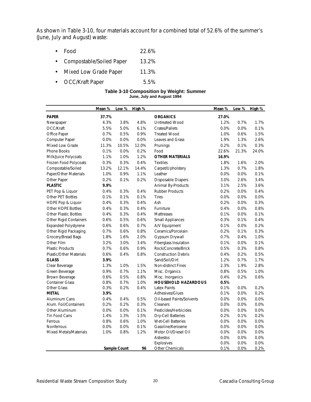As shown in Table 3-10, four materials account for a combined total of 52.6% of the summer's (June, July and August) waste:

- Food 22.6%
- Compostable/Soiled Paper 13.2%
- Mixed Low Grade Paper 11.3%
- OCC/Kraft Paper 5.5%

### **Table 3-10 Composition by Weight: Summer**

**June, July and August 1994**

|                              | Mean % | Low %        | High % |                            | Mean % | Low %   | High % |
|------------------------------|--------|--------------|--------|----------------------------|--------|---------|--------|
| <b>PAPER</b>                 | 37.7%  |              |        | <b>ORGANICS</b>            | 27.0%  |         |        |
| Newspaper                    | 4.3%   | 3.8%         | 4.8%   | Untreated Wood             | 1.2%   | 0.7%    | 1.7%   |
| OCC/Kraft                    | 5.5%   | 5.0%         | 6.1%   | <b>Crates/Pallets</b>      | 0.0%   | 0.0%    | 0.1%   |
| Office Paper                 | 0.7%   | 0.5%         | 0.9%   | <b>Treated Wood</b>        | 1.0%   | 0.6%    | 1.5%   |
| <b>Computer Paper</b>        | 0.0%   | 0.0%         | 0.0%   | Leaves and Grass           | 1.9%   | 1.3%    | 2.6%   |
| Mixed Low Grade              | 11.3%  | 10.5%        | 12.0%  | Prunings                   | 0.2%   | 0.1%    | 0.3%   |
| Phone Books                  | 0.1%   | 0.0%         | 0.2%   | Food                       | 22.6%  | 21.3%   | 24.0%  |
| Milk/Juice Polycoats         | 1.1%   | 1.0%         | 1.2%   | <b>OTHER MATERIALS</b>     | 16.9%  |         |        |
| Frozen Food Polycoats        | 0.3%   | 0.3%         | 0.4%   | <b>Textiles</b>            | 1.8%   | 1.6%    | 2.0%   |
| Compostable/Soiled           | 13.2%  | 12.1%        | 14.4%  | Carpet/Upholstery          | 1.3%   | 0.7%    | 1.8%   |
| Paper/Other Materials        | 1.0%   | 0.9%         | 1.1%   | Leather                    | 0.0%   | 0.0%    | 0.1%   |
| Other Paper                  | 0.2%   | 0.1%         | 0.2%   | <b>Disposable Diapers</b>  | 3.0%   | 2.6%    | 3.4%   |
| <b>PLASTIC</b>               | 9.9%   |              |        | Animal By-Products         | 3.1%   | 2.5%    | 3.6%   |
| PET Pop & Liquor             | 0.4%   | 0.3%         | 0.4%   | <b>Rubber Products</b>     | 0.2%   | 0.0%    | 0.4%   |
| <b>Other PET Bottles</b>     | 0.1%   | 0.1%         | 0.1%   | <b>Tires</b>               | 0.0%   | 0.0%    | 0.0%   |
| HDPE Pop & Liquor            | 0.4%   | 0.3%         | 0.4%   | Ash                        | 0.2%   | 0.0%    | 0.3%   |
| Other HDPE Bottles           | 0.4%   | 0.3%         | 0.4%   | Furniture                  | 0.4%   | 0.0%    | 0.8%   |
| <b>Other Plastic Bottles</b> | 0.4%   | 0.3%         | 0.4%   | Mattresses                 | 0.1%   | 0.0%    | 0.1%   |
| Other Rigid Containers       | 0.6%   | 0.5%         | 0.6%   | <b>Small Appliances</b>    | 0.3%   | 0.1%    | 0.4%   |
| <b>Expanded Polystyrene</b>  | 0.6%   | 0.6%         | 0.7%   | A/V Equipment              | 0.1%   | 0.0%    | 0.2%   |
| Other Rigid Packaging        | 0.7%   | 0.6%         | 0.8%   | Ceramics/Porcelain         | 0.2%   | 0.1%    | 0.3%   |
| Grocery/Bread Bags           | 1.8%   | 1.6%         | 2.0%   | Gypsum Drywall             | 0.7%   | 0.4%    | 1.0%   |
| Other Film                   | 3.2%   | 3.0%         | 3.4%   | Fiberglass Insulation      | 0.1%   | 0.0%    | 0.1%   |
| <b>Plastic Products</b>      | 0.7%   | 0.6%         | 0.9%   | Rock/Concrete/Brick        | 0.5%   | 0.3%    | 0.8%   |
| Plastic/Other Materials      | 0.6%   | 0.4%         | 0.8%   | <b>Construction Debris</b> | 0.4%   | 0.2%    | 0.5%   |
| <b>GLASS</b>                 | 3.9%   |              |        | Sand/Soil/Dirt             | 1.2%   | 0.7%    | 1.7%   |
| Clear Beverage               | 1.3%   | 1.0%         | 1.5%   | Non-distinct Fines         | 2.3%   | 1.9%    | 2.8%   |
| Green Beverage               | 0.9%   | 0.7%         | 1.1%   | Misc. Organics             | 0.8%   | 0.5%    | 1.0%   |
| Brown Beverage               | 0.6%   | 0.5%         | 0.8%   | Misc. Inorganics           | 0.4%   | 0.2%    | 0.6%   |
| <b>Container Glass</b>       | 0.8%   | 0.7%         | 1.0%   | <b>HOUSEHOLD HAZARDOUS</b> | 0.5%   |         |        |
| <b>Other Glass</b>           | 0.3%   | 0.2%         | 0.4%   | <b>Latex Paints</b>        | 0.1%   | $0.0\%$ | 0.2%   |
| <b>METAL</b>                 | 3.9%   |              |        | <b>Adhesives/Glues</b>     | 0.1%   | $0.0\%$ | 0.2%   |
| Aluminum Cans                | 0.4%   | 0.4%         | 0.5%   | Oil-based Paints/Solvents  | 0.0%   | $0.0\%$ | 0.0%   |
| Alum. Foil/Containers        | 0.2%   | 0.2%         | 0.3%   | Cleaners                   | 0.0%   | $0.0\%$ | 0.0%   |
| Other Aluminum               | 0.0%   | 0.0%         | 0.1%   | Pesticides/Herbicides      | 0.0%   | 0.0%    | 0.0%   |
| Tin Food Cans                | 1.4%   | 1.3%         | 1.5%   | Dry-Cell Batteries         | 0.2%   | 0.1%    | 0.2%   |
| Ferrous                      | 0.8%   | 0.6%         | 1.0%   | <b>Wet-Cell Batteries</b>  | 0.0%   | 0.0%    | 0.0%   |
| Nonferrous                   | 0.0%   | 0.0%         | 0.1%   | Gasoline/Kerosene          | 0.0%   | 0.0%    | 0.0%   |
| Mixed Metals/Materials       | 1.0%   | 0.8%         | 1.2%   | Motor Oil/Diesel Oil       | 0.0%   | 0.0%    | 0.0%   |
|                              |        |              |        | Asbestos                   | 0.0%   | 0.0%    | 0.0%   |
|                              |        |              |        | Explosives                 | 0.0%   | 0.0%    | 0.0%   |
|                              |        | Sample Count | 96     | <b>Other Chemicals</b>     | 0.1%   | 0.0%    | 0.2%   |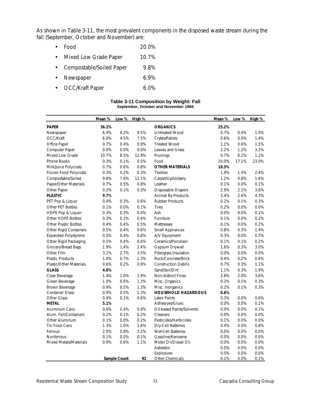As shown in Table 3-11, the most prevalent components in the disposed waste stream during the fall (September, October and November) are:

- Food 20.0%
- Mixed Low Grade Paper 10.7%
- Compostable/Soiled Paper 9.8%
- Newspaper 6.9%
- OCC/Kraft Paper 6.0%

#### **Table 3-11 Composition by Weight: Fall September, October and November 1994**

|                                | Mean % | Low %        | High % |                              | Mean % | Low % | High %  |
|--------------------------------|--------|--------------|--------|------------------------------|--------|-------|---------|
| <b>PAPER</b>                   | 36.2%  |              |        | <b>ORGANICS</b>              | 25.2%  |       |         |
| Newspaper                      | 6.9%   | 4.2%         | 9.5%   | Untreated Wood               | 0.7%   | 0.4%  | 1.0%    |
| OCC/Kraft                      | 6.0%   | 4.5%         | 7.5%   | Crates/Pallets               | 0.6%   | 0.0%  | 1.4%    |
| Office Paper                   | 0.7%   | 0.4%         | 0.9%   | <b>Treated Wood</b>          | 1.1%   | 0.6%  | 1.5%    |
| <b>Computer Paper</b>          | 0.0%   | 0.0%         | 0.0%   | Leaves and Grass             | 2.2%   | 1.2%  | 3.2%    |
| Mixed Low Grade                | 10.7%  | 8.5%         | 12.8%  | Prunings                     | 0.7%   | 0.2%  | 1.2%    |
| Phone Books                    | 0.3%   | 0.1%         | 0.5%   | Food                         | 20.0%  | 17.1% | 23.0%   |
| Milk/Juice Polycoats           | 0.7%   | 0.6%         | 0.8%   | <b>OTHER MATERIALS</b>       | 18.3%  |       |         |
| Frozen Food Polycoats          | 0.3%   | 0.2%         | 0.3%   | <b>Textiles</b>              | 1.9%   | 1.4%  | 2.4%    |
| Compostable/Soiled             | 9.8%   | 7.6%         | 12.1%  | Carpet/Upholstery            | 1.2%   | 0.8%  | 1.6%    |
| Paper/Other Materials          | 0.7%   | 0.5%         | 0.8%   | Leather                      | 0.1%   | 0.0%  | 0.1%    |
| Other Paper                    | 0.2%   | 0.1%         | 0.3%   | <b>Disposable Diapers</b>    | 2.9%   | 2.1%  | 3.6%    |
| <b>PLASTIC</b>                 | 9.7%   |              |        | Animal By-Products           | 3.4%   | 2.6%  | 4.3%    |
| PET Pop & Liquor               | 0.4%   | 0.3%         | 0.6%   | <b>Rubber Products</b>       | 0.2%   | 0.1%  | 0.3%    |
| Other PET Bottles              | 0.1%   | 0.0%         | 0.1%   | <b>Tires</b>                 | 0.2%   | 0.0%  | 0.0%    |
| HDPE Pop & Liquor              | 0.3%   | 0.3%         | 0.4%   | Ash                          | 0.0%   | 0.0%  | 0.1%    |
| Other HDPE Bottles             | 0.3%   | 0.2%         | 0.4%   | Furniture                    | 0.1%   | 0.0%  | 0.2%    |
| <b>Other Plastic Bottles</b>   | 0.4%   | 0.4%         | 0.5%   | Mattresses                   | 0.1%   | 0.0%  | 0.2%    |
| <b>Other Rigid Containers</b>  | 0.5%   | 0.4%         | 0.6%   | <b>Small Appliances</b>      | 0.8%   | 0.3%  | 1.4%    |
| <b>Expanded Polystyrene</b>    | 0.5%   | 0.4%         | 0.6%   | A/V Equipment                | 0.3%   | 0.0%  | 0.5%    |
| Other Rigid Packaging          | 0.5%   | 0.4%         | 0.6%   | Ceramics/Porcelain           | 0.1%   | 0.1%  | 0.2%    |
| Grocery/Bread Bags             | 1.9%   | 1.4%         | 2.4%   | Gypsum Drywall               | 1.6%   | 0.3%  | 3.0%    |
| Other Film                     | 3.1%   | 2.7%         | 3.5%   | <b>Fiberglass Insulation</b> | 0.0%   | 0.0%  | $0.0\%$ |
| <b>Plastic Products</b>        | 1.0%   | 0.7%         | 1.3%   | Rock/Concrete/Brick          | 0.4%   | 0.2%  | 0.6%    |
| <b>Plastic/Other Materials</b> | 0.6%   | 0.2%         | 0.9%   | <b>Construction Debris</b>   | 0.7%   | 0.3%  | 1.1%    |
| <b>GLASS</b>                   | 4.6%   |              |        | Sand/Soil/Dirt               | 1.1%   | 0.3%  | 1.9%    |
| Clear Beverage                 | 1.4%   | 1.0%         | 1.9%   | Non-distinct Fines           | 2.8%   | 2.0%  | 3.6%    |
| Green Beverage                 | 1.0%   | 0.6%         | 1.3%   | Misc. Organics               | 0.2%   | 0.1%  | 0.3%    |
| Brown Beverage                 | 0.9%   | 0.5%         | 1.3%   | Misc. Inorganics             | 0.2%   | 0.1%  | 0.3%    |
| <b>Container Glass</b>         | 0.9%   | 0.5%         | 1.3%   | <b>HOUSEHOLD HAZARDOUS</b>   | 0.6%   |       |         |
| <b>Other Glass</b>             | 0.4%   | 0.1%         | 0.6%   | <b>Latex Paints</b>          | 0.3%   | 0.0%  | 0.6%    |
| <b>METAL</b>                   | 5.1%   |              |        | Adhesives/Glues              | 0.0%   | 0.0%  | 0.1%    |
| Aluminum Cans                  | 0.6%   | 0.4%         | 0.9%   | Oil-based Paints/Solvents    | 0.0%   | 0.0%  | 0.1%    |
| Alum. Foil/Containers          | 0.2%   | 0.1%         | 0.2%   | Cleaners                     | 0.0%   | 0.0%  | 0.0%    |
| Other Aluminum                 | 0.1%   | 0.0%         | 0.2%   | Pesticides/Herbicides        | 0.1%   | 0.0%  | 0.0%    |
| Tin Food Cans                  | 1.3%   | 1.0%         | 1.6%   | <b>Dry-Cell Batteries</b>    | 0.4%   | 0.0%  | 0.8%    |
| Ferrous                        | 2.0%   | 0.8%         | 3.2%   | <b>Wet-Cell Batteries</b>    | 0.0%   | 0.0%  | 0.0%    |
| Nonferrous                     | 0.1%   | 0.0%         | 0.1%   | Gasoline/Kerosene            | 0.0%   | 0.0%  | 0.0%    |
| <b>Mixed Metals/Materials</b>  | 0.9%   | 0.6%         | 1.1%   | Motor Oil/Diesel Oil         | 0.0%   | 0.0%  | $0.0\%$ |
|                                |        |              |        | Asbestos                     | 0.0%   | 0.0%  | 0.0%    |
|                                |        |              |        | Explosives                   | 0.0%   | 0.0%  | 0.0%    |
|                                |        | Sample Count | 92     | Other Chemicals              | 0.1%   | 0.0%  | 0.1%    |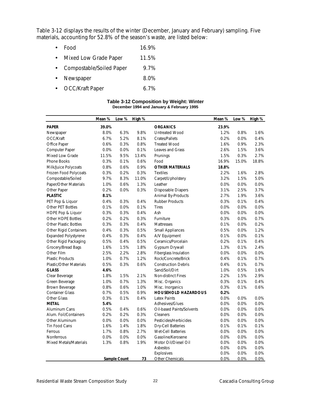Table 3-12 displays the results of the winter (December, January and February) sampling. Five materials, accounting for 52.8% of the season's waste, are listed below:

- Food 16.9%
- Mixed Low Grade Paper 11.5%
- Compostable/Soiled Paper 9.7%
- Newspaper 8.0%
- OCC/Kraft Paper 6.7%

#### **Table 3-12 Composition by Weight: Winter December 1994 and January & February 1995**

|                               | Mean % | Low %        | High % |                            | Mean % | Low % | High % |
|-------------------------------|--------|--------------|--------|----------------------------|--------|-------|--------|
| <b>PAPER</b>                  | 39.0%  |              |        | <b>ORGANICS</b>            | 23.9%  |       |        |
| Newspaper                     | 8.0%   | 6.3%         | 9.8%   | Untreated Wood             | 1.2%   | 0.8%  | 1.6%   |
| OCC/Kraft                     | 6.7%   | 5.2%         | 8.1%   | <b>Crates/Pallets</b>      | 0.2%   | 0.0%  | 0.4%   |
| Office Paper                  | 0.6%   | 0.3%         | 0.8%   | <b>Treated Wood</b>        | 1.6%   | 0.9%  | 2.3%   |
| <b>Computer Paper</b>         | 0.0%   | 0.0%         | 0.1%   | Leaves and Grass           | 2.6%   | 1.5%  | 3.6%   |
| Mixed Low Grade               | 11.5%  | 9.5%         | 13.4%  | Prunings                   | 1.5%   | 0.3%  | 2.7%   |
| Phone Books                   | 0.3%   | 0.1%         | 0.6%   | Food                       | 16.9%  | 15.0% | 18.8%  |
| Milk/Juice Polycoats          | 0.8%   | 0.6%         | 0.9%   | OTHER MATERIALS            | 18.8%  |       |        |
| Frozen Food Polycoats         | 0.3%   | 0.2%         | 0.3%   | <b>Textiles</b>            | 2.2%   | 1.6%  | 2.8%   |
| Compostable/Soiled            | 9.7%   | 8.3%         | 11.0%  | Carpet/Upholstery          | 3.2%   | 1.5%  | 5.0%   |
| Paper/Other Materials         | 1.0%   | 0.6%         | 1.3%   | Leather                    | 0.0%   | 0.0%  | 0.0%   |
| Other Paper                   | 0.2%   | 0.0%         | 0.3%   | Disposable Diapers         | 3.1%   | 2.5%  | 3.7%   |
| <b>PLASTIC</b>                | 8.1%   |              |        | <b>Animal By-Products</b>  | 2.7%   | 1.9%  | 3.6%   |
| PET Pop & Liquor              | 0.4%   | 0.3%         | 0.4%   | <b>Rubber Products</b>     | 0.3%   | 0.1%  | 0.4%   |
| Other PET Bottles             | 0.1%   | 0.0%         | 0.1%   | <b>Tires</b>               | 0.0%   | 0.0%  | 0.0%   |
| HDPE Pop & Liquor             | 0.3%   | 0.3%         | 0.4%   | Ash                        | 0.0%   | 0.0%  | 0.0%   |
| Other HDPE Bottles            | 0.2%   | 0.2%         | 0.3%   | Furniture                  | 0.3%   | 0.0%  | 0.7%   |
| <b>Other Plastic Bottles</b>  | 0.3%   | 0.3%         | 0.4%   | <b>Mattresses</b>          | 0.1%   | 0.0%  | 0.2%   |
| <b>Other Rigid Containers</b> | 0.4%   | 0.3%         | 0.5%   | <b>Small Appliances</b>    | 0.5%   | 0.0%  | 1.2%   |
| <b>Expanded Polystyrene</b>   | 0.4%   | 0.3%         | 0.4%   | A/V Equipment              | 0.1%   | 0.0%  | 0.1%   |
| Other Rigid Packaging         | 0.5%   | 0.4%         | 0.5%   | Ceramics/Porcelain         | 0.2%   | 0.1%  | 0.4%   |
| Grocery/Bread Bags            | 1.6%   | 1.5%         | 1.8%   | Gypsum Drywall             | 1.3%   | 0.1%  | 2.4%   |
| Other Film                    | 2.5%   | 2.2%         | 2.8%   | Fiberglass Insulation      | 0.0%   | 0.0%  | 0.0%   |
| <b>Plastic Products</b>       | 1.0%   | 0.7%         | 1.2%   | Rock/Concrete/Brick        | 0.4%   | 0.1%  | 0.7%   |
| Plastic/Other Materials       | 0.5%   | 0.3%         | 0.6%   | <b>Construction Debris</b> | 0.4%   | 0.1%  | 0.7%   |
| <b>GLASS</b>                  | 4.6%   |              |        | Sand/Soil/Dirt             | 1.0%   | 0.5%  | 1.6%   |
| Clear Beverage                | 1.8%   | 1.5%         | 2.1%   | Non-distinct Fines         | 2.2%   | 1.5%  | 2.9%   |
| Green Beverage                | 1.0%   | 0.7%         | 1.3%   | Misc. Organics             | 0.3%   | 0.1%  | 0.4%   |
| Brown Beverage                | 0.8%   | 0.6%         | 1.0%   | Misc. Inorganics           | 0.3%   | 0.1%  | 0.6%   |
| <b>Container Glass</b>        | 0.7%   | 0.5%         | 0.9%   | <b>HOUSEHOLD HAZARDOUS</b> | 0.2%   |       |        |
| <b>Other Glass</b>            | 0.3%   | 0.1%         | 0.4%   | <b>Latex Paints</b>        | 0.0%   | 0.0%  | 0.0%   |
| <b>METAL</b>                  | 5.4%   |              |        | Adhesives/Glues            | 0.0%   | 0.0%  | 0.0%   |
| Aluminum Cans                 | 0.5%   | 0.4%         | 0.6%   | Oil-based Paints/Solvents  | 0.0%   | 0.0%  | 0.0%   |
| Alum. Foil/Containers         | 0.2%   | 0.2%         | 0.3%   | Cleaners                   | 0.0%   | 0.0%  | 0.0%   |
| Other Aluminum                | 0.0%   | 0.0%         | 0.0%   | Pesticides/Herbicides      | 0.0%   | 0.0%  | 0.0%   |
| Tin Food Cans                 | 1.6%   | 1.4%         | 1.8%   | <b>Dry-Cell Batteries</b>  | 0.1%   | 0.1%  | 0.1%   |
| Ferrous                       | 1.7%   | 0.8%         | 2.7%   | <b>Wet-Cell Batteries</b>  | 0.0%   | 0.0%  | 0.0%   |
| Nonferrous                    | 0.0%   | 0.0%         | 0.0%   | Gasoline/Kerosene          | 0.0%   | 0.0%  | 0.0%   |
| <b>Mixed Metals/Materials</b> | 1.3%   | 0.8%         | 1.9%   | Motor Oil/Diesel Oil       | 0.0%   | 0.0%  | 0.0%   |
|                               |        |              |        | Asbestos                   | 0.0%   | 0.0%  | 0.0%   |
|                               |        |              |        | Explosives                 | 0.0%   | 0.0%  | 0.0%   |
|                               |        | Sample Count | 73     | <b>Other Chemicals</b>     | 0.0%   | 0.0%  | 0.0%   |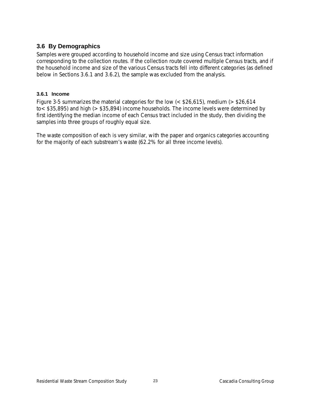### **3.6 By Demographics**

Samples were grouped according to household income and size using Census tract information corresponding to the collection routes. If the collection route covered multiple Census tracts, and if the household income and size of the various Census tracts fell into different categories (as defined below in Sections 3.6.1 and 3.6.2), the sample was excluded from the analysis.

### **3.6.1 Income**

Figure 3-5 summarizes the material categories for the low ( $<$  \$26,615), medium ( $>$  \$26,614 to<\$35,895) and high (>\$35,894) income households. The income levels were determined by first identifying the median income of each Census tract included in the study, then dividing the samples into three groups of roughly equal size.

The waste composition of each is very similar, with the paper and organics categories accounting for the majority of each substream's waste (62.2% for all three income levels).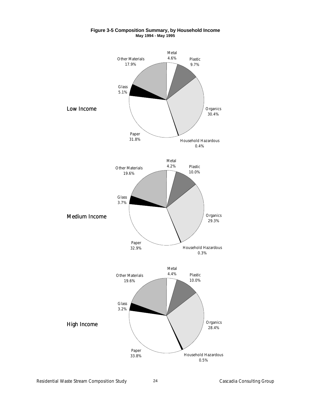

#### **Figure 3-5 Composition Summary, by Household Income May 1994 - May 1995**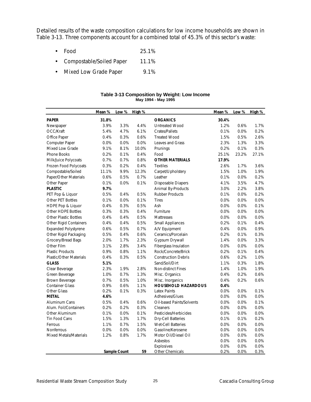Detailed results of the waste composition calculations for low income households are shown in Table 3-13. Three components account for a combined total of 45.3% of this sector's waste:

- Food 25.1%
- Compostable/Soiled Paper 11.1%
- Mixed Low Grade Paper 9.1%

#### **Table 3-13 Composition by Weight: Low Income May 1994 - May 1995**

|                               | Mean % | Low %        | High % |                            | Mean % | Low % | High % |
|-------------------------------|--------|--------------|--------|----------------------------|--------|-------|--------|
| <b>PAPER</b>                  | 31.8%  |              |        | <b>ORGANICS</b>            | 30.4%  |       |        |
| Newspaper                     | 3.9%   | 3.3%         | 4.4%   | Untreated Wood             | 1.2%   | 0.6%  | 1.7%   |
| OCC/Kraft                     | 5.4%   | 4.7%         | 6.1%   | <b>Crates/Pallets</b>      | 0.1%   | 0.0%  | 0.2%   |
| Office Paper                  | 0.4%   | 0.3%         | 0.6%   | <b>Treated Wood</b>        | 1.5%   | 0.5%  | 2.6%   |
| Computer Paper                | 0.0%   | 0.0%         | 0.0%   | Leaves and Grass           | 2.3%   | 1.3%  | 3.3%   |
| Mixed Low Grade               | 9.1%   | 8.1%         | 10.0%  | Prunings                   | 0.2%   | 0.1%  | 0.3%   |
| Phone Books                   | 0.2%   | 0.1%         | 0.4%   | Food                       | 25.1%  | 23.2% | 27.1%  |
| Milk/Juice Polycoats          | 0.7%   | 0.7%         | 0.8%   | <b>OTHER MATERIALS</b>     | 17.9%  |       |        |
| Frozen Food Polycoats         | 0.3%   | 0.2%         | 0.4%   | <b>Textiles</b>            | 2.6%   | 1.7%  | 3.6%   |
| Compostable/Soiled            | 11.1%  | 9.9%         | 12.3%  | Carpet/Upholstery          | 1.5%   | 1.0%  | 1.9%   |
| Paper/Other Materials         | 0.6%   | 0.5%         | 0.7%   | Leather                    | 0.1%   | 0.0%  | 0.2%   |
| Other Paper                   | 0.1%   | 0.0%         | 0.1%   | Disposable Diapers         | 4.1%   | 3.5%  | 4.7%   |
| <b>PLASTIC</b>                | 9.7%   |              |        | Animal By-Products         | 3.0%   | 2.2%  | 3.8%   |
| PET Pop & Liquor              | 0.5%   | 0.4%         | 0.5%   | <b>Rubber Products</b>     | 0.1%   | 0.0%  | 0.2%   |
| Other PET Bottles             | 0.1%   | 0.0%         | 0.1%   | <b>Tires</b>               | 0.0%   | 0.0%  | 0.0%   |
| HDPE Pop & Liquor             | 0.4%   | 0.3%         | 0.5%   | Ash                        | 0.0%   | 0.0%  | 0.1%   |
| Other HDPE Bottles            | 0.3%   | 0.3%         | 0.4%   | Furniture                  | 0.0%   | 0.0%  | 0.0%   |
| <b>Other Plastic Bottles</b>  | 0.4%   | 0.4%         | 0.5%   | Mattresses                 | 0.0%   | 0.0%  | 0.0%   |
| <b>Other Rigid Containers</b> | 0.4%   | 0.4%         | 0.5%   | <b>Small Appliances</b>    | 0.2%   | 0.1%  | 0.4%   |
| <b>Expanded Polystyrene</b>   | 0.6%   | 0.5%         | 0.7%   | A/V Equipment              | 0.4%   | 0.0%  | 0.9%   |
| Other Rigid Packaging         | 0.5%   | 0.4%         | 0.6%   | Ceramics/Porcelain         | 0.2%   | 0.1%  | 0.3%   |
| Grocery/Bread Bags            | 2.0%   | 1.7%         | 2.3%   | Gypsum Drywall             | 1.4%   | 0.0%  | 3.3%   |
| Other Film                    | 3.1%   | 2.8%         | 3.4%   | Fiberglass Insulation      | 0.0%   | 0.0%  | 0.0%   |
| <b>Plastic Products</b>       | 0.9%   | 0.8%         | 1.1%   | Rock/Concrete/Brick        | 0.2%   | 0.1%  | 0.4%   |
| Plastic/Other Materials       | 0.4%   | 0.3%         | 0.5%   | <b>Construction Debris</b> | 0.6%   | 0.2%  | 1.0%   |
| <b>GLASS</b>                  | 5.1%   |              |        | Sand/Soil/Dirt             | 1.1%   | 0.3%  | 1.8%   |
| Clear Beverage                | 2.3%   | 1.9%         | 2.8%   | Non-distinct Fines         | 1.4%   | 1.0%  | 1.9%   |
| Green Beverage                | 1.0%   | 0.7%         | 1.3%   | Misc. Organics             | 0.4%   | 0.2%  | 0.6%   |
| Brown Beverage                | 0.7%   | 0.5%         | 1.0%   | Misc. Inorganics           | 0.4%   | 0.2%  | 0.6%   |
| <b>Container Glass</b>        | 0.9%   | 0.6%         | 1.1%   | <b>HOUSEHOLD HAZARDOUS</b> | 0.4%   |       |        |
| <b>Other Glass</b>            | 0.2%   | 0.1%         | 0.3%   | Latex Paints               | 0.0%   | 0.0%  | 0.1%   |
| <b>METAL</b>                  | 4.6%   |              |        | <b>Adhesives/Glues</b>     | 0.0%   | 0.0%  | 0.0%   |
| Aluminum Cans                 | 0.5%   | 0.4%         | 0.6%   | Oil-based Paints/Solvents  | 0.0%   | 0.0%  | 0.1%   |
| Alum. Foil/Containers         | 0.2%   | 0.2%         | 0.3%   | Cleaners                   | 0.0%   | 0.0%  | 0.0%   |
| Other Aluminum                | 0.1%   | 0.0%         | 0.1%   | Pesticides/Herbicides      | 0.0%   | 0.0%  | 0.0%   |
| Tin Food Cans                 | 1.5%   | 1.3%         | 1.7%   | <b>Dry-Cell Batteries</b>  | 0.1%   | 0.1%  | 0.2%   |
| Ferrous                       | 1.1%   | 0.7%         | 1.5%   | <b>Wet-Cell Batteries</b>  | 0.0%   | 0.0%  | 0.0%   |
| Nonferrous                    | 0.0%   | 0.0%         | 0.0%   | Gasoline/Kerosene          | 0.0%   | 0.0%  | 0.0%   |
| <b>Mixed Metals/Materials</b> | 1.2%   | 0.8%         | 1.7%   | Motor Oil/Diesel Oil       | 0.0%   | 0.0%  | 0.0%   |
|                               |        |              |        | Asbestos                   | 0.0%   | 0.0%  | 0.0%   |
|                               |        |              |        | Explosives                 | 0.0%   | 0.0%  | 0.0%   |
|                               |        | Sample Count | 59     | Other Chemicals            | 0.2%   | 0.0%  | 0.3%   |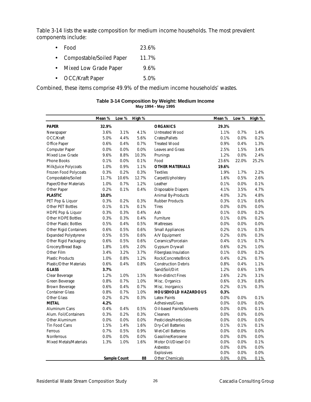Table 3-14 lists the waste composition for medium income households. The most prevalent components include:

- Food 23.6%
- Compostable/Soiled Paper 11.7%
- Mixed Low Grade Paper 9.6%
- OCC/Kraft Paper 5.0%

Combined, these items comprise 49.9% of the medium income households' wastes.

|                                | Mean % | Low %        | High % |                            | Mean % | Low % | High %  |
|--------------------------------|--------|--------------|--------|----------------------------|--------|-------|---------|
| <b>PAPER</b>                   | 32.9%  |              |        | <b>ORGANICS</b>            | 29.3%  |       |         |
| Newspaper                      | 3.6%   | 3.1%         | 4.1%   | Untreated Wood             | 1.1%   | 0.7%  | 1.4%    |
| OCC/Kraft                      | 5.0%   | 4.4%         | 5.6%   | <b>Crates/Pallets</b>      | 0.1%   | 0.0%  | 0.2%    |
| Office Paper                   | 0.6%   | 0.4%         | 0.7%   | <b>Treated Wood</b>        | 0.9%   | 0.4%  | 1.3%    |
| <b>Computer Paper</b>          | 0.0%   | 0.0%         | 0.0%   | Leaves and Grass           | 2.5%   | 1.5%  | 3.4%    |
| Mixed Low Grade                | 9.6%   | 8.8%         | 10.3%  | Prunings                   | 1.2%   | 0.0%  | 2.4%    |
| Phone Books                    | 0.1%   | 0.0%         | 0.1%   | Food                       | 23.6%  | 22.0% | 25.2%   |
| Milk/Juice Polycoats           | 1.0%   | 0.9%         | 1.1%   | <b>OTHER MATERIALS</b>     | 19.6%  |       |         |
| Frozen Food Polycoats          | 0.3%   | 0.2%         | 0.3%   | <b>Textiles</b>            | 1.9%   | 1.7%  | 2.2%    |
| Compostable/Soiled             | 11.7%  | 10.6%        | 12.7%  | Carpet/Upholstery          | 1.6%   | 0.5%  | 2.6%    |
| Paper/Other Materials          | 1.0%   | 0.7%         | 1.2%   | Leather                    | 0.1%   | 0.0%  | 0.1%    |
| Other Paper                    | 0.2%   | 0.1%         | 0.4%   | <b>Disposable Diapers</b>  | 4.1%   | 3.5%  | 4.7%    |
| <b>PLASTIC</b>                 | 10.0%  |              |        | Animal By-Products         | 4.0%   | 3.2%  | 4.8%    |
| PET Pop & Liquor               | 0.3%   | 0.2%         | 0.3%   | <b>Rubber Products</b>     | 0.3%   | 0.1%  | 0.6%    |
| Other PET Bottles              | 0.1%   | 0.1%         | 0.1%   | <b>Tires</b>               | 0.0%   | 0.0%  | 0.0%    |
| HDPE Pop & Liquor              | 0.3%   | 0.3%         | 0.4%   | Ash                        | 0.1%   | 0.0%  | 0.2%    |
| Other HDPE Bottles             | 0.3%   | 0.3%         | 0.4%   | Furniture                  | 0.1%   | 0.0%  | 0.2%    |
| <b>Other Plastic Bottles</b>   | 0.5%   | 0.4%         | 0.5%   | Mattresses                 | 0.0%   | 0.0%  | 0.0%    |
| <b>Other Rigid Containers</b>  | 0.6%   | 0.5%         | 0.6%   | <b>Small Appliances</b>    | 0.2%   | 0.1%  | 0.3%    |
| <b>Expanded Polystyrene</b>    | 0.5%   | 0.5%         | 0.6%   | A/V Equipment              | 0.2%   | 0.0%  | 0.3%    |
| Other Rigid Packaging          | 0.6%   | 0.5%         | 0.6%   | Ceramics/Porcelain         | 0.4%   | 0.1%  | 0.7%    |
| Grocery/Bread Bags             | 1.8%   | 1.6%         | 2.0%   | <b>Gypsum Drywall</b>      | 0.6%   | 0.2%  | 1.0%    |
| Other Film                     | 3.4%   | 3.2%         | 3.7%   | Fiberglass Insulation      | 0.1%   | 0.0%  | 0.2%    |
| <b>Plastic Products</b>        | 1.0%   | 0.8%         | 1.2%   | Rock/Concrete/Brick        | 0.4%   | 0.2%  | 0.7%    |
| <b>Plastic/Other Materials</b> | 0.6%   | 0.4%         | 0.8%   | <b>Construction Debris</b> | 0.8%   | 0.4%  | 1.1%    |
| <b>GLASS</b>                   | 3.7%   |              |        | Sand/Soil/Dirt             | 1.2%   | 0.6%  | 1.9%    |
| Clear Beverage                 | 1.2%   | 1.0%         | 1.5%   | Non-distinct Fines         | 2.6%   | 2.2%  | 3.1%    |
| Green Beverage                 | 0.8%   | 0.7%         | 1.0%   | Misc. Organics             | 0.6%   | 0.3%  | 0.8%    |
| Brown Beverage                 | 0.6%   | 0.4%         | 0.7%   | Misc. Inorganics           | 0.2%   | 0.1%  | 0.3%    |
| <b>Container Glass</b>         | 0.8%   | 0.7%         | 1.0%   | <b>HOUSEHOLD HAZARDOUS</b> | 0.3%   |       |         |
| Other Glass                    | 0.2%   | 0.2%         | 0.3%   | <b>Latex Paints</b>        | 0.0%   | 0.0%  | 0.1%    |
| <b>METAL</b>                   | 4.2%   |              |        | Adhesives/Glues            | 0.0%   | 0.0%  | 0.0%    |
| Aluminum Cans                  | 0.4%   | 0.4%         | 0.5%   | Oil-based Paints/Solvents  | 0.0%   | 0.0%  | 0.1%    |
| Alum. Foil/Containers          | 0.3%   | 0.2%         | 0.3%   | Cleaners                   | 0.0%   | 0.0%  | 0.0%    |
| Other Aluminum                 | 0.0%   | 0.0%         | 0.0%   | Pesticides/Herbicides      | 0.0%   | 0.0%  | 0.0%    |
| Tin Food Cans                  | 1.5%   | 1.4%         | 1.6%   | Dry-Cell Batteries         | 0.1%   | 0.1%  | 0.1%    |
| Ferrous                        | 0.7%   | 0.5%         | 0.9%   | <b>Wet-Cell Batteries</b>  | 0.0%   | 0.0%  | $0.0\%$ |
| Nonferrous                     | 0.0%   | 0.0%         | 0.0%   | Gasoline/Kerosene          | 0.0%   | 0.0%  | 0.0%    |
| <b>Mixed Metals/Materials</b>  | 1.3%   | 1.0%         | 1.6%   | Motor Oil/Diesel Oil       | 0.0%   | 0.0%  | 0.1%    |
|                                |        |              |        | Asbestos                   | 0.0%   | 0.0%  | $0.0\%$ |
|                                |        |              |        | Explosives                 | 0.0%   | 0.0%  | 0.0%    |
|                                |        | Sample Count | 88     | Other Chemicals            | 0.0%   | 0.0%  | 0.1%    |

#### **Table 3-14 Composition by Weight: Medium Income May 1994 - May 1995**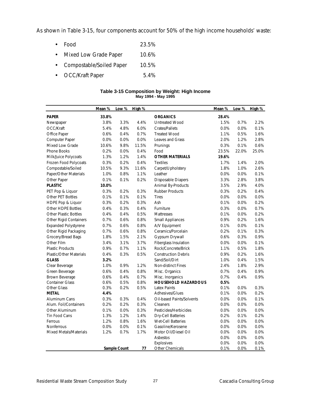As shown in Table 3-15, four components account for 50% of the high income households' waste:

- Food 23.5%
- Mixed Low Grade Paper 10.6%
- Compostable/Soiled Paper 10.5%
- OCC/Kraft Paper 5.4%

#### **Table 3-15 Composition by Weight: High Income May 1994 - May 1995**

|                                | Mean % | Low %        | High % |                              | Mean % | Low % | High % |
|--------------------------------|--------|--------------|--------|------------------------------|--------|-------|--------|
| <b>PAPER</b>                   | 33.8%  |              |        | <b>ORGANICS</b>              | 28.4%  |       |        |
| Newspaper                      | 3.8%   | 3.3%         | 4.4%   | Untreated Wood               | 1.5%   | 0.7%  | 2.2%   |
| OCC/Kraft                      | 5.4%   | 4.8%         | 6.0%   | <b>Crates/Pallets</b>        | 0.0%   | 0.0%  | 0.1%   |
| Office Paper                   | 0.6%   | 0.4%         | 0.7%   | <b>Treated Wood</b>          | 1.1%   | 0.5%  | 1.6%   |
| <b>Computer Paper</b>          | 0.0%   | 0.0%         | 0.0%   | <b>Leaves and Grass</b>      | 2.0%   | 1.2%  | 2.8%   |
| Mixed Low Grade                | 10.6%  | 9.8%         | 11.5%  | Prunings                     | 0.3%   | 0.1%  | 0.6%   |
| Phone Books                    | 0.2%   | 0.0%         | 0.4%   | Food                         | 23.5%  | 22.0% | 25.0%  |
| Milk/Juice Polycoats           | 1.3%   | 1.2%         | 1.4%   | <b>OTHER MATERIALS</b>       | 19.6%  |       |        |
| Frozen Food Polycoats          | 0.3%   | 0.2%         | 0.4%   | <b>Textiles</b>              | 1.7%   | 1.4%  | 2.0%   |
| Compostable/Soiled             | 10.5%  | 9.3%         | 11.6%  | Carpet/Upholstery            | 1.8%   | 1.0%  | 2.6%   |
| Paper/Other Materials          | 1.0%   | 0.8%         | 1.1%   | Leather                      | 0.0%   | 0.0%  | 0.1%   |
| Other Paper                    | 0.1%   | 0.1%         | 0.2%   | <b>Disposable Diapers</b>    | 3.3%   | 2.8%  | 3.8%   |
| <b>PLASTIC</b>                 | 10.0%  |              |        | Animal By-Products           | 3.5%   | 2.9%  | 4.0%   |
| PET Pop & Liquor               | 0.3%   | 0.2%         | 0.3%   | <b>Rubber Products</b>       | 0.3%   | 0.2%  | 0.4%   |
| <b>Other PET Bottles</b>       | 0.1%   | 0.1%         | 0.1%   | <b>Tires</b>                 | 0.0%   | 0.0%  | 0.0%   |
| HDPE Pop & Liquor              | 0.3%   | 0.2%         | 0.3%   | Ash                          | 0.1%   | 0.0%  | 0.2%   |
| Other HDPE Bottles             | 0.4%   | 0.3%         | 0.4%   | Furniture                    | 0.3%   | 0.0%  | 0.7%   |
| <b>Other Plastic Bottles</b>   | 0.4%   | 0.4%         | 0.5%   | Mattresses                   | 0.1%   | 0.0%  | 0.2%   |
| <b>Other Rigid Containers</b>  | 0.7%   | 0.6%         | 0.8%   | Small Appliances             | 0.9%   | 0.2%  | 1.6%   |
| <b>Expanded Polystyrene</b>    | 0.7%   | 0.6%         | 0.8%   | A/V Equipment                | 0.1%   | 0.0%  | 0.1%   |
| Other Rigid Packaging          | 0.7%   | 0.6%         | 0.8%   | Ceramics/Porcelain           | 0.2%   | 0.1%  | 0.3%   |
| Grocery/Bread Bags             | 1.8%   | 1.5%         | 2.1%   | Gypsum Drywall               | 0.6%   | 0.3%  | 0.9%   |
| Other Film                     | 3.4%   | 3.1%         | 3.7%   | <b>Fiberglass Insulation</b> | 0.0%   | 0.0%  | 0.1%   |
| <b>Plastic Products</b>        | 0.9%   | 0.7%         | 1.1%   | Rock/Concrete/Brick          | 1.1%   | 0.5%  | 1.8%   |
| <b>Plastic/Other Materials</b> | 0.4%   | 0.3%         | 0.5%   | <b>Construction Debris</b>   | 0.9%   | 0.2%  | 1.6%   |
| <b>GLASS</b>                   | 3.2%   |              |        | Sand/Soil/Dirt               | 1.0%   | 0.4%  | 1.5%   |
| Clear Beverage                 | 1.0%   | 0.9%         | 1.2%   | Non-distinct Fines           | 2.4%   | 1.8%  | 2.9%   |
| Green Beverage                 | 0.6%   | 0.4%         | 0.8%   | Misc. Organics               | 0.7%   | 0.4%  | 0.9%   |
| Brown Beverage                 | 0.6%   | 0.4%         | 0.7%   | Misc. Inorganics             | 0.7%   | 0.4%  | 0.9%   |
| <b>Container Glass</b>         | 0.6%   | 0.5%         | 0.8%   | <b>HOUSEHOLD HAZARDOUS</b>   | 0.5%   |       |        |
| Other Glass                    | 0.3%   | 0.2%         | 0.5%   | <b>Latex Paints</b>          | 0.1%   | 0.0%  | 0.3%   |
| <b>METAL</b>                   | 4.4%   |              |        | Adhesives/Glues              | 0.1%   | 0.0%  | 0.2%   |
| Aluminum Cans                  | 0.3%   | 0.3%         | 0.4%   | Oil-based Paints/Solvents    | 0.0%   | 0.0%  | 0.1%   |
| Alum. Foil/Containers          | 0.2%   | 0.2%         | 0.3%   | Cleaners                     | 0.0%   | 0.0%  | 0.0%   |
| Other Aluminum                 | 0.1%   | 0.0%         | 0.3%   | Pesticides/Herbicides        | 0.0%   | 0.0%  | 0.0%   |
| Tin Food Cans                  | 1.3%   | 1.2%         | 1.4%   | <b>Dry-Cell Batteries</b>    | 0.2%   | 0.1%  | 0.2%   |
| Ferrous                        | 1.2%   | 0.8%         | 1.6%   | <b>Wet-Cell Batteries</b>    | 0.0%   | 0.0%  | 0.0%   |
| Nonferrous                     | 0.0%   | 0.0%         | 0.1%   | Gasoline/Kerosene            | 0.0%   | 0.0%  | 0.0%   |
| <b>Mixed Metals/Materials</b>  | 1.2%   | 0.7%         | 1.7%   | Motor Oil/Diesel Oil         | 0.0%   | 0.0%  | 0.0%   |
|                                |        |              |        | Asbestos                     | 0.0%   | 0.0%  | 0.0%   |
|                                |        |              |        | Explosives                   | 0.0%   | 0.0%  | 0.0%   |
|                                |        | Sample Count | 77     | Other Chemicals              | 0.1%   | 0.0%  | 0.1%   |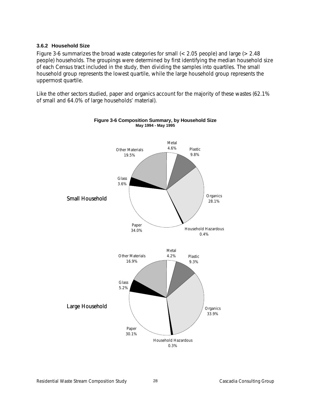### **3.6.2 Household Size**

Figure 3-6 summarizes the broad waste categories for small ( $<$  2.05 people) and large ( $>$  2.48 people) households. The groupings were determined by first identifying the median household size of each Census tract included in the study, then dividing the samples into quartiles. The small household group represents the lowest quartile, while the large household group represents the uppermost quartile.

Like the other sectors studied, paper and organics account for the majority of these wastes (62.1% of small and 64.0% of large households' material).



#### **Figure 3-6 Composition Summary, by Household Size May 1994 - May 1995**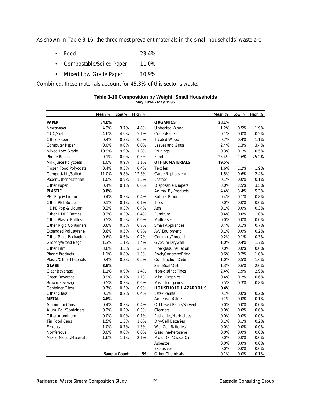As shown in Table 3-16, the three most prevalent materials in the small households' waste are:

- Food 23.4%
- Compostable/Soiled Paper 11.0%
- Mixed Low Grade Paper 10.9%

Combined, these materials account for 45.3% of this sector's waste.

#### **Table 3-16 Composition by Weight: Small Households May 1994 - May 1995**

|                                | Mean % | Low %        | High % |                            | Mean %  | Low % | High % |
|--------------------------------|--------|--------------|--------|----------------------------|---------|-------|--------|
| <b>PAPER</b>                   | 34.0%  |              |        | <b>ORGANICS</b>            | 28.1%   |       |        |
| Newspaper                      | 4.2%   | 3.7%         | 4.8%   | Untreated Wood             | 1.2%    | 0.5%  | 1.9%   |
| OCC/Kraft                      | 4.6%   | 4.0%         | 5.1%   | <b>Crates/Pallets</b>      | 0.1%    | 0.0%  | 0.2%   |
| Office Paper                   | 0.4%   | 0.3%         | 0.5%   | <b>Treated Wood</b>        | 0.7%    | 0.4%  | 1.1%   |
| <b>Computer Paper</b>          | 0.0%   | 0.0%         | 0.0%   | Leaves and Grass           | 2.4%    | 1.3%  | 3.4%   |
| Mixed Low Grade                | 10.9%  | 9.9%         | 11.8%  | Prunings                   | 0.3%    | 0.1%  | 0.5%   |
| Phone Books                    | 0.1%   | 0.0%         | 0.3%   | Food                       | 23.4%   | 21.6% | 25.2%  |
| Milk/Juice Polycoats           | 1.0%   | 0.9%         | 1.1%   | <b>OTHER MATERIALS</b>     | 19.5%   |       |        |
| Frozen Food Polycoats          | 0.4%   | 0.3%         | 0.4%   | <b>Textiles</b>            | 1.6%    | 1.2%  | 1.9%   |
| Compostable/Soiled             | 11.0%  | 9.8%         | 12.3%  | Carpet/Upholstery          | 1.5%    | 0.6%  | 2.4%   |
| Paper/Other Materials          | 1.0%   | 0.9%         | 1.2%   | Leather                    | 0.1%    | 0.0%  | 0.1%   |
| Other Paper                    | 0.4%   | 0.1%         | 0.6%   | <b>Disposable Diapers</b>  | 3.0%    | 2.5%  | 3.5%   |
| <b>PLASTIC</b>                 | 9.8%   |              |        | Animal By-Products         | 4.4%    | 3.4%  | 5.3%   |
| PET Pop & Liquor               | 0.4%   | 0.3%         | 0.4%   | <b>Rubber Products</b>     | 0.4%    | 0.1%  | 0.8%   |
| <b>Other PET Bottles</b>       | 0.1%   | 0.1%         | 0.1%   | <b>Tires</b>               | 0.0%    | 0.0%  | 0.0%   |
| HDPE Pop & Liquor              | 0.3%   | 0.3%         | 0.4%   | Ash                        | 0.1%    | 0.0%  | 0.3%   |
| <b>Other HDPE Bottles</b>      | 0.3%   | 0.3%         | 0.4%   | Furniture                  | 0.4%    | 0.0%  | 1.0%   |
| <b>Other Plastic Bottles</b>   | 0.5%   | 0.5%         | 0.6%   | Mattresses                 | 0.0%    | 0.0%  | 0.0%   |
| Other Rigid Containers         | 0.6%   | 0.5%         | 0.7%   | <b>Small Appliances</b>    | 0.4%    | 0.1%  | 0.7%   |
| <b>Expanded Polystyrene</b>    | 0.6%   | 0.5%         | 0.7%   | A/V Equipment              | 0.1%    | 0.0%  | 0.2%   |
| Other Rigid Packaging          | 0.6%   | 0.6%         | 0.7%   | Ceramics/Porcelain         | 0.2%    | 0.1%  | 0.3%   |
| Grocery/Bread Bags             | 1.3%   | 1.1%         | 1.4%   | Gypsum Drywall             | 1.0%    | 0.4%  | 1.7%   |
| Other Film                     | 3.6%   | 3.3%         | 3.8%   | Fiberglass Insulation      | 0.0%    | 0.0%  | 0.0%   |
| <b>Plastic Products</b>        | 1.1%   | 0.8%         | 1.3%   | Rock/Concrete/Brick        | 0.6%    | 0.2%  | 1.0%   |
| <b>Plastic/Other Materials</b> | 0.4%   | 0.3%         | 0.5%   | <b>Construction Debris</b> | 1.0%    | 0.5%  | 1.6%   |
| <b>GLASS</b>                   | 3.6%   |              |        | Sand/Soil/Dirt             | 1.3%    | 0.6%  | 2.0%   |
| Clear Beverage                 | 1.1%   | 0.9%         | 1.4%   | Non-distinct Fines         | 2.4%    | 1.9%  | 2.9%   |
| Green Beverage                 | 0.9%   | 0.7%         | 1.1%   | Misc. Organics             | 0.4%    | 0.2%  | 0.6%   |
| Brown Beverage                 | 0.5%   | 0.3%         | 0.6%   | Misc. Inorganics           | 0.5%    | 0.3%  | 0.8%   |
| <b>Container Glass</b>         | 0.7%   | 0.5%         | 0.9%   | <b>HOUSEHOLD HAZARDOUS</b> | 0.4%    |       |        |
| <b>Other Glass</b>             | 0.3%   | 0.2%         | 0.4%   | <b>Latex Paints</b>        | 0.1%    | 0.0%  | 0.2%   |
| <b>METAL</b>                   | 4.6%   |              |        | <b>Adhesives/Glues</b>     | 0.1%    | 0.0%  | 0.1%   |
| Aluminum Cans                  | 0.4%   | 0.3%         | 0.4%   | Oil-based Paints/Solvents  | 0.0%    | 0.0%  | 0.0%   |
| Alum. Foil/Containers          | 0.2%   | 0.2%         | 0.3%   | Cleaners                   | 0.0%    | 0.0%  | 0.0%   |
| Other Aluminum                 | 0.0%   | 0.0%         | 0.1%   | Pesticides/Herbicides      | 0.0%    | 0.0%  | 0.0%   |
| Tin Food Cans                  | 1.5%   | 1.3%         | 1.6%   | Dry-Cell Batteries         | 0.1%    | 0.1%  | 0.2%   |
| Ferrous                        | 1.0%   | 0.7%         | 1.3%   | <b>Wet-Cell Batteries</b>  | 0.0%    | 0.0%  | 0.0%   |
| Nonferrous                     | 0.0%   | 0.0%         | 0.0%   | Gasoline/Kerosene          | $0.0\%$ | 0.0%  | 0.0%   |
| <b>Mixed Metals/Materials</b>  | 1.6%   | 1.1%         | 2.1%   | Motor Oil/Diesel Oil       | 0.0%    | 0.0%  | 0.0%   |
|                                |        |              |        | Asbestos                   | 0.0%    | 0.0%  | 0.0%   |
|                                |        |              |        | Explosives                 | 0.0%    | 0.0%  | 0.0%   |
|                                |        | Sample Count | 59     | <b>Other Chemicals</b>     | 0.1%    | 0.0%  | 0.1%   |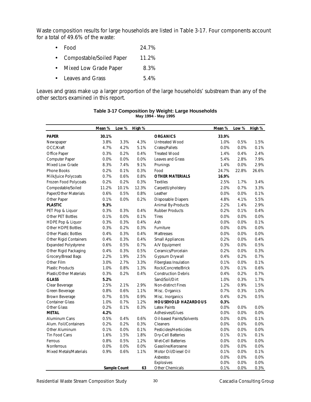Waste composition results for large households are listed in Table 3-17. Four components account for a total of 49.6% of the waste:

- Food 24.7%
- Compostable/Soiled Paper 11.2%
- Mixed Low Grade Paper 8.3%
- Leaves and Grass 5.4%

Leaves and grass make up a larger proportion of the large households' substream than any of the other sectors examined in this report.

|                               | Mean % | Low %        | High % |                              | Mean % | Low % | High %  |
|-------------------------------|--------|--------------|--------|------------------------------|--------|-------|---------|
| <b>PAPER</b>                  | 30.1%  |              |        | <b>ORGANICS</b>              | 33.9%  |       |         |
| Newspaper                     | 3.8%   | 3.3%         | 4.3%   | Untreated Wood               | 1.0%   | 0.5%  | 1.5%    |
| <b>OCC/Kraft</b>              | 4.7%   | 4.2%         | 5.1%   | <b>Crates/Pallets</b>        | 0.0%   | 0.0%  | 0.1%    |
| Office Paper                  | 0.3%   | 0.2%         | 0.4%   | <b>Treated Wood</b>          | 1.4%   | 0.4%  | 2.4%    |
| <b>Computer Paper</b>         | 0.0%   | 0.0%         | 0.0%   | <b>Leaves and Grass</b>      | 5.4%   | 2.8%  | 7.9%    |
| Mixed Low Grade               | 8.3%   | 7.4%         | 9.1%   | Prunings                     | 1.4%   | 0.0%  | 2.9%    |
| Phone Books                   | 0.2%   | 0.1%         | 0.3%   | Food                         | 24.7%  | 22.8% | 26.6%   |
| Milk/Juice Polycoats          | 0.7%   | 0.6%         | 0.8%   | <b>OTHER MATERIALS</b>       | 16.9%  |       |         |
| Frozen Food Polycoats         | 0.2%   | 0.2%         | 0.3%   | <b>Textiles</b>              | 2.5%   | 1.7%  | 3.4%    |
| Compostable/Soiled            | 11.2%  | 10.1%        | 12.3%  | Carpet/Upholstery            | 2.0%   | 0.7%  | 3.3%    |
| Paper/Other Materials         | 0.6%   | 0.5%         | 0.8%   | Leather                      | 0.0%   | 0.0%  | 0.1%    |
| Other Paper                   | 0.1%   | 0.0%         | 0.2%   | <b>Disposable Diapers</b>    | 4.8%   | 4.1%  | 5.5%    |
| <b>PLASTIC</b>                | 9.3%   |              |        | Animal By-Products           | 2.2%   | 1.4%  | 2.9%    |
| PET Pop & Liquor              | 0.3%   | 0.3%         | 0.4%   | <b>Rubber Products</b>       | 0.2%   | 0.1%  | 0.4%    |
| Other PET Bottles             | 0.1%   | 0.0%         | 0.1%   | <b>Tires</b>                 | 0.0%   | 0.0%  | 0.0%    |
| HDPE Pop & Liquor             | 0.3%   | 0.3%         | 0.4%   | Ash                          | 0.0%   | 0.0%  | 0.1%    |
| Other HDPE Bottles            | 0.3%   | 0.2%         | 0.3%   | Furniture                    | 0.0%   | 0.0%  | $0.0\%$ |
| <b>Other Plastic Bottles</b>  | 0.4%   | 0.3%         | 0.4%   | Mattresses                   | 0.0%   | 0.0%  | 0.0%    |
| <b>Other Rigid Containers</b> | 0.4%   | 0.3%         | 0.4%   | <b>Small Appliances</b>      | 0.2%   | 0.0%  | 0.4%    |
| <b>Expanded Polystyrene</b>   | 0.6%   | 0.5%         | 0.7%   | A/V Equipment                | 0.3%   | 0.0%  | 0.5%    |
| Other Rigid Packaging         | 0.4%   | 0.3%         | 0.5%   | Ceramics/Porcelain           | 0.2%   | 0.0%  | 0.3%    |
| Grocery/Bread Bags            | 2.2%   | 1.9%         | 2.5%   | Gypsum Drywall               | 0.4%   | 0.2%  | 0.7%    |
| Other Film                    | 3.0%   | 2.7%         | 3.3%   | <b>Fiberglass Insulation</b> | 0.1%   | 0.0%  | 0.1%    |
| <b>Plastic Products</b>       | 1.0%   | 0.8%         | 1.3%   | Rock/Concrete/Brick          | 0.3%   | 0.1%  | 0.6%    |
| Plastic/Other Materials       | 0.3%   | 0.2%         | 0.4%   | <b>Construction Debris</b>   | 0.4%   | 0.2%  | 0.7%    |
| <b>GLASS</b>                  | 5.2%   |              |        | Sand/Soil/Dirt               | 1.0%   | 0.3%  | 1.7%    |
| Clear Beverage                | 2.5%   | 2.1%         | 2.9%   | Non-distinct Fines           | 1.2%   | 0.9%  | 1.5%    |
| Green Beverage                | 0.8%   | 0.6%         | 1.1%   | Misc. Organics               | 0.7%   | 0.3%  | 1.0%    |
| Brown Beverage                | 0.7%   | 0.5%         | 0.9%   | Misc. Inorganics             | 0.4%   | 0.2%  | 0.5%    |
| <b>Container Glass</b>        | 1.0%   | 0.7%         | 1.2%   | <b>HOUSEHOLD HAZARDOUS</b>   | 0.3%   |       |         |
| <b>Other Glass</b>            | 0.2%   | 0.1%         | 0.3%   | <b>Latex Paints</b>          | 0.0%   | 0.0%  | 0.0%    |
| <b>METAL</b>                  | 4.2%   |              |        | <b>Adhesives/Glues</b>       | 0.0%   | 0.0%  | 0.0%    |
| Aluminum Cans                 | 0.5%   | 0.4%         | 0.6%   | Oil-based Paints/Solvents    | 0.0%   | 0.0%  | 0.1%    |
| Alum. Foil/Containers         | 0.2%   | 0.2%         | 0.3%   | Cleaners                     | 0.0%   | 0.0%  | 0.0%    |
| Other Aluminum                | 0.1%   | 0.0%         | 0.1%   | Pesticides/Herbicides        | 0.0%   | 0.0%  | 0.0%    |
| Tin Food Cans                 | 1.6%   | 1.5%         | 1.8%   | <b>Dry-Cell Batteries</b>    | 0.1%   | 0.1%  | 0.1%    |
| Ferrous                       | 0.8%   | 0.5%         | 1.2%   | <b>Wet-Cell Batteries</b>    | 0.0%   | 0.0%  | 0.0%    |
| <b>Nonferrous</b>             | 0.0%   | 0.0%         | 0.0%   | Gasoline/Kerosene            | 0.0%   | 0.0%  | 0.0%    |
| <b>Mixed Metals/Materials</b> | 0.9%   | 0.6%         | 1.1%   | Motor Oil/Diesel Oil         | 0.1%   | 0.0%  | 0.1%    |
|                               |        |              |        | Asbestos                     | 0.0%   | 0.0%  | 0.0%    |
|                               |        |              |        | Explosives                   | 0.0%   | 0.0%  | 0.0%    |
|                               |        | Sample Count | 63     | Other Chemicals              | 0.1%   | 0.0%  | 0.3%    |

#### **Table 3-17 Composition by Weight: Large Households May 1994 - May 1995**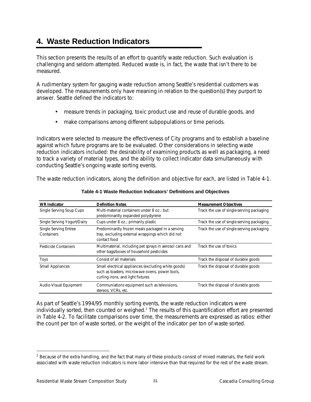# **4. Waste Reduction Indicators**

This section presents the results of an effort to quantify waste reduction. Such evaluation is challenging and seldom attempted. Reduced waste is, in fact, the waste that isn't there to be measured.

A rudimentary system for gauging waste reduction among Seattle's residential customers was developed. The measurements only have meaning in relation to the question(s) they purport to answer. Seattle defined the indicators to:

- measure trends in packaging, toxic product use and reuse of durable goods, and
- make comparisons among different subpopulations or time periods.

Indicators were selected to measure the effectiveness of City programs and to establish a baseline against which future programs are to be evaluated. Other considerations in selecting waste reduction indicators included: the desirability of examining products as well as packaging, a need to track a variety of material types, and the ability to collect indicator data simultaneously with conducting Seattle's ongoing waste sorting events.

The waste reduction indicators, along the definition and objective for each, are listed in Table 4-1.

| <b>WR Indicator</b>                 | <b>Definition Notes</b>                                                                                                                     | <b>Measurement Objectives</b>             |
|-------------------------------------|---------------------------------------------------------------------------------------------------------------------------------------------|-------------------------------------------|
| Single Serving Soup Cups            | Multi-material containers under 8 oz.: but<br>predominantly expanded polystyrene                                                            | Track the use of single-serving packaging |
| Single Serving Yogurt/Dairy         | Cups under 8 oz.; primarily plastic                                                                                                         | Track the use of single-serving packaging |
| Single Serving Entree<br>Containers | Predominantly frozen meals packaged in a serving<br>tray, excluding external wrappings which did not<br>contact food                        | Track the use of single-serving packaging |
| Pesticide Containers                | Multimaterial, including pet sprays in aerosol cans and<br>other bags/boxes of household pesticides                                         | Track the use of toxics                   |
| Toys                                | Consist of all materials                                                                                                                    | Track the disposal of durable goods       |
| <b>Small Appliances</b>             | Small electrical appliances (excluding white goods)<br>such as toasters, microwave ovens, power tools,<br>curling irons, and light fixtures | Track the disposal of durable goods       |
| Audio-Visual Equipment              | Communiations equipment such as televisions,<br>stereos, VCRs, etc.                                                                         | Track the disposal of durable goods       |

**Table 4-1 Waste Reduction Indicators' Definitions and Objectives**

As part of Seattle's 1994/95 monthly sorting events, the waste reduction indicators were individually sorted, then counted or weighed.<sup>2</sup> The results of this quantification effort are presented in Table 4-2. To facilitate comparisons over time, the measurements are expressed as ratios: either the count per ton of waste sorted, or the weight of the indicator per ton of waste sorted.

-

<sup>&</sup>lt;sup>2</sup> Because of the extra handling, and the fact that many of these products consist of mixed materials, the field work associated with waste reduction indicators is more labor intensive than that required for the rest of the waste stream.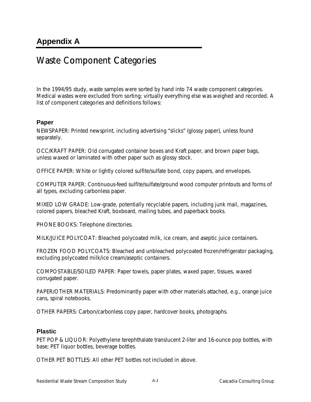# Waste Component Categories

In the 1994/95 study, waste samples were sorted by hand into 74 waste component categories. Medical wastes were excluded from sorting; virtually everything else was weighed and recorded. A list of component categories and definitions follows:

### **Paper**

*NEWSPAPER*: Printed newsprint, including advertising "slicks" (glossy paper), unless found separately.

*OCC/KRAFT PAPER*: Old corrugated container boxes and Kraft paper, and brown paper bags, unless waxed or laminated with other paper such as glossy stock.

*OFFICE PAPER*: White or lightly colored sulfite/sulfate bond, copy papers, and envelopes.

*COMPUTER PAPER*: Continuous-feed sulfite/sulfate/ground wood computer printouts and forms of all types, excluding carbonless paper.

*MIXED LOW GRADE*: Low-grade, potentially recyclable papers, including junk mail, magazines, colored papers, bleached Kraft, boxboard, mailing tubes, and paperback books.

*PHONE BOOKS*: Telephone directories.

*MILK/JUICE POLYCOAT*: Bleached polycoated milk, ice cream, and aseptic juice containers.

*FROZEN FOOD POLYCOATS*: Bleached and unbleached polycoated frozen/refrigerator packaging, excluding polycoated milk/ice cream/aseptic containers.

*COMPOSTABLE/SOILED PAPER*: Paper towels, paper plates, waxed paper, tissues, waxed corrugated paper.

*PAPER/OTHER MATERIALS*: Predominantly paper with other materials attached, e.g., orange juice cans, spiral notebooks.

*OTHER PAPERS*: Carbon/carbonless copy paper, hardcover books, photographs.

### **Plastic**

*PET POP & LIQUOR*: Polyethylene terephthalate translucent 2-liter and 16-ounce pop bottles, with base; PET liquor bottles, beverage bottles.

*OTHER PET BOTTLES*: All other PET bottles not included in above.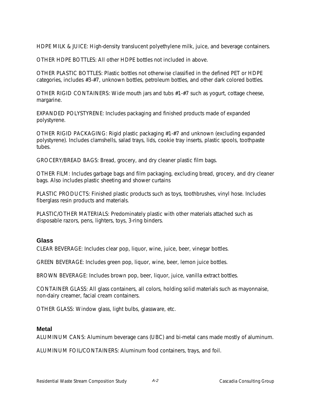*HDPE MILK & JUICE*: High-density translucent polyethylene milk, juice, and beverage containers.

*OTHER HDPE BOTTLES*: All other HDPE bottles not included in above.

*OTHER PLASTIC BOTTLES*: Plastic bottles not otherwise classified in the defined PET or HDPE categories, includes #3-#7, unknown bottles, petroleum bottles, and other dark colored bottles.

*OTHER RIGID CONTAINERS*: Wide mouth jars and tubs #1-#7 such as yogurt, cottage cheese, margarine.

*EXPANDED POLYSTYRENE*: Includes packaging and finished products made of expanded polystyrene.

*OTHER RIGID PACKAGING*: Rigid plastic packaging #1-#7 and unknown (excluding expanded polystyrene). Includes clamshells, salad trays, lids, cookie tray inserts, plastic spools, toothpaste tubes.

*GROCERY/BREAD BAGS*: Bread, grocery, and dry cleaner plastic film bags.

*OTHER FILM*: Includes garbage bags and film packaging, excluding bread, grocery, and dry cleaner bags. Also includes plastic sheeting and shower curtains

*PLASTIC PRODUCTS*: Finished plastic products such as toys, toothbrushes, vinyl hose. Includes fiberglass resin products and materials.

*PLASTIC/OTHER MATERIALS*: Predominately plastic with other materials attached such as disposable razors, pens, lighters, toys, 3-ring binders.

### **Glass**

*CLEAR BEVERAGE*: Includes clear pop, liquor, wine, juice, beer, vinegar bottles.

*GREEN BEVERAGE*: Includes green pop, liquor, wine, beer, lemon juice bottles.

*BROWN BEVERAGE*: Includes brown pop, beer, liquor, juice, vanilla extract bottles.

*CONTAINER GLASS*: All glass containers, all colors, holding solid materials such as mayonnaise, non-dairy creamer, facial cream containers.

*OTHER GLASS*: Window glass, light bulbs, glassware, etc.

### **Metal**

*ALUMINUM CANS*: Aluminum beverage cans (UBC) and bi-metal cans made mostly of aluminum.

*ALUMINUM FOIL/CONTAINERS*: Aluminum food containers, trays, and foil.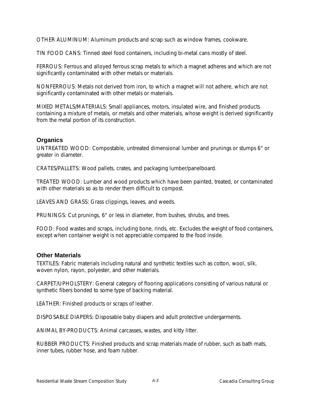*OTHER ALUMINUM*: Aluminum products and scrap such as window frames, cookware.

*TIN FOOD CANS*: Tinned steel food containers, including bi-metal cans mostly of steel.

*FERROUS*: Ferrous and alloyed ferrous scrap metals to which a magnet adheres and which are not significantly contaminated with other metals or materials.

*NONFERROUS*: Metals not derived from iron, to which a magnet will not adhere, which are not significantly contaminated with other metals or materials.

*MIXED METALS/MATERIALS*: Small appliances, motors, insulated wire, and finished products containing a mixture of metals, or metals and other materials, whose weight is derived significantly from the metal portion of its construction.

## **Organics**

*UNTREATED WOOD*: Compostable, untreated dimensional lumber and prunings or stumps 6" or greater in diameter.

*CRATES/PALLETS*: Wood pallets, crates, and packaging lumber/panelboard.

*TREATED WOOD*: Lumber and wood products which have been painted, treated, or contaminated with other materials so as to render them difficult to compost.

*LEAVES AND GRASS*: Grass clippings, leaves, and weeds.

*PRUNINGS*: Cut prunings, 6" or less in diameter, from bushes, shrubs, and trees.

*FOOD*: Food wastes and scraps, including bone, rinds, etc. Excludes the weight of food containers, except when container weight is not appreciable compared to the food inside.

## **Other Materials**

*TEXTILES*: Fabric materials including natural and synthetic textiles such as cotton, wool, silk, woven nylon, rayon, polyester, and other materials.

*CARPET/UPHOLSTERY*: General category of flooring applications consisting of various natural or synthetic fibers bonded to some type of backing material.

*LEATHER*: Finished products or scraps of leather.

*DISPOSABLE DIAPERS*: Disposable baby diapers and adult protective undergarments.

*ANIMAL BY-PRODUCTS*: Animal carcasses, wastes, and kitty litter.

*RUBBER PRODUCTS*: Finished products and scrap materials made of rubber, such as bath mats, inner tubes, rubber hose, and foam rubber.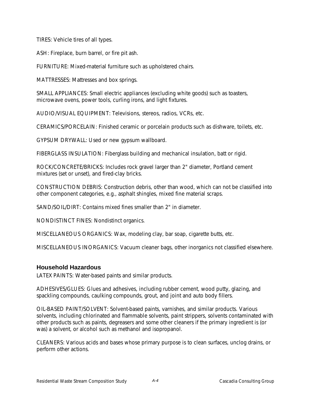*TIRES*: Vehicle tires of all types.

*ASH*: Fireplace, burn barrel, or fire pit ash.

*FURNITURE*: Mixed-material furniture such as upholstered chairs.

*MATTRESSES*: Mattresses and box springs.

*SMALL APPLIANCES*: Small electric appliances (excluding white goods) such as toasters, microwave ovens, power tools, curling irons, and light fixtures.

*AUDIO/VISUAL EQUIPMENT*: Televisions, stereos, radios, VCRs, etc.

*CERAMICS/PORCELAIN*: Finished ceramic or porcelain products such as dishware, toilets, etc.

*GYPSUM DRYWALL*: Used or new gypsum wallboard.

*FIBERGLASS INSULATION*: Fiberglass building and mechanical insulation, batt or rigid.

*ROCK/CONCRETE/BRICKS*: Includes rock gravel larger than 2" diameter, Portland cement mixtures (set or unset), and fired-clay bricks.

*CONSTRUCTION DEBRIS*: Construction debris, other than wood, which can not be classified into other component categories, e.g., asphalt shingles, mixed fine material scraps.

*SAND/SOIL/DIRT*: Contains mixed fines smaller than 2" in diameter.

*NONDISTINCT FINES*: Nondistinct organics.

*MISCELLANEOUS ORGANICS*: Wax, modeling clay, bar soap, cigarette butts, etc.

*MISCELLANEOUS INORGANICS*: Vacuum cleaner bags, other inorganics not classified elsewhere.

## **Household Hazardous**

*LATEX PAINTS*: Water-based paints and similar products.

*ADHESIVES/GLUES*: Glues and adhesives, including rubber cement, wood putty, glazing, and spackling compounds, caulking compounds, grout, and joint and auto body fillers.

*OIL-BASED PAINT/SOLVENT*: Solvent-based paints, varnishes, and similar products. Various solvents, including chlorinated and flammable solvents, paint strippers, solvents contaminated with other products such as paints, degreasers and some other cleaners if the primary ingredient is (or was) a solvent, or alcohol such as methanol and isopropanol.

*CLEANERS*: Various acids and bases whose primary purpose is to clean surfaces, unclog drains, or perform other actions.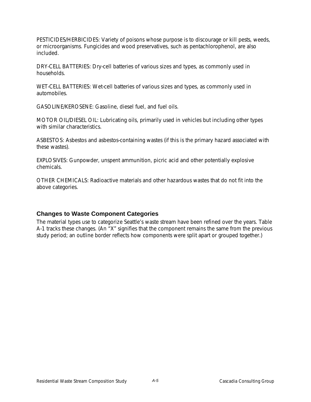*PESTICIDES/HERBICIDES*: Variety of poisons whose purpose is to discourage or kill pests, weeds, or microorganisms. Fungicides and wood preservatives, such as pentachlorophenol, are also included.

*DRY-CELL BATTERIES*: Dry-cell batteries of various sizes and types, as commonly used in households.

*WET-CELL BATTERIES*: Wet-cell batteries of various sizes and types, as commonly used in automobiles.

*GASOLINE/KEROSENE*: Gasoline, diesel fuel, and fuel oils.

*MOTOR OIL/DIESEL OIL*: Lubricating oils, primarily used in vehicles but including other types with similar characteristics.

*ASBESTOS*: Asbestos and asbestos-containing wastes (if this is the primary hazard associated with these wastes).

*EXPLOSIVES*: Gunpowder, unspent ammunition, picric acid and other potentially explosive chemicals.

*OTHER CHEMICALS*: Radioactive materials and other hazardous wastes that do not fit into the above categories.

## **Changes to Waste Component Categories**

The material types use to categorize Seattle's waste stream have been refined over the years. Table A-1 tracks these changes. (An "X" signifies that the component remains the same from the previous study period; an outline border reflects how components were split apart or grouped together.)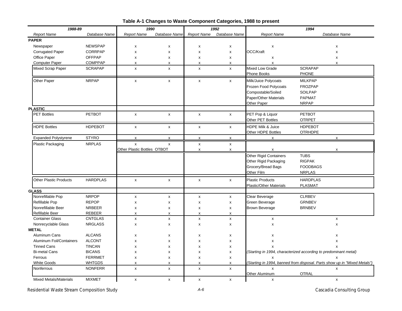| 1988-89                       |                 | 1990                        |                    | 1992               |                    | 1994                           |                                                                           |  |
|-------------------------------|-----------------|-----------------------------|--------------------|--------------------|--------------------|--------------------------------|---------------------------------------------------------------------------|--|
| <b>Report Name</b>            | Database Name   | <b>Report Name</b>          | Database Name      | <b>Report Name</b> | Database Name      | <b>Report Name</b>             | Database Name                                                             |  |
| <b>PAPER</b>                  |                 |                             |                    |                    |                    |                                |                                                                           |  |
| Newspaper                     | <b>NEWSPAP</b>  | X                           | X                  | x                  | $\pmb{\mathsf{x}}$ | $\pmb{\mathsf{x}}$             | X                                                                         |  |
| <b>Corrugated Paper</b>       | <b>CORRPAP</b>  | x                           | x                  | X                  | $\pmb{\times}$     | OCC/Kraft                      | X                                                                         |  |
| Office Paper                  | <b>OFFPAP</b>   | x                           | x                  | X                  | $\pmb{\mathsf{x}}$ | X                              | x                                                                         |  |
| <b>Computer Paper</b>         | COMPPAP         | x                           | x                  | X                  | X                  | $\mathsf{x}$                   | X                                                                         |  |
| Mixed Scrap Paper             | <b>SCRAPAP</b>  | X                           | X                  | x                  | $\pmb{\mathsf{x}}$ | Mixed Low Grade                | <b>SCRAPAP</b>                                                            |  |
|                               |                 |                             |                    |                    |                    | Phone Books                    | <b>PHONE</b>                                                              |  |
| Other Paper                   | <b>NRPAP</b>    | $\pmb{\chi}$                | $\pmb{\mathsf{X}}$ | $\pmb{\mathsf{X}}$ | $\pmb{\mathsf{X}}$ | Milk/Juice Polycoats           | <b>MILKPAP</b>                                                            |  |
|                               |                 |                             |                    |                    |                    | Frozen Food Polycoats          | <b>FROZPAP</b>                                                            |  |
|                               |                 |                             |                    |                    |                    | Compostable/Soiled             | <b>SOILPAP</b>                                                            |  |
|                               |                 |                             |                    |                    |                    | Paper/Other Materials          | <b>PAPMAT</b>                                                             |  |
|                               |                 |                             |                    |                    |                    | Other Paper                    | <b>NRPAP</b>                                                              |  |
| <b>PLASTIC</b>                |                 |                             |                    |                    |                    |                                |                                                                           |  |
| <b>PET Bottles</b>            | PETBOT          | $\pmb{\mathsf{x}}$          | $\pmb{\mathsf{X}}$ | $\pmb{\mathsf{x}}$ | $\pmb{\mathsf{x}}$ | PET Pop & Liquor               | PETBOT                                                                    |  |
|                               |                 |                             |                    |                    |                    | Other PET Bottles              | <b>OTRPET</b>                                                             |  |
| <b>HDPE Bottles</b>           | <b>HDPEBOT</b>  | $\pmb{\mathsf{x}}$          | $\pmb{\mathsf{x}}$ | x                  | $\pmb{\mathsf{x}}$ | HDPE Milk & Juice              | <b>HDPEBOT</b>                                                            |  |
|                               |                 |                             |                    |                    |                    | Other HDPE Bottles             | <b>OTRHDPE</b>                                                            |  |
| <b>Expanded Polystyrene</b>   | <b>STYRO</b>    | $\pmb{\mathsf{x}}$          | $\pmb{\mathsf{x}}$ | $\pmb{\mathsf{X}}$ | $\pmb{\mathsf{x}}$ | $\pmb{\chi}$                   | X                                                                         |  |
| <b>Plastic Packaging</b>      | <b>NRPLAS</b>   | $\pmb{\mathsf{x}}$          | $\pmb{\chi}$       | $\pmb{\mathsf{x}}$ | $\pmb{\mathsf{x}}$ |                                |                                                                           |  |
|                               |                 | Other Plastic Bottles OTBOT |                    | x                  | $\pmb{\mathsf{x}}$ | x                              | X                                                                         |  |
|                               |                 |                             |                    |                    |                    | Other Rigid Containers         | <b>TUBS</b>                                                               |  |
|                               |                 |                             |                    |                    |                    | Other Rigid Packaging          | <b>RIGPAK</b>                                                             |  |
|                               |                 |                             |                    |                    |                    | Grocery/Bread Bags             | <b>FOODBAGS</b>                                                           |  |
|                               |                 |                             |                    |                    |                    | Other Film                     | <b>NRPLAS</b>                                                             |  |
| <b>Other Plastic Products</b> | <b>HARDPLAS</b> | $\mathsf{x}$                | $\pmb{\chi}$       | $\pmb{\mathsf{x}}$ | $\pmb{\mathsf{x}}$ | <b>Plastic Products</b>        | <b>HARDPLAS</b>                                                           |  |
|                               |                 |                             |                    |                    |                    | <b>Plastic/Other Materials</b> | <b>PLASMAT</b>                                                            |  |
| <b>GLASS</b>                  |                 |                             |                    |                    |                    |                                |                                                                           |  |
| Nonrefillable Pop             | <b>NRPOP</b>    | X                           | X                  | x                  | $\pmb{\times}$     | Clear Beverage                 | <b>CLRBEV</b>                                                             |  |
| Refillable Pop                | <b>REPOP</b>    | X                           | $\pmb{\times}$     | X                  | $\pmb{\times}$     | Green Beverage                 | <b>GRNBEV</b>                                                             |  |
| Nonrefillable Beer            | <b>NRBEER</b>   | X                           | x                  | x                  | x                  | <b>Brown Beverage</b>          | <b>BRNBEV</b>                                                             |  |
| <b>Refillable Beer</b>        | <b>REBEER</b>   | X                           | X                  | x                  | X                  |                                |                                                                           |  |
| <b>Container Glass</b>        | <b>CNTGLAS</b>  | $\pmb{\mathsf{x}}$          | $\pmb{\mathsf{X}}$ | $\pmb{\mathsf{x}}$ | $\pmb{\times}$     | $\pmb{\mathsf{x}}$             | $\pmb{\times}$                                                            |  |
| Nonrecyclable Glass           | <b>NRGLASS</b>  | X                           | X                  | x                  | x                  | X                              | x                                                                         |  |
| <b>METAL</b>                  |                 |                             |                    |                    |                    |                                |                                                                           |  |
| Aluminum Cans                 | <b>ALCANS</b>   | x                           | x                  | x                  | X                  | $\boldsymbol{\mathsf{x}}$      | х                                                                         |  |
| Aluminum Foil/Containers      | <b>ALCONT</b>   | X                           | X                  | x                  | $\pmb{\times}$     | X                              | x                                                                         |  |
| <b>Tinned Cans</b>            | <b>TINCAN</b>   | X                           | x                  | x                  | X                  | X                              | x                                                                         |  |
| <b>Bi-metal Cans</b>          | <b>BICANS</b>   | x                           | X                  | X                  | $\pmb{\times}$     |                                | (Starting in 1994, characterized according to predominant metal)          |  |
| Ferrous                       | <b>FERRMET</b>  | $\pmb{\times}$              | $\pmb{\mathsf{X}}$ | x                  | $\pmb{\times}$     | X                              | X                                                                         |  |
| <b>White Goods</b>            | <b>WHTGDS</b>   | X                           | X                  | x                  | X                  |                                | (Starting in 1994, banned from disposal. Parts show up in "Mixed Metals") |  |
| Nonferrous                    | <b>NONFERR</b>  | $\pmb{\chi}$                | $\pmb{\mathsf{X}}$ | x                  | $\pmb{\mathsf{x}}$ | $\mathsf{x}$                   | x                                                                         |  |
|                               |                 |                             |                    |                    |                    | Other Aluminum                 | <b>OTRAL</b>                                                              |  |
| <b>Mixed Metals/Materials</b> | <b>MIXMET</b>   | $\pmb{\chi}$                | $\pmb{\mathsf{x}}$ | $\pmb{\mathsf{X}}$ | x                  | X                              | X                                                                         |  |

### **Table A-1 Changes to Waste Component Categories, 1988 to present**

*Residential Waste Stream Composition Study A-6 Cascadia Consulting Group*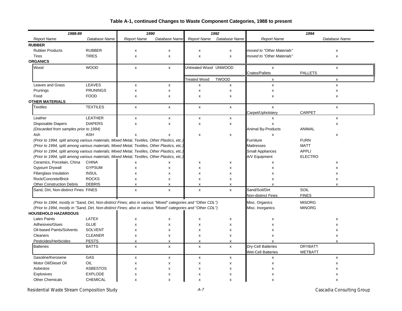### **Table A-1, continued Changes to Waste Component Categories, 1988 to present**

| 1988-89                                                                                                        |                 | 1990                      |                    |                       | 1992               | 1994                       |                |                    |
|----------------------------------------------------------------------------------------------------------------|-----------------|---------------------------|--------------------|-----------------------|--------------------|----------------------------|----------------|--------------------|
| <b>Report Name</b>                                                                                             | Database Name   | <b>Report Name</b>        | Database Name      | <b>Report Name</b>    | Database Name      | <b>Report Name</b>         |                | Database Name      |
| <b>RUBBER</b>                                                                                                  |                 |                           |                    |                       |                    |                            |                |                    |
| <b>Rubber Products</b>                                                                                         | <b>RUBBER</b>   | X                         | x                  | x                     | X                  | moved to "Other Materials" |                | X                  |
| <b>Tires</b>                                                                                                   | <b>TIRES</b>    | X                         | x                  | x                     | x                  | moved to "Other Materials" |                | x                  |
| <b>ORGANICS</b>                                                                                                |                 |                           |                    |                       |                    |                            |                |                    |
| Wood                                                                                                           | <b>WOOD</b>     | X                         | X                  | Untreated Wood UNWOOD |                    | x                          |                | $\pmb{\mathsf{X}}$ |
|                                                                                                                |                 |                           |                    |                       |                    | Crates/Pallets             | <b>PALLETS</b> |                    |
|                                                                                                                |                 |                           |                    | <b>Treated Wood</b>   | <b>TWOOD</b>       | X                          |                | x                  |
| <b>Leaves and Grass</b>                                                                                        | <b>LEAVES</b>   | $\mathsf{x}$              | $\mathsf{x}$       | X                     | X                  | $\mathsf{x}$               |                | $\mathsf{x}$       |
| Prunings                                                                                                       | <b>PRUNINGS</b> | X                         | X                  | X                     | x                  | x                          |                | X                  |
| Food                                                                                                           | <b>FOOD</b>     | X                         | x                  | x                     | $\pmb{\times}$     | $\mathsf{x}$               |                | X                  |
| <b>OTHER MATERIALS</b>                                                                                         |                 |                           |                    |                       |                    |                            |                |                    |
| <b>Textiles</b>                                                                                                | <b>TEXTILES</b> | $\mathsf{x}$              | x                  | $\mathsf{x}$          | x                  | $\mathsf{x}$               |                | x                  |
|                                                                                                                |                 |                           |                    |                       |                    | Carpet/Upholstery          | CARPET         |                    |
| Leather                                                                                                        | <b>LEATHER</b>  | $\pmb{\mathsf{x}}$        | x                  | x                     | $\pmb{\times}$     | x                          |                | $\pmb{\mathsf{x}}$ |
| Disposable Diapers                                                                                             | <b>DIAPERS</b>  | X                         | x                  | x                     | $\pmb{\times}$     | x                          |                | $\pmb{\mathsf{x}}$ |
| (Discarded from samples prior to 1994)                                                                         |                 |                           |                    |                       |                    | <b>Animal By-Products</b>  | <b>ANIMAL</b>  |                    |
| Ash                                                                                                            | <b>ASH</b>      | X                         | X                  | X                     | $\pmb{\mathsf{x}}$ | X                          |                | X                  |
| (Prior to 1994, split among various materials; Mixed Metal, Textiles, Other Plastics, etc.)                    |                 |                           |                    |                       |                    | Furniture                  | <b>FURN</b>    |                    |
| (Prior to 1994, split among various materials; Mixed Metal, Textiles, Other Plastics, etc.)                    |                 |                           |                    |                       |                    | <b>Mattresses</b>          | <b>MATT</b>    |                    |
| (Prior to 1994, split among various materials; Mixed Metal, Textiles, Other Plastics, etc.)                    |                 |                           |                    |                       |                    | Small Appliances           | <b>APPLI</b>   |                    |
| (Prior to 1994, split among various materials; Mixed Metal, Textiles, Other Plastics, etc.)                    |                 |                           |                    |                       |                    | A/V Equipment              | <b>ELECTRO</b> |                    |
| Ceramics, Porcelain, China                                                                                     | <b>CHINA</b>    | X                         | X                  | x                     | X                  | X                          |                | х                  |
| Gypsum Drywall                                                                                                 | <b>GYPSUM</b>   | x                         | X                  | X                     | x                  | x                          |                | x                  |
| <b>Fiberglass Insulation</b>                                                                                   | <b>INSUL</b>    | $\boldsymbol{\mathsf{x}}$ | X                  | x                     | X                  | X                          |                | x                  |
| Rock/Concrete/Brick                                                                                            | <b>ROCKS</b>    | x                         | x                  | X                     | x                  | x                          |                | X                  |
| <b>Other Construction Debris</b>                                                                               | <b>DEBRIS</b>   | $\boldsymbol{\mathsf{x}}$ | X                  | X                     | x                  | $\boldsymbol{\mathsf{x}}$  |                | X                  |
| Sand, Dirt, Non-distinct Fines FINES                                                                           |                 | $\pmb{\mathsf{x}}$        | $\pmb{\mathsf{x}}$ | $\pmb{\mathsf{x}}$    | $\pmb{\times}$     | Sand/Soil/Dirt             | SOIL           |                    |
|                                                                                                                |                 |                           |                    |                       |                    | Non-distinct Fines         | <b>FINES</b>   |                    |
| (Prior to 1994, mostly in "Sand, Dirt, Non-distinct Fines; also in various "Mixed" categories and "Other CDL") |                 |                           |                    |                       |                    | Misc. Organics             | <b>MISORG</b>  |                    |
| (Prior to 1994, mostly in "Sand, Dirt, Non-distinct Fines; also in various "Mixed" categories and "Other CDL") |                 |                           |                    |                       |                    | Misc. Inorganics           | <b>MINORG</b>  |                    |
| <b>HOUSEHOLD HAZARDOUS</b>                                                                                     |                 |                           |                    |                       |                    |                            |                |                    |
| <b>Latex Paints</b>                                                                                            | LATEX           | X                         | X                  | x                     | х                  | x                          |                | X                  |
| Adhesives/Glues                                                                                                | <b>GLUE</b>     | X                         | X                  | X                     | x                  | x                          |                | x                  |
| Oil-based Paints/Solvents                                                                                      | <b>SOLVENT</b>  | $\boldsymbol{\mathsf{x}}$ | X                  | X                     | X                  | X                          |                | X                  |
| Cleaners                                                                                                       | <b>CLEANER</b>  | x                         | X                  | X                     | x                  | x                          |                | X                  |
| Pesticides/Herbicides                                                                                          | <b>PESTS</b>    | $\mathsf{x}$              | X                  | $\mathsf{x}$          | x                  | X                          |                | X                  |
| <b>Batteries</b>                                                                                               | <b>BATTS</b>    | $\pmb{\mathsf{x}}$        | x                  | x                     | $\pmb{\times}$     | <b>Dry-Cell Batteries</b>  | <b>DRYBATT</b> |                    |
|                                                                                                                |                 |                           |                    |                       |                    | <b>Wet-Cell Batteries</b>  | <b>WETBATT</b> |                    |
| Gasoline/Kerosene                                                                                              | GAS             | X                         | X                  | x                     | $\pmb{\times}$     | x                          |                | x                  |
| Motor Oil/Diesel Oil                                                                                           | <b>OIL</b>      | X                         | X                  | x                     | x                  | x                          |                | X                  |
| Asbestos                                                                                                       | <b>ASBESTOS</b> | $\boldsymbol{\mathsf{x}}$ | X                  | $\pmb{\times}$        | X                  |                            |                |                    |
| <b>Explosives</b>                                                                                              | <b>EXPLODE</b>  | X                         | x                  | x                     | x                  | х<br>x                     |                |                    |
|                                                                                                                | <b>CHEMICAL</b> |                           |                    |                       |                    |                            |                |                    |
| <b>Other Chemicals</b>                                                                                         |                 | X                         | X                  | X                     | x                  | x                          |                | x                  |

*Residential Waste Stream Composition Study A-7 Cascadia Consulting Group*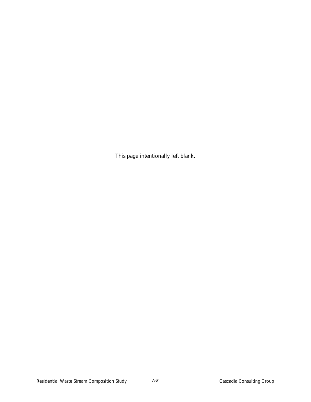This page intentionally left blank.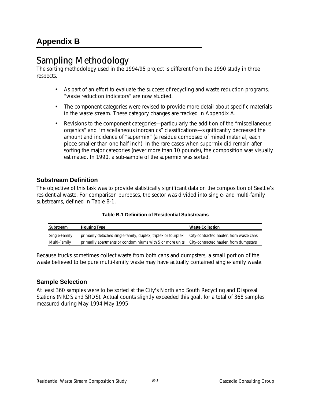# Sampling Methodology

The sorting methodology used in the 1994/95 project is different from the 1990 study in three respects.

- As part of an effort to evaluate the success of recycling and waste reduction programs, "waste reduction indicators" are now studied.
- The component categories were revised to provide more detail about specific materials in the waste stream. These category changes are tracked in Appendix A.
- Revisions to the component categories—particularly the addition of the "miscellaneous" organics" and "miscellaneous inorganics" classifications—significantly decreased the amount and incidence of "supermix" (a residue composed of mixed material, each piece smaller than one half inch). In the rare cases when supermix did remain after sorting the major categories (never more than 10 pounds), the composition was visually estimated. In 1990, a sub-sample of the supermix was sorted.

## **Substream Definition**

The objective of this task was to provide statistically significant data on the composition of Seattle's residential waste. For comparison purposes, the sector was divided into single- and multi-family substreams, defined in Table B-1.

| <b>Table B-1 Definition of Residential Substreams</b> |  |  |  |
|-------------------------------------------------------|--|--|--|
|-------------------------------------------------------|--|--|--|

| Substream     | <b>Housing Type</b>                                                                              | <b>Waste Collection</b>                 |
|---------------|--------------------------------------------------------------------------------------------------|-----------------------------------------|
| Single-Family | primarily detached single-family, duplex, triplex or fourplex                                    | City-contracted hauler, from waste cans |
| Multi-Family  | primarily apartments or condominiums with 5 or more units City-contracted hauler, from dumpsters |                                         |

Because trucks sometimes collect waste from both cans and dumpsters, a small portion of the waste believed to be pure multi-family waste may have actually contained single-family waste.

## **Sample Selection**

At least 360 samples were to be sorted at the City's North and South Recycling and Disposal Stations (NRDS and SRDS). Actual counts slightly exceeded this goal, for a total of 368 samples measured during May 1994-May 1995.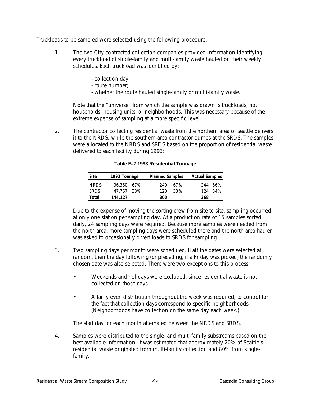Truckloads to be sampled were selected using the following procedure:

- 1. The two City-contracted collection companies provided information identifying every truckload of single-family and multi-family waste hauled on their weekly schedules. Each truckload was identified by:
	- collection day;
	- route number;
	- whether the route hauled single-family or multi-family waste.

Note that the "universe" from which the sample was drawn is truckloads, not households, housing units, or neighborhoods. This was necessary because of the extreme expense of sampling at a more specific level.

2. The contractor collecting residential waste from the northern area of Seattle delivers it to the NRDS, while the southern-area contractor dumps at the SRDS. The samples were allocated to the NRDS and SRDS based on the proportion of residential waste delivered to each facility during 1993:

| <b>Site</b> | 1993 Tonnage | <b>Planned Samples</b> |     | <b>Actual Samples</b> |         |
|-------------|--------------|------------------------|-----|-----------------------|---------|
| <b>NRDS</b> | 96.360 67%   | 240                    | 67% |                       | 244 66% |
| <b>SRDS</b> | 47.767 33%   | 120                    | 33% |                       | 124 34% |
| Total       | 144.127      | 360                    |     | 368                   |         |

**Table B-2 1993 Residential Tonnage**

Due to the expense of moving the sorting crew from site to site, sampling occurred at only one station per sampling day. At a production rate of 15 samples sorted daily, 24 sampling days were required. Because more samples were needed from the north area, more sampling days were scheduled there and the north area hauler was asked to occasionally divert loads to SRDS for sampling.

- 3. Two sampling days per month were scheduled. Half the dates were selected at random, then the day following (or preceding, if a Friday was picked) the randomly chosen date was also selected. There were two exceptions to this process:
	- Weekends and holidays were excluded, since residential waste is not collected on those days.
	- A fairly even distribution throughout the week was required, to control for the fact that collection days correspond to specific neighborhoods. (Neighborhoods have collection on the same day each week.)

The start day for each month alternated between the NRDS and SRDS.

4. Samples were distributed to the single- and multi-family substreams based on the best available information. It was estimated that approximately 20% of Seattle's residential waste originated from multi-family collection and 80% from singlefamily.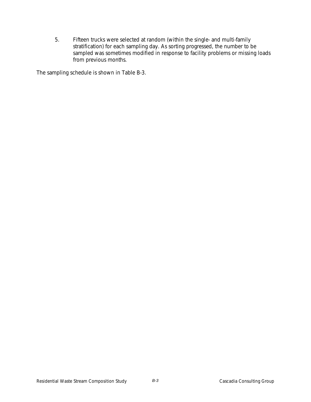5. Fifteen trucks were selected at random (within the single- and multi-family stratification) for each sampling day. As sorting progressed, the number to be sampled was sometimes modified in response to facility problems or missing loads from previous months.

The sampling schedule is shown in Table B-3.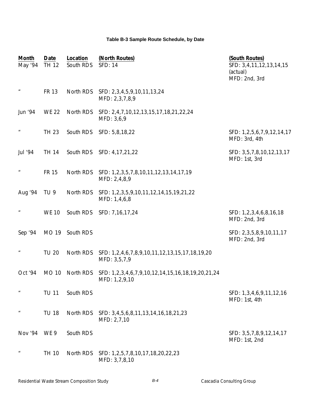**Table B-3 Sample Route Schedule, by Date**

| <b>Month</b><br>May '94   | Date<br>TH 12   | Location<br>South RDS | (North Routes)<br><b>SFD: 14</b>                                  | (South Routes)<br>SFD: 3,4,11,12,13,14,15<br>(actual)<br>MFD: 2nd, 3rd |
|---------------------------|-----------------|-----------------------|-------------------------------------------------------------------|------------------------------------------------------------------------|
| $\pmb{\mathit{u}}$        | <b>FR 13</b>    | North RDS             | SFD: 2,3,4,5,9,10,11,13,24<br>MFD: 2,3,7,8,9                      |                                                                        |
| Jun '94                   | <b>WE 22</b>    | North RDS             | SFD: 2,4,7,10,12,13,15,17,18,21,22,24<br>MFD: 3,6,9               |                                                                        |
| $\pmb{\mathit{u}}$        | TH 23           | South RDS             | SFD: 5,8,18,22                                                    | SFD: 1,2,5,6,7,9,12,14,17<br>MFD: 3rd, 4th                             |
| Jul '94                   | TH 14           | South RDS             | SFD: 4,17,21,22                                                   | SFD: 3,5,7,8,10,12,13,17<br>MFD: 1st, 3rd                              |
| $\pmb{\mathit{u}}$        | <b>FR 15</b>    | North RDS             | SFD: 1,2,3,5,7,8,10,11,12,13,14,17,19<br>MFD: 2,4,8,9             |                                                                        |
| Aug '94                   | TU <sub>9</sub> | North RDS             | SFD: 1,2,3,5,9,10,11,12,14,15,19,21,22<br>MFD: 1,4,6,8            |                                                                        |
| $\pmb{\mathit{u}}$        | <b>WE 10</b>    | South RDS             | SFD: 7,16,17,24                                                   | SFD: 1,2,3,4,6,8,16,18<br>MFD: 2nd, 3rd                                |
| Sep '94                   | MO 19           | South RDS             |                                                                   | SFD: 2,3,5,8,9,10,11,17<br>MFD: 2nd, 3rd                               |
| $\pmb{\mathit{u}}$        | <b>TU 20</b>    | North RDS             | SFD: 1,2,4,6,7,8,9,10,11,12,13,15,17,18,19,20<br>MFD: 3,5,7,9     |                                                                        |
| Oct '94                   | <b>MO 10</b>    | North RDS             | SFD: 1,2,3,4,6,7,9,10,12,14,15,16,18,19,20,21,24<br>MFD: 1,2,9,10 |                                                                        |
| $\pmb{\mathit{u}}$        | <b>TU 11</b>    | South RDS             |                                                                   | SFD: 1,3,4,6,9,11,12,16<br>MFD: 1st, 4th                               |
| $\boldsymbol{\mathit{u}}$ | <b>TU 18</b>    | North RDS             | SFD: 3,4,5,6,8,11,13,14,16,18,21,23<br>MFD: 2,7,10                |                                                                        |
| Nov '94                   | WE 9            | South RDS             |                                                                   | SFD: 3,5,7,8,9,12,14,17<br>MFD: 1st, 2nd                               |
| $\boldsymbol{\mathit{u}}$ | TH 10           | North RDS             | SFD: 1,2,5,7,8,10,17,18,20,22,23<br>MFD: 3,7,8,10                 |                                                                        |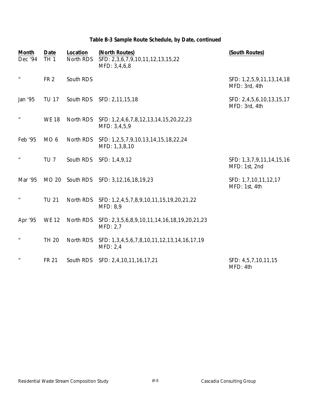## **Table B-3 Sample Route Schedule, by Date, continued**

| <b>Month</b><br>Dec '94   | <b>Date</b><br>TH <sub>1</sub> | Location<br>North RDS | (North Routes)<br>SFD: 2,3,6,7,9,10,11,12,13,15,22<br>MFD: 3,4,6,8 | (South Routes)                            |
|---------------------------|--------------------------------|-----------------------|--------------------------------------------------------------------|-------------------------------------------|
| $\pmb{\mathit{u}}$        | <b>FR2</b>                     | South RDS             |                                                                    | SFD: 1,2,5,9,11,13,14,18<br>MFD: 3rd, 4th |
| Jan '95                   | <b>TU 17</b>                   | South RDS             | SFD: 2,11,15,18                                                    | SFD: 2,4,5,6,10,13,15,17<br>MFD: 3rd, 4th |
| $\boldsymbol{\mathit{u}}$ | <b>WE 18</b>                   | North RDS             | SFD: 1,2,4,6,7,8,12,13,14,15,20,22,23<br>MFD: 3,4,5,9              |                                           |
| Feb '95                   | MO <sub>6</sub>                | North RDS             | SFD: 1,2,5,7,9,10,13,14,15,18,22,24<br>MFD: 1,3,8,10               |                                           |
| $\pmb{\mathit{u}}$        | TU <sub>7</sub>                | South RDS             | SFD: 1,4,9,12                                                      | SFD: 1,3,7,9,11,14,15,16<br>MFD: 1st, 2nd |
| Mar '95                   | MO 20                          | South RDS             | SFD: 3,12,16,18,19,23                                              | SFD: 1,7,10,11,12,17<br>MFD: 1st, 4th     |
| $\boldsymbol{\mathsf{u}}$ | <b>TU 21</b>                   | North RDS             | SFD: 1,2,4,5,7,8,9,10,11,15,19,20,21,22<br>MFD: 8,9                |                                           |
| Apr '95                   | <b>WE 12</b>                   | North RDS             | SFD: 2,3,5,6,8,9,10,11,14,16,18,19,20,21,23<br>MFD: 2,7            |                                           |
| $\boldsymbol{\mathsf{u}}$ | <b>TH 20</b>                   | North RDS             | SFD: 1,3,4,5,6,7,8,10,11,12,13,14,16,17,19<br>MFD: 2,4             |                                           |
| $\boldsymbol{\mu}$        | <b>FR 21</b>                   | South RDS             | SFD: 2,4,10,11,16,17,21                                            | SFD: 4,5,7,10,11,15<br>MFD: 4th           |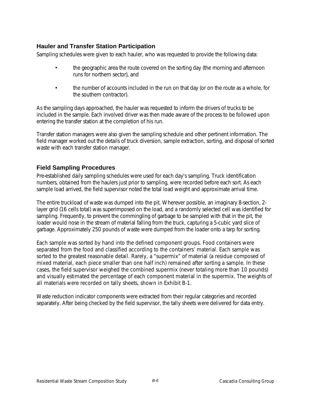## **Hauler and Transfer Station Participation**

Sampling schedules were given to each hauler, who was requested to provide the following data:

- the geographic area the route covered on the sorting day (the morning and afternoon runs for northern sector), and
- the number of accounts included in the run on that day (or on the route as a whole, for the southern contractor).

As the sampling days approached, the hauler was requested to inform the drivers of trucks to be included in the sample. Each involved driver was then made aware of the process to be followed upon entering the transfer station at the completion of his run.

Transfer station managers were also given the sampling schedule and other pertinent information. The field manager worked out the details of truck diversion, sample extraction, sorting, and disposal of sorted waste with each transfer station manager.

## **Field Sampling Procedures**

Pre-established daily sampling schedules were used for each day's sampling. Truck identification numbers, obtained from the haulers just prior to sampling, were recorded before each sort. As each sample load arrived, the field supervisor noted the total load weight and approximate arrival time.

The entire truckload of waste was dumped into the pit. Wherever possible, an imaginary 8-section, 2 layer grid (16 cells total) was superimposed on the load, and a randomly selected cell was identified for sampling. Frequently, to prevent the commingling of garbage to be sampled with that in the pit, the loader would nose in the stream of material falling from the truck, capturing a 5-cubic yard slice of garbage. Approximately 250 pounds of waste were dumped from the loader onto a tarp for sorting.

Each sample was sorted by hand into the defined component groups. Food containers were separated from the food and classified according to the containers' material. Each sample was sorted to the greatest reasonable detail. Rarely, a "supermix" of material (a residue composed of mixed material, each piece smaller than one half inch) remained after sorting a sample. In these cases, the field supervisor weighed the combined supermix (never totaling more than 10 pounds) and visually estimated the percentage of each component material in the supermix. The weights of all materials were recorded on tally sheets, shown in Exhibit B-1.

Waste reduction indicator components were extracted from their regular categories and recorded separately. After being checked by the field supervisor, the tally sheets were delivered for data entry.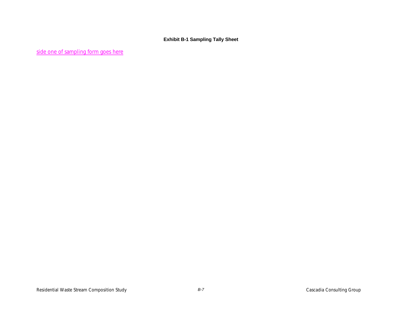**Exhibit B-1 Sampling Tally Sheet**

side one of sampling form goes here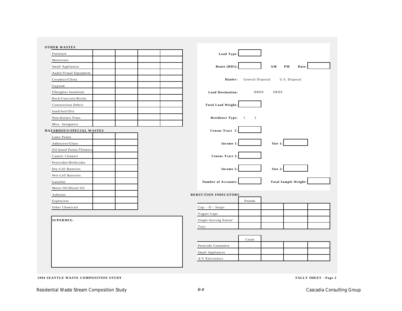#### **OTHER WASTES**

| Furniture                  |  |  | Load Type:                                      |
|----------------------------|--|--|-------------------------------------------------|
| Mattresses                 |  |  |                                                 |
| Small Appliances           |  |  | Route (RD1):<br>AM<br><b>PM</b><br>Date:        |
| Audio/Visual Equipment     |  |  |                                                 |
| Ceramics/China             |  |  | U.S. Disposal<br>General Disposal<br>Hauler:    |
| Gypsum                     |  |  |                                                 |
| Fiberglass Insulation      |  |  | <b>Load Destination:</b><br>SRDS<br><b>NRDS</b> |
| Rock/Concrete/Bricks       |  |  |                                                 |
| <b>Construction Debris</b> |  |  | <b>Total Load Weight:</b>                       |
| Sand/Soil/Dirt             |  |  |                                                 |
| Non-distinct Fines         |  |  | 2<br><b>Residence Type:</b><br>- 1              |
| Misc. Inorganics           |  |  |                                                 |

#### **HAZARDOUS/SPECIAL WASTES Census Tract 1:**

| Latex Paints              |                             |        |
|---------------------------|-----------------------------|--------|
| Adhesives/Glues           | Income 1:                   |        |
| Oil-based Paints/Thinners |                             |        |
| Caustic Cleaners          | Census Tract 2:             |        |
| Pesticides/Herbicides     |                             |        |
| Dry-Cell Batteries        | Income 2:                   |        |
| Wet-Cell Batteries        |                             |        |
| Gasoline                  | <b>Number of Accounts:</b>  |        |
| Motor Oil/Diesel Oil      |                             |        |
| Asbestos                  | <b>REDUCTION INDICATORS</b> |        |
| Explosives                |                             | Pounds |
| Other Chemicals           | $Cup - 'O - Soups$          |        |

| <b>IER WASTES</b>          |                                                                               |
|----------------------------|-------------------------------------------------------------------------------|
| Furniture                  | Load Type:                                                                    |
| Mattresses                 |                                                                               |
| Small Appliances           | Route (RD1):<br>$\mathbf{A}\,\mathbf{M}$<br>$\mathbf{P}\,\mathbf{M}$<br>Date: |
| Audio/Visual Equipment     |                                                                               |
| Ceramics/China             | General Disposal<br>U.S. Disposal<br>Hauler:                                  |
| Gypsum                     |                                                                               |
| Fiberglass Insulation      | <b>Load Destination:</b><br><b>NRDS</b><br>SRDS                               |
| Rock/Concrete/Bricks       |                                                                               |
| <b>Construction Debris</b> | Total Load Weight:                                                            |
| Sand/Soil/Dirt             |                                                                               |
| Non-distinct Fines         | Residence Type: 1<br>2                                                        |
| Misc. Inorganics           |                                                                               |
| ARDOUS/SPECIAL WASTES      | Census Tract 1:                                                               |
| Latex Paints               |                                                                               |
| Adhesives/Glues            | Income 1:<br>Size 1:                                                          |
| Oil-based Paints/Thinners  |                                                                               |
| Caustic Cleaners           | Census Tract 2:                                                               |
| Pesticides/Herbicides      |                                                                               |
| Dry-Cell Batteries         | Size 2:<br>Income 2:                                                          |
| Wet-Cell Batteries         |                                                                               |
| Gasoline                   | Total Sample Weight:<br><b>Number of Accounts:</b>                            |
| Motor Oil/Diesel Oil       |                                                                               |
| Asbestos                   | <b>REDUCTION INDICATORS</b>                                                   |
| Explosives                 | Pounds                                                                        |
| Other Chemicals            | Cup - 'O - Soups                                                              |
|                            | Yogurt Cups                                                                   |
| SUPERMIX:                  | Single-Serving Entree'                                                        |
|                            | Toys                                                                          |
|                            |                                                                               |
|                            | Count                                                                         |
|                            | Pesticide Containers                                                          |
|                            | Small Appliances                                                              |
|                            | A/V Electronics                                                               |
|                            |                                                                               |

**1994 SEATTLE WASTE COMPOSITION STUDY TALLY SHEET - Page 2**

 $\sim$ SUPERMIX:

*Residential Waste Stream Composition Study B-8 Cascadia Consulting Group*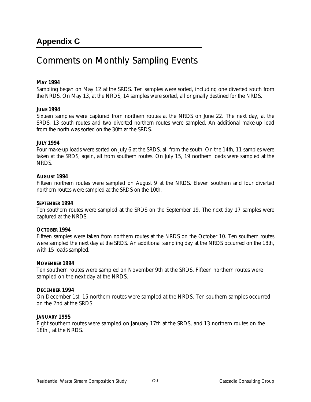# Comments on Monthly Sampling Events

### **MAY 1994**

Sampling began on May 12 at the SRDS. Ten samples were sorted, including one diverted south from the NRDS. On May 13, at the NRDS, 14 samples were sorted, all originally destined for the NRDS.

### **JUNE 1994**

Sixteen samples were captured from northern routes at the NRDS on June 22. The next day, at the SRDS, 13 south routes and two diverted northern routes were sampled. An additional make-up load from the north was sorted on the 30th at the SRDS.

### **JULY 1994**

Four make-up loads were sorted on July 6 at the SRDS, all from the south. On the 14th, 11 samples were taken at the SRDS, again, all from southern routes. On July 15, 19 northern loads were sampled at the NRDS.

### **AUGUST 1994**

Fifteen northern routes were sampled on August 9 at the NRDS. Eleven southern and four diverted northern routes were sampled at the SRDS on the 10th.

### **SEPTEMBER 1994**

Ten southern routes were sampled at the SRDS on the September 19. The next day 17 samples were captured at the NRDS.

### **OCTOBER 1994**

Fifteen samples were taken from northern routes at the NRDS on the October 10. Ten southern routes were sampled the next day at the SRDS. An additional sampling day at the NRDS occurred on the 18th, with 15 loads sampled.

### **NOVEMBER 1994**

Ten southern routes were sampled on November 9th at the SRDS. Fifteen northern routes were sampled on the next day at the NRDS.

### **DECEMBER 1994**

On December 1st, 15 northern routes were sampled at the NRDS. Ten southern samples occurred on the 2nd at the SRDS.

### **JANUARY 1995**

Eight southern routes were sampled on January 17th at the SRDS, and 13 northern routes on the 18th , at the NRDS.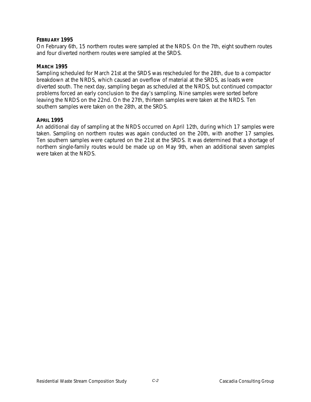### **FEBRUARY 1995**

On February 6th, 15 northern routes were sampled at the NRDS. On the 7th, eight southern routes and four diverted northern routes were sampled at the SRDS.

### **MARCH 1995**

Sampling scheduled for March 21st at the SRDS was rescheduled for the 28th, due to a compactor breakdown at the NRDS, which caused an overflow of material at the SRDS, as loads were diverted south. The next day, sampling began as scheduled at the NRDS, but continued compactor problems forced an early conclusion to the day's sampling. Nine samples were sorted before leaving the NRDS on the 22nd. On the 27th, thirteen samples were taken at the NRDS. Ten southern samples were taken on the 28th, at the SRDS.

### **APRIL 1995**

An additional day of sampling at the NRDS occurred on April 12th, during which 17 samples were taken. Sampling on northern routes was again conducted on the 20th, with another 17 samples. Ten southern samples were captured on the 21st at the SRDS. It was determined that a shortage of northern single-family routes would be made up on May 9th, when an additional seven samples were taken at the NRDS.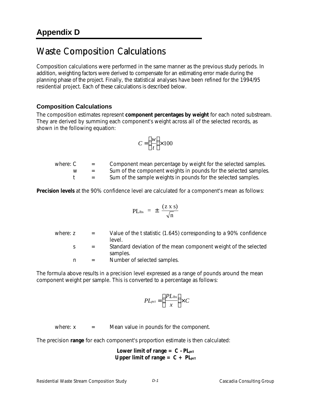# Waste Composition Calculations

Composition calculations were performed in the same manner as the previous study periods. In addition, weighting factors were derived to compensate for an estimating error made during the planning phase of the project. Finally, the statistical analyses have been refined for the 1994/95 residential project. Each of these calculations is described below.

## **Composition Calculations**

The composition estimates represent **component percentages by weight** for each noted substream. They are derived by summing each component's weight across all of the selected records, as shown in the following equation:

$$
C = \left(\frac{w}{t}\right) \times 100
$$

| where: C | $=$ | Component mean percentage by weight for the selected samples.    |
|----------|-----|------------------------------------------------------------------|
| W.       | $=$ | Sum of the component weights in pounds for the selected samples. |
|          | $=$ | Sum of the sample weights in pounds for the selected samples.    |

**Precision levels** at the 90% confidence level are calculated for a component's mean as follows:

$$
PL_{\text{lbs}} = \pm \frac{(z \times s)}{\sqrt{n}}
$$

| where: z | $=$ | Value of the t statistic (1.645) corresponding to a 90% confidence |
|----------|-----|--------------------------------------------------------------------|
|          |     | level.                                                             |
|          | $=$ | Standard deviation of the mean component weight of the selected    |
|          |     | samples.                                                           |

n = Number of selected samples.

The formula above results in a precision level expressed as a range of pounds around the mean component weight per sample. This is converted to a percentage as follows:

$$
PL_{pot} = \left(\frac{PL_{lbs}}{x}\right) \times C
$$

where:  $x =$  Mean value in pounds for the component.

The precision **range** for each component's proportion estimate is then calculated:

**Lower limit of range = C - PLpct Upper limit of range**  $= C + PL_{\text{pct}}$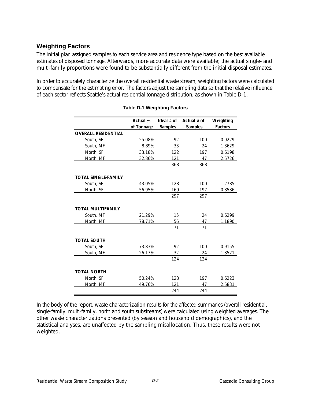## **Weighting Factors**

The initial plan assigned samples to each service area and residence type based on the best available estimates of disposed tonnage. Afterwards, more accurate data were available; the actual single- and multi-family proportions were found to be substantially different from the initial disposal estimates.

In order to accurately characterize the overall residential waste stream, weighting factors were calculated to compensate for the estimating error. The factors adjust the sampling data so that the relative influence of each sector reflects Seattle's actual residential tonnage distribution, as shown in Table D-1.

|                            | <b>Actual %</b> | Ideal $#$ of   | Actual # of    | Weighting      |
|----------------------------|-----------------|----------------|----------------|----------------|
|                            | of Tonnage      | <b>Samples</b> | <b>Samples</b> | <b>Factors</b> |
| <b>OVERALL RESIDENTIAL</b> |                 |                |                |                |
| South, SF                  | 25.08%          | 92             | 100            | 0.9229         |
| South, MF                  | 8.89%           | 33             | 24             | 1.3629         |
| North, SF                  | 33.18%          | 122            | 197            | 0.6198         |
| North, MF                  | 32.86%          | 121            | 47             | 2.5726         |
|                            |                 | 368            | 368            |                |
| <b>TOTAL SINGLE-FAMILY</b> |                 |                |                |                |
| South, SF                  | 43.05%          | 128            | 100            | 1.2785         |
| North, SF                  | 56.95%          | 169            | 197            | 0.8586         |
|                            |                 | 297            | 297            |                |
| TOTAL MULTIFAMILY          |                 |                |                |                |
| South, MF                  | 21.29%          | 15             | 24             | 0.6299         |
| North, MF                  | 78.71%          | 56             | 47             | 1.1890         |
|                            |                 | 71             | 71             |                |
| <b>TOTAL SOUTH</b>         |                 |                |                |                |
| South, SF                  | 73.83%          | 92             | 100            | 0.9155         |
| South, MF                  | 26.17%          | 32             | 24             | 1.3521         |
|                            |                 | 124            | 124            |                |
| <b>TOTAL NORTH</b>         |                 |                |                |                |
| North, SF                  | 50.24%          | 123            | 197            | 0.6223         |
| North, MF                  | 49.76%          | 121            | 47             | 2.5831         |
|                            |                 | 244            | 244            |                |

### **Table D-1 Weighting Factors**

In the body of the report, waste characterization results for the affected summaries (overall residential, single-family, multi-family, north and south substreams) were calculated using weighted averages. The other waste characterizations presented (by season and household demographics), and the statistical analyses, are unaffected by the sampling misallocation. Thus, these results were not weighted.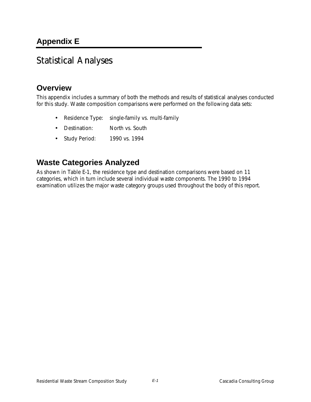# Statistical Analyses

## **Overview**

This appendix includes a summary of both the methods and results of statistical analyses conducted for this study. Waste composition comparisons were performed on the following data sets:

- Residence Type: single-family vs. multi-family
- Destination: North vs. South
- Study Period: 1990 vs. 1994

## **Waste Categories Analyzed**

As shown in Table E-1, the residence type and destination comparisons were based on 11 categories, which in turn include several individual waste components. The 1990 to 1994 examination utilizes the major waste category groups used throughout the body of this report.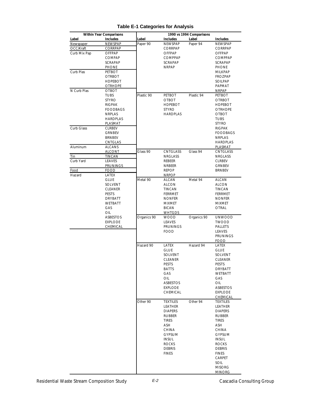| <b>Within Year Comparisons</b> |                 | 1990 vs 1994 Comparisons |                 |             |                 |  |
|--------------------------------|-----------------|--------------------------|-----------------|-------------|-----------------|--|
| Label                          | <b>Includes</b> | Label                    | <b>Includes</b> | Label       | <b>Includes</b> |  |
| Newspaper                      | NEWSPAP         | Paper 90                 | <b>NEWSPAP</b>  | Paper 94    | <b>NEWSPAP</b>  |  |
| OCC/Kraft                      | <b>CORRPAP</b>  |                          | CORRPAP         |             | <b>CORRPAP</b>  |  |
| Curb Mix Pap                   | OFFPAP          |                          | OFFPAP          |             | <b>OFFPAP</b>   |  |
|                                | COMPAP          |                          | <b>COMPPAP</b>  |             | COMPPAP         |  |
|                                | SCRAPAP         |                          | <b>SCRAPAP</b>  |             | SCRAPAP         |  |
|                                | <b>PHONE</b>    |                          | <b>NRPAP</b>    |             | <b>PHONE</b>    |  |
| Curb Plas                      | <b>PETBOT</b>   |                          |                 |             | MILKPAP         |  |
|                                | <b>OTRBOT</b>   |                          |                 |             | <b>FROZPAP</b>  |  |
|                                | <b>HDPEBOT</b>  |                          |                 |             | SOILPAP         |  |
|                                | <b>OTRHDPE</b>  |                          |                 |             | PAPMAT          |  |
| N Curb Plas                    | <b>OTBOT</b>    |                          |                 |             | <b>NRPAP</b>    |  |
|                                |                 | Plastic 90               | <b>PETBOT</b>   | Plastic 94  |                 |  |
|                                | <b>TUBS</b>     |                          |                 |             | PETBOT          |  |
|                                | <b>STYRO</b>    |                          | <b>OTBOT</b>    |             | OTRBOT          |  |
|                                | <b>RIGPAK</b>   |                          | <b>HDPEBOT</b>  |             | <b>HDPEBOT</b>  |  |
|                                | <b>FOODBAGS</b> |                          | <b>STYRO</b>    |             | <b>OTRHDPE</b>  |  |
|                                | <b>NRPLAS</b>   |                          | <b>HARDPLAS</b> |             | <b>OTBOT</b>    |  |
|                                | <b>HARDPLAS</b> |                          |                 |             | <b>TUBS</b>     |  |
|                                | PLASMAT         |                          |                 |             | <b>STYRO</b>    |  |
| Curb Glass                     | <b>CLRBEV</b>   |                          |                 |             | <b>RIGPAK</b>   |  |
|                                | <b>GRNBEV</b>   |                          |                 |             | <b>FOODBAGS</b> |  |
|                                | <b>BRNBEV</b>   |                          |                 |             | <b>NRPLAS</b>   |  |
|                                | CNTGLAS         |                          |                 |             | <b>HARDPLAS</b> |  |
| Aluminum                       | <b>ALCANS</b>   |                          |                 |             | PLASMAT         |  |
|                                | <b>ALCONT</b>   | Glass 90                 | <b>CNTGLASS</b> | Glass 94    | <b>CNTGLASS</b> |  |
| Tin                            | <b>TINCAN</b>   |                          | <b>NRGLASS</b>  |             | <b>NRGLASS</b>  |  |
| Curb Yard                      |                 |                          |                 |             |                 |  |
|                                | LEAVES          |                          | REBEER          |             | <b>CLRBEV</b>   |  |
|                                | <b>PRUNINGS</b> |                          | <b>NRBEER</b>   |             | <b>GRNBEV</b>   |  |
| Food                           | <b>FOOD</b>     |                          | <b>REPOP</b>    |             | <b>BRNBEV</b>   |  |
| Hazard                         | LATEX           |                          | <b>NRPOP</b>    |             |                 |  |
|                                | <b>GLUE</b>     | Metal 90                 | ALCAN           | Metal 94    | ALCAN           |  |
|                                | SOLVENT         |                          | <b>ALCON</b>    |             | ALCON           |  |
|                                | <b>CLEANER</b>  |                          | TINCAN          |             | TINCAN          |  |
|                                | <b>PESTS</b>    |                          | FERRMET         |             | FERRMET         |  |
|                                | <b>DRYBATT</b>  |                          | <b>NONFER</b>   |             | <b>NONFER</b>   |  |
|                                | WETBATT         |                          | <b>MIXMET</b>   |             | <b>MIXMET</b>   |  |
|                                | GAS             |                          | <b>BICAN</b>    |             | <b>OTRAL</b>    |  |
|                                | OIL             |                          | <b>WHTGDS</b>   |             |                 |  |
|                                | ASBESTOS        | Organics 90              | <b>WOOD</b>     | Organics 90 | <b>UNWOOD</b>   |  |
|                                |                 |                          |                 |             | TWOOD           |  |
|                                | <b>EXPLODE</b>  |                          | LEAVES          |             |                 |  |
|                                | <b>CHEMICAL</b> |                          | <b>PRUNINGS</b> |             | PALLETS         |  |
|                                |                 |                          | <b>FOOD</b>     |             | LEAVES          |  |
|                                |                 |                          |                 |             | <b>PRUNINGS</b> |  |
|                                |                 |                          |                 |             | <b>FOOD</b>     |  |
|                                |                 | Hazard 90                | LATEX           | Hazard 94   | LATEX           |  |
|                                |                 |                          | <b>GLUE</b>     |             | <b>GLUE</b>     |  |
|                                |                 |                          | SOLVENT         |             | SOLVENT         |  |
|                                |                 |                          | <b>CLEANER</b>  |             | <b>CLEANER</b>  |  |
|                                |                 |                          | <b>PESTS</b>    |             | <b>PESTS</b>    |  |
|                                |                 |                          | <b>BATTS</b>    |             | <b>DRYBATT</b>  |  |
|                                |                 |                          | GAS             |             | WETBATT         |  |
|                                |                 |                          | OIL             |             | GAS             |  |
|                                |                 |                          | ASBESTOS        |             | OIL             |  |
|                                |                 |                          | <b>EXPLODE</b>  |             |                 |  |
|                                |                 |                          |                 |             | <b>ASBESTOS</b> |  |
|                                |                 |                          | CHEMICAL        |             | <b>EXPLODE</b>  |  |
|                                |                 |                          |                 |             | <b>CHEMICAL</b> |  |
|                                |                 | Other 90                 | <b>TEXTILES</b> | Other 94    | <b>TEXTILES</b> |  |
|                                |                 |                          | LEATHER         |             | LEATHER         |  |
|                                |                 |                          | <b>DIAPERS</b>  |             | <b>DIAPERS</b>  |  |
|                                |                 |                          | <b>RUBBER</b>   |             | <b>RUBBER</b>   |  |
|                                |                 |                          | <b>TIRES</b>    |             | <b>TIRES</b>    |  |
|                                |                 |                          | ASH             |             | ASH             |  |
|                                |                 |                          | CHINA           |             | CHINA           |  |
|                                |                 |                          | <b>GYPSUM</b>   |             | <b>GYPSUM</b>   |  |
|                                |                 |                          |                 |             |                 |  |
|                                |                 |                          | <b>INSUL</b>    |             | <b>INSUL</b>    |  |
|                                |                 |                          | <b>ROCKS</b>    |             | <b>ROCKS</b>    |  |
|                                |                 |                          | <b>DEBRIS</b>   |             | <b>DEBRIS</b>   |  |
|                                |                 |                          | <b>FINES</b>    |             | <b>FINES</b>    |  |
|                                |                 |                          |                 |             | CARPET          |  |
|                                |                 |                          |                 |             | SOIL            |  |
|                                |                 |                          |                 |             | <b>MISORG</b>   |  |
|                                |                 |                          |                 |             | <b>MINORG</b>   |  |

## **Table E-1 Categories for Analysis**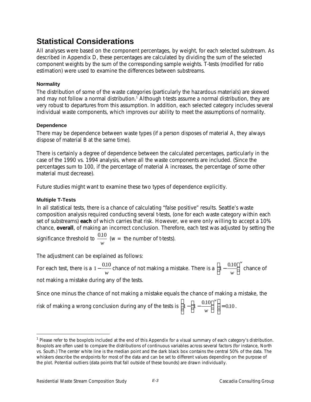## **Statistical Considerations**

All analyses were based on the component percentages, by weight, for each selected substream. As described in Appendix D, these percentages are calculated by dividing the sum of the selected component weights by the sum of the corresponding sample weights. T-tests (modified for ratio estimation) were used to examine the differences between substreams.

### **Normality**

The distribution of some of the waste categories (particularly the hazardous materials) are skewed and may not follow a normal distribution.<sup>1</sup> Although t-tests assume a normal distribution, they are very robust to departures from this assumption. In addition, each selected category includes several individual waste components, which improves our ability to meet the assumptions of normality.

## **Dependence**

There may be dependence between waste types (if a person disposes of material A, they always dispose of material B at the same time).

There is certainly a degree of dependence between the calculated percentages, particularly in the case of the 1990 vs. 1994 analysis, where all the waste components are included. (Since the percentages sum to 100, if the percentage of material A increases, the percentage of some other material must decrease).

Future studies might want to examine these two types of dependence explicitly.

## **Multiple T-Tests**

-

In all statistical tests, there is a chance of calculating "false positive" results. Seattle's waste composition analysis required conducting several t-tests, (one for each waste category within each set of substreams) **each** of which carries that risk. However, we were only willing to accept a 10% chance, **overall**, of making an incorrect conclusion. Therefore, each test was adjusted by setting the significance threshold to  $\frac{0.10}{-1}$ 

*w* ( $w =$  the number of t-tests).

*The adjustment can be explained as follows:*

For each test, there is a  $1-\frac{0.10}{...}$ *w* chance of not making a mistake. There is a  $\Big(1-\frac{0.10}{10.1}\Big)$  $\left(1-\frac{0.10}{w}\right)$  $\frac{.10}{w}$ *w w* chance of not making a mistake during any of the tests.

Since one minus the chance of not making a mistake equals the chance of making a mistake, the

risk of making a wrong conclusion during any of the tests is  $\left(1 - \left(1 - \frac{0.10}{w}\right)^w\right) = 0.10$  $\cdot$ ſ l  $\overline{\phantom{a}}$  $\left(\frac{.10}{.10}\right)^{w}$  = 0. *w*

 $\left( \right)$  $\overline{)}$ 

.

*w*

<sup>&</sup>lt;sup>1</sup> Please refer to the boxplots included at the end of this Appendix for a visual summary of each category's distribution. Boxplots are often used to compare the distributions of continuous variables across several factors (for instance, North vs. South.) The center white line is the median point and the dark black box contains the central 50% of the data. The whiskers describe the endpoints for most of the data and can be set to different values depending on the purpose of the plot. Potential outliers (data points that fall outside of these bounds) are drawn individually.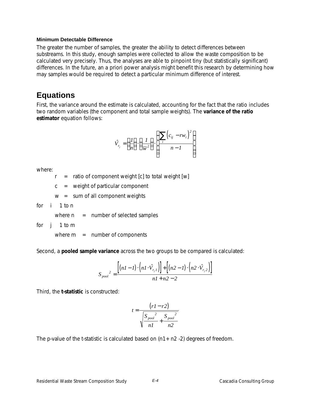#### **Minimum Detectable Difference**

The greater the number of samples, the greater the ability to detect differences between substreams. In this study, enough samples were collected to allow the waste composition to be calculated very precisely. Thus, the analyses are able to pinpoint tiny (but statistically significant) differences. In the future, an *a priori* power analysis might benefit this research by determining how may samples would be required to detect a particular minimum difference of interest.

## **Equations**

First, the variance around the estimate is calculated, accounting for the fact that the ratio includes two random variables (the component and total sample weights). The **variance of the ratio estimator** equation follows:

$$
\hat{V}_{r_j} = \left(\frac{1}{n}\right) \cdot \left(\frac{1}{\overline{w}^2}\right) \cdot \left(\frac{\sum_i \left(c_{ij} - rw_i\right)^2}{n-1}\right)
$$

where:

 $r =$  ratio of component weight  $[c]$  to total weight  $[w]$ 

 $c =$  weight of particular component

 $w = sum of all component weights$ 

for i 1 to n

where  $n =$  number of selected samples

for j 1 to m

where  $m =$  number of components

Second, a **pooled sample variance** across the two groups to be compared is calculated:

$$
S_{pool}^2 = \frac{\left[ (nI - I) \cdot \left( nI \cdot \hat{V}_{r_j I} \right) \right] + \left[ (n2 - I) \cdot \left( n2 \cdot \hat{V}_{r_j 2} \right) \right]}{nI + n2 - 2}
$$

Third, the **t-statistic** is constructed:

$$
t = \frac{\left(rI - r2\right)}{\sqrt{\frac{S_{pool}^2}{nl} + \frac{S_{pool}^2}{n2}}}
$$

The p-value of the t-statistic is calculated based on  $(n1+n2 - 2)$  degrees of freedom.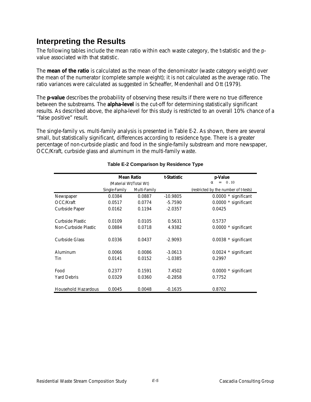## **Interpreting the Results**

The following tables include the mean ratio within each waste category, the t-statistic and the pvalue associated with that statistic.

The **mean of the ratio** is calculated as the mean of the denominator (waste category weight) over the mean of the numerator (complete sample weight); it is not calculated as the average ratio. The ratio variances were calculated as suggested in Scheaffer, Mendenhall and Ott (1979).

The **p-value** describes the probability of observing these results if there were no true difference between the substreams. The **alpha-level** is the cut-off for determining statistically significant results. As described above, the alpha-level for this study is restricted to an overall 10% chance of a "false positive" result.

The single-family vs. multi-family analysis is presented in Table E-2. As shown, there are several small, but statistically significant, differences according to residence type. There is a greater percentage of non-curbside plastic and food in the single-family substream and more newspaper, OCC/Kraft, curbside glass and aluminum in the multi-family waste.

|                      | <b>Mean Ratio</b>      |              | t-Statistic | p-Value                               |
|----------------------|------------------------|--------------|-------------|---------------------------------------|
|                      | (Material Wt/Total Wt) |              |             | 0.10<br>$\alpha$                      |
|                      | Single-Family          | Multi-Family |             | (restricted by the number of t-tests) |
| Newspaper            | 0.0384                 | 0.0887       | $-10.9805$  | 0.0000 * significant                  |
| OCC/Kraft            | 0.0517                 | 0.0774       | $-5.7590$   | $0.0000 *$ significant                |
| Curbside Paper       | 0.0162                 | 0.1194       | $-2.0357$   | 0.0425                                |
|                      |                        |              |             |                                       |
| Curbside Plastic     | 0.0109                 | 0.0105       | 0.5631      | 0.5737                                |
| Non-Curbside Plastic | 0.0884                 | 0.0718       | 4.9382      | 0.0000 * significant                  |
| Curbside Glass       | 0.0336                 | 0.0437       | $-2.9093$   | $0.0038$ * significant                |
| Aluminum             | 0.0066                 | 0.0086       | $-3.0613$   | $0.0024$ * significant                |
| Tin                  | 0.0141                 | 0.0152       | $-1.0385$   | 0.2997                                |
|                      |                        |              |             |                                       |
| Food                 | 0.2377                 | 0.1591       | 7.4502      | $0.0000 *$ significant                |
| <b>Yard Debris</b>   | 0.0329                 | 0.0360       | $-0.2858$   | 0.7752                                |
| Household Hazardous  | 0.0045                 | 0.0048       | $-0.1635$   | 0.8702                                |

### **Table E-2 Comparison by Residence Type**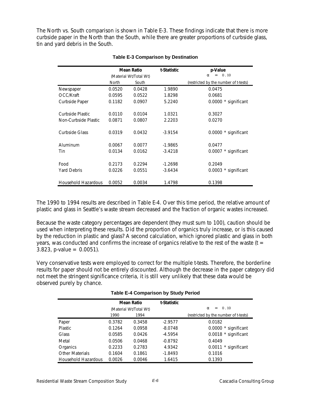The North vs. South comparison is shown in Table E-3. These findings indicate that there is more curbside paper in the North than the South, while there are greater proportions of curbside glass, tin and yard debris in the South.

|                      | <b>Mean Ratio</b> |                        | t-Statistic | p-Value                               |
|----------------------|-------------------|------------------------|-------------|---------------------------------------|
|                      |                   | (Material Wt/Total Wt) |             | 0.10<br>$\alpha$                      |
|                      | North             | South                  |             | (restricted by the number of t-tests) |
| Newspaper            | 0.0520            | 0.0428                 | 1.9890      | 0.0475                                |
| OCC/Kraft            | 0.0595            | 0.0522                 | 1.8298      | 0.0681                                |
| Curbside Paper       | 0.1182            | 0.0907                 | 5.2240      | $0.0000 *$ significant                |
| Curbside Plastic     | 0.0110            | 0.0104                 | 1.0321      | 0.3027                                |
| Non-Curbside Plastic | 0.0871            | 0.0807                 | 2.2203      | 0.0270                                |
| Curbside Glass       | 0.0319            | 0.0432                 | $-3.9154$   | $0.0000 *$ significant                |
| Aluminum             | 0.0067            | 0.0077                 | $-1.9865$   | 0.0477                                |
| Tin                  | 0.0134            | 0.0162                 | $-3.4218$   | 0.0007 * significant                  |
| Food                 | 0.2173            | 0.2294                 | $-1.2698$   | 0.2049                                |
| <b>Yard Debris</b>   | 0.0226            | 0.0551                 | $-3.6434$   | $0.0003$ * significant                |
| Household Hazardous  | 0.0052            | 0.0034                 | 1.4798      | 0.1398                                |

### **Table E-3 Comparison by Destination**

The 1990 to 1994 results are described in Table E-4. Over this time period, the relative amount of plastic and glass in Seattle's waste stream decreased and the fraction of organic wastes increased.

Because the waste category percentages are dependent (they must sum to 100), caution should be used when interpreting these results. Did the proportion of organics truly increase, or is this caused by the reduction in plastic and glass? A second calculation, which ignored plastic and glass in both years, was conducted and confirms the increase of organics relative to the rest of the waste ( $t =$ 3.823, p-value  $= 0.0051$ ).

Very conservative tests were employed to correct for the multiple t-tests. Therefore, the borderline results for paper should not be entirely discounted. Although the decrease in the paper category did not meet the stringent significance criteria, it is still very unlikely that these data would be observed purely by chance.

**Table E-4 Comparison by Study Period**

| _ _ _ _ _ _ _ _ _ _ _ _ _ _ |        |                        |             |                                       |
|-----------------------------|--------|------------------------|-------------|---------------------------------------|
|                             |        | <b>Mean Ratio</b>      | t-Statistic |                                       |
|                             |        | (Material Wt/Total Wt) |             | 0.10<br>$\alpha$<br>$=$               |
|                             | 1990   | 1994                   |             | (restricted by the number of t-tests) |
| Paper                       | 0.3782 | 0.3458                 | $-2.9577$   | 0.0182                                |
| Plastic                     | 0.1264 | 0.0958                 | $-8.0748$   | $0.0000 *$ significant                |
| <b>Glass</b>                | 0.0585 | 0.0426                 | $-4.5954$   | 0.0018 * significant                  |
| Metal                       | 0.0506 | 0.0468                 | $-0.8792$   | 0.4049                                |
| Organics                    | 0.2233 | 0.2783                 | 4.9342      | $0.0011$ * significant                |
| <b>Other Materials</b>      | 0.1604 | 0.1861                 | $-1.8493$   | 0.1016                                |
| Household Hazardous         | 0.0026 | 0.0046                 | 1.6415      | 0.1393                                |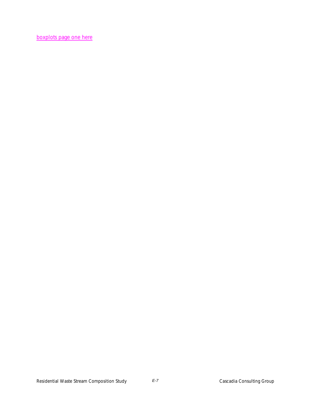boxplots page one here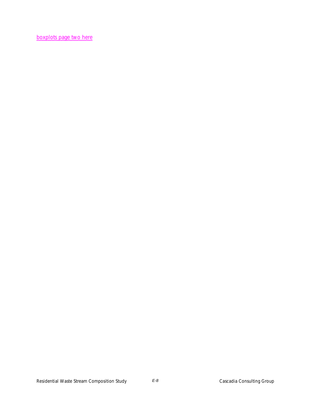boxplots page two here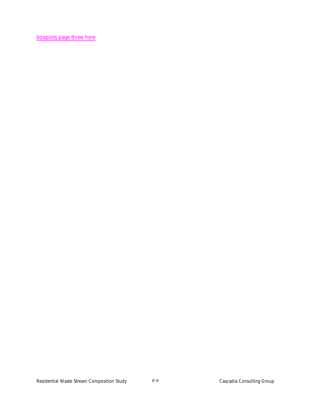boxplots page three here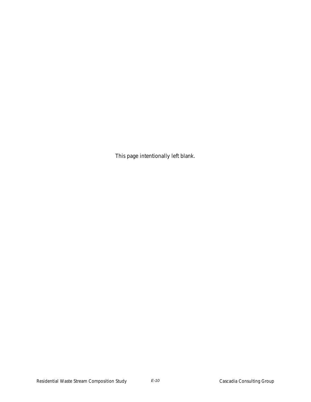This page intentionally left blank.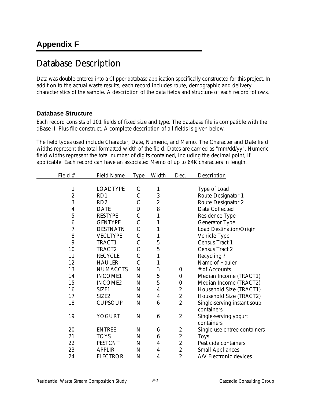# Database Description

Data was double-entered into a Clipper database application specifically constructed for this project. In addition to the actual waste results, each record includes route, demographic and delivery characteristics of the sample. A description of the data fields and structure of each record follows.

## **Database Structure**

Each record consists of 101 fields of fixed size and type. The database file is compatible with the dBase III Plus file construct. A complete description of all fields is given below.

The field types used include Character, Date, Numeric, and Memo. The Character and Date field widths represent the total formatted width of the field. Dates are carried as "mm/dd/yy". Numeric field widths represent the total number of digits contained, including the decimal point, if applicable. Each record can have an associated Memo of up to 64K characters in length.

| Field #        | <b>Field Name</b> | <b>Type</b> | Width          | Dec.           | Description                               |
|----------------|-------------------|-------------|----------------|----------------|-------------------------------------------|
|                |                   |             |                |                |                                           |
| 1              | LOADTYPE          | С           | 1              |                | Type of Load                              |
| $\overline{2}$ | RD1               | С           | 3              |                | Route Designator 1                        |
| 3              | RD <sub>2</sub>   | Ć           | $\overline{c}$ |                | Route Designator 2                        |
| 4              | <b>DATE</b>       | D           | 8              |                | Date Collected                            |
| 5              | <b>RESTYPE</b>    | С           | 1              |                | Residence Type                            |
| 6              | <b>GENTYPE</b>    | C           | 1              |                | Generator Type                            |
| 7              | <b>DESTNATN</b>   | С           | 1              |                | Load Destination/Origin                   |
| 8              | <b>VECLTYPE</b>   | С           | 1              |                | Vehicle Type                              |
| 9              | TRACT1            | C           | 5              |                | Census Tract 1                            |
| 10             | TRACT2            | С           | 5              |                | Census Tract 2                            |
| 11             | <b>RECYCLE</b>    | С           | 1              |                | Recycling?                                |
| 12             | <b>HAULER</b>     | Ć           | 1              |                | Name of Hauler                            |
| 13             | <b>NUMACCTS</b>   | N           | 3              | 0              | # of Accounts                             |
| 14             | <b>INCOME1</b>    | N           | 5              | 0              | Median Income (TRACT1)                    |
| 15             | <b>INCOME2</b>    | N           | 5              | 0              | Median Income (TRACT2)                    |
| 16             | SIZE1             | N           | 4              | $\overline{2}$ | Household Size (TRACT1)                   |
| 17             | SIZE <sub>2</sub> | N           | 4              | $\overline{2}$ | Household Size (TRACT2)                   |
| 18             | <b>CUPSOUP</b>    | N           | 6              | $\overline{2}$ | Single-serving instant soup<br>containers |
|                |                   |             |                |                |                                           |
| 19             | <b>YOGURT</b>     | N           | 6              | $\overline{2}$ | Single-serving yogurt<br>containers       |
| 20             | <b>ENTREE</b>     | N           | 6              | $\overline{2}$ | Single-use entree containers              |
| 21             | <b>TOYS</b>       | N           | 6              | $\overline{2}$ | Toys                                      |
| 22             | <b>PESTCNT</b>    | N           | 4              | $\overline{2}$ | Pesticide containers                      |
| 23             | <b>APPLIR</b>     | N           | 4              | $\overline{2}$ | <b>Small Appliances</b>                   |
| 24             | <b>ELECTROR</b>   | N           | 4              | $\overline{2}$ | A/V Electronic devices                    |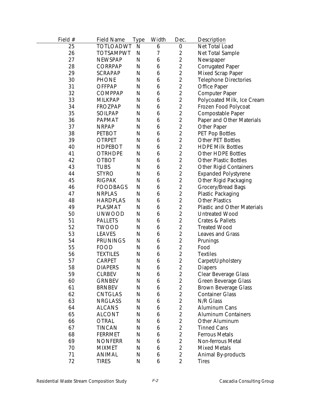| Field # | <b>Field Name</b> | <b>Type</b>  | Width | Dec.           | Description                   |
|---------|-------------------|--------------|-------|----------------|-------------------------------|
| 25      | <b>TOTLOADWT</b>  | N            | 6     | 0              | Net Total Load                |
| 26      | <b>TOTSAMPWT</b>  | N            | 7     | $\sqrt{2}$     | Net Total Sample              |
| 27      | <b>NEWSPAP</b>    | N            | 6     | $\overline{2}$ | Newspaper                     |
| 28      | <b>CORRPAP</b>    | N            | 6     | $\overline{2}$ | <b>Corrugated Paper</b>       |
| 29      | <b>SCRAPAP</b>    | N            | 6     | $\overline{2}$ | Mixed Scrap Paper             |
| 30      | <b>PHONE</b>      | N            | 6     | $\overline{2}$ | <b>Telephone Directories</b>  |
| 31      | <b>OFFPAP</b>     | N            | 6     | $\overline{2}$ | Office Paper                  |
| 32      | <b>COMPPAP</b>    | N            | 6     | $\overline{2}$ | <b>Computer Paper</b>         |
| 33      | <b>MILKPAP</b>    | N            | 6     | $\overline{2}$ | Polycoated Milk, Ice Cream    |
| 34      | <b>FROZPAP</b>    | N            | 6     | $\overline{2}$ | Frozen Food Polycoat          |
| 35      | <b>SOILPAP</b>    | N            | 6     | $\overline{2}$ | Compostable Paper             |
| 36      | PAPMAT            | N            | 6     | $\overline{2}$ | Paper and Other Materials     |
| 37      | <b>NRPAP</b>      | N            | 6     | $\overline{c}$ | Other Paper                   |
| 38      | <b>PETBOT</b>     | N            | 6     | $\overline{2}$ | PET Pop Bottles               |
| 39      | <b>OTRPET</b>     | N            | 6     | $\overline{2}$ | Other PET Bottles             |
| 40      | <b>HDPEBOT</b>    | N            | 6     | $\overline{2}$ | <b>HDPE Milk Bottles</b>      |
| 41      | <b>OTRHDPE</b>    | N            | 6     | $\overline{c}$ | Other HDPE Bottles            |
| 42      | <b>OTBOT</b>      | N            | 6     | $\overline{2}$ | <b>Other Plastic Bottles</b>  |
| 43      | <b>TUBS</b>       | N            | 6     | $\overline{2}$ | <b>Other Rigid Containers</b> |
| 44      | <b>STYRO</b>      | N            | 6     | $\overline{2}$ | <b>Expanded Polystyrene</b>   |
| 45      | <b>RIGPAK</b>     | N            | 6     | $\overline{2}$ | Other Rigid Packaging         |
| 46      | <b>FOODBAGS</b>   | N            | 6     | $\overline{2}$ | Grocery/Bread Bags            |
| 47      | <b>NRPLAS</b>     | N            | 6     | $\overline{2}$ | Plastic Packaging             |
| 48      | <b>HARDPLAS</b>   | N            | 6     | $\overline{2}$ | <b>Other Plastics</b>         |
| 49      | PLASMAT           | N            | 6     | $\overline{2}$ | Plastic and Other Materials   |
| 50      | <b>UNWOOD</b>     | N            | 6     | $\overline{2}$ | <b>Untreated Wood</b>         |
| 51      | <b>PALLETS</b>    | N            | 6     | $\overline{2}$ | Crates & Pallets              |
| 52      | <b>TWOOD</b>      | N            | 6     | $\overline{2}$ | <b>Treated Wood</b>           |
| 53      | LEAVES            | N            | 6     | $\overline{2}$ | Leaves and Grass              |
| 54      | <b>PRUNINGS</b>   | N            | 6     | $\overline{c}$ | Prunings                      |
| 55      | <b>FOOD</b>       | N            | 6     | $\overline{2}$ | Food                          |
| 56      | <b>TEXTILES</b>   | N            | 6     | $\overline{2}$ | <b>Textiles</b>               |
| 57      | CARPET            | N            | 6     | $\overline{2}$ | Carpet/Upholstery             |
| 58      | <b>DIAPERS</b>    | N            | 6     | $\overline{2}$ | <b>Diapers</b>                |
| 59      | <b>CLRBEV</b>     | $\mathsf{N}$ | 6     | $\overline{2}$ | Clear Beverage Glass          |
| 60      | <b>GRNBEV</b>     | N            | 6     | $\overline{2}$ | Green Beverage Glass          |
| 61      | <b>BRNBEV</b>     | N            | 6     | $\overline{2}$ | Brown Beverage Glass          |
| 62      | <b>CNTGLAS</b>    | N            | 6     | $\overline{2}$ | <b>Container Glass</b>        |
| 63      | <b>NRGLASS</b>    | N            | 6     | $\overline{2}$ | N/R Glass                     |
| 64      | <b>ALCANS</b>     | N            | 6     | $\overline{2}$ | Aluminum Cans                 |
| 65      | <b>ALCONT</b>     | N            | 6     | $\overline{2}$ | <b>Aluminum Containers</b>    |
| 66      | <b>OTRAL</b>      | N            | 6     | $\overline{2}$ | Other Aluminum                |
| 67      | <b>TINCAN</b>     | N            | 6     | $\overline{2}$ | <b>Tinned Cans</b>            |
| 68      | <b>FERRMET</b>    | N            | 6     | $\overline{2}$ | <b>Ferrous Metals</b>         |
| 69      | <b>NONFERR</b>    | N            | 6     | $\overline{2}$ | Non-ferrous Metal             |
| 70      | <b>MIXMET</b>     | N            | 6     | $\overline{2}$ | <b>Mixed Metals</b>           |
| 71      | ANIMAL            | N            | 6     | $\overline{2}$ | Animal By-products            |
| 72      | <b>TIRES</b>      | N            | 6     | $\overline{2}$ | <b>Tires</b>                  |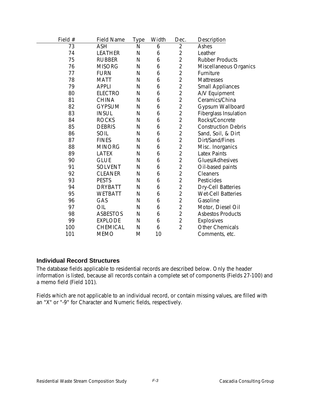| Field # | <b>Field Name</b> | Type | Width | Dec.           | Description                  |
|---------|-------------------|------|-------|----------------|------------------------------|
| 73      | <b>ASH</b>        | N    | 6     | $\overline{2}$ | Ashes                        |
| 74      | <b>LEATHER</b>    | N    | 6     | $\overline{2}$ | Leather                      |
| 75      | <b>RUBBER</b>     | N    | 6     | $\overline{2}$ | <b>Rubber Products</b>       |
| 76      | <b>MISORG</b>     | N    | 6     | $\overline{2}$ | Miscellaneous Organics       |
| 77      | <b>FURN</b>       | N    | 6     | $\overline{2}$ | Furniture                    |
| 78      | <b>MATT</b>       | N    | 6     | $\overline{2}$ | Mattresses                   |
| 79      | <b>APPLI</b>      | N    | 6     | $\overline{2}$ | Small Appliances             |
| 80      | <b>ELECTRO</b>    | N    | 6     | $\overline{2}$ | A/V Equipment                |
| 81      | <b>CHINA</b>      | N    | 6     | $\overline{2}$ | Ceramics/China               |
| 82      | <b>GYPSUM</b>     | N    | 6     | $\overline{2}$ | Gypsum Wallboard             |
| 83      | <b>INSUL</b>      | N    | 6     | $\overline{2}$ | <b>Fiberglass Insulation</b> |
| 84      | <b>ROCKS</b>      | N    | 6     | $\overline{2}$ | Rocks/Concrete               |
| 85      | <b>DEBRIS</b>     | N    | 6     | $\overline{2}$ | <b>Construction Debris</b>   |
| 86      | SOIL              | N    | 6     | $\overline{2}$ | Sand, Soil, & Dirt           |
| 87      | <b>FINES</b>      | N    | 6     | $\overline{2}$ | Dirt/Sand/Fines              |
| 88      | <b>MINORG</b>     | N    | 6     | $\overline{2}$ | Misc. Inorganics             |
| 89      | <b>LATEX</b>      | N    | 6     | $\overline{2}$ | <b>Latex Paints</b>          |
| 90      | <b>GLUE</b>       | N    | 6     | $\overline{2}$ | Glues/Adhesives              |
| 91      | <b>SOLVENT</b>    | N    | 6     | $\overline{2}$ | Oil-based paints             |
| 92      | <b>CLEANER</b>    | N    | 6     | $\overline{2}$ | Cleaners                     |
| 93      | <b>PESTS</b>      | N    | 6     | $\overline{2}$ | Pesticides                   |
| 94      | <b>DRYBATT</b>    | N    | 6     | $\overline{2}$ | <b>Dry-Cell Batteries</b>    |
| 95      | <b>WETBATT</b>    | N    | 6     | $\overline{2}$ | <b>Wet-Cell Batteries</b>    |
| 96      | GAS               | N    | 6     | $\overline{2}$ | Gasoline                     |
| 97      | OIL               | N    | 6     | $\overline{2}$ | Motor, Diesel Oil            |
| 98      | <b>ASBESTOS</b>   | N    | 6     | $\overline{2}$ | <b>Asbestos Products</b>     |
| 99      | <b>EXPLODE</b>    | N    | 6     | $\overline{c}$ | Explosives                   |
| 100     | CHEMICAL          | N    | 6     | $\overline{2}$ | <b>Other Chemicals</b>       |
| 101     | <b>MEMO</b>       | M    | 10    |                | Comments, etc.               |

## **Individual Record Structures**

The database fields applicable to residential records are described below. Only the header information is listed, because all records contain a complete set of components (Fields 27-100) and a memo field (Field 101).

Fields which are not applicable to an individual record, or contain missing values, are filled with an "X" or "-9" for Character and Numeric fields, respectively.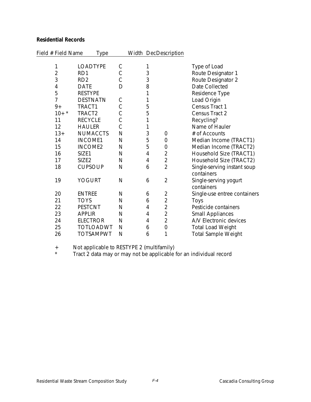### **Residential Records**

| Field # Field Name |                   | Type         |   | Width DecDescription |                                           |
|--------------------|-------------------|--------------|---|----------------------|-------------------------------------------|
|                    |                   |              |   |                      |                                           |
| 1                  | <b>LOADTYPE</b>   | C            | 1 |                      | Type of Load                              |
| $\overline{2}$     | RD1               | $\mathsf{C}$ | 3 |                      | Route Designator 1                        |
| 3                  | RD <sub>2</sub>   | $\mathsf{C}$ | 3 |                      | Route Designator 2                        |
| 4                  | <b>DATE</b>       | D            | 8 |                      | Date Collected                            |
| 5                  | <b>RESTYPE</b>    |              | 1 |                      | Residence Type                            |
| 7                  | <b>DESTNATN</b>   | $\mathsf{C}$ | 1 |                      | Load Origin                               |
| $9+$               | TRACT1            | $\mathsf{C}$ | 5 |                      | Census Tract 1                            |
| $10 + *$           | TRACT2            | $\mathsf{C}$ | 5 |                      | Census Tract 2                            |
| 11                 | <b>RECYCLE</b>    | $\mathsf{C}$ | 1 |                      | Recycling?                                |
| 12                 | <b>HAULER</b>     | $\mathsf{C}$ | 1 |                      | Name of Hauler                            |
| $13+$              | <b>NUMACCTS</b>   | N            | 3 | 0                    | # of Accounts                             |
| 14                 | <b>INCOME1</b>    | N            | 5 | 0                    | Median Income (TRACT1)                    |
| 15                 | <b>INCOME2</b>    | N            | 5 | 0                    | Median Income (TRACT2)                    |
| 16                 | SIZE1             | N            | 4 | $\overline{2}$       | Household Size (TRACT1)                   |
| 17                 | SIZE <sub>2</sub> | N            | 4 | $\overline{2}$       | Household Size (TRACT2)                   |
| 18                 | <b>CUPSOUP</b>    | N            | 6 | $\overline{2}$       | Single-serving instant soup<br>containers |
| 19                 | <b>YOGURT</b>     | N            | 6 | $\overline{2}$       | Single-serving yogurt<br>containers       |
| 20                 | <b>ENTREE</b>     | N            | 6 | $\overline{2}$       | Single-use entree containers              |
| 21                 | <b>TOYS</b>       | N            | 6 | $\overline{2}$       | Toys                                      |
| 22                 | <b>PESTCNT</b>    | N            | 4 | $\overline{2}$       | Pesticide containers                      |
| 23                 | <b>APPLIR</b>     | N            | 4 | $\overline{2}$       | <b>Small Appliances</b>                   |
| 24                 | <b>ELECTROR</b>   | N            | 4 | $\overline{2}$       | A/V Electronic devices                    |
| 25                 | <b>TOTLOADWT</b>  | N            | 6 | $\overline{0}$       | <b>Total Load Weight</b>                  |
| 26                 | <b>TOTSAMPWT</b>  | N            | 6 | 1                    | <b>Total Sample Weight</b>                |
|                    |                   |              |   |                      |                                           |

+ Not applicable to RESTYPE 2 (multifamily)

\* Tract 2 data may or may not be applicable for an individual record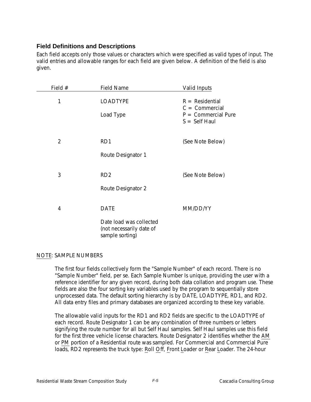## **Field Definitions and Descriptions**

Each field accepts only those values or characters which were specified as valid types of input. The valid entries and allowable ranges for each field are given below. A definition of the field is also given.

| Field #        | <b>Field Name</b>                                                      | Valid Inputs                              |
|----------------|------------------------------------------------------------------------|-------------------------------------------|
| 1              | <b>LOADTYPE</b>                                                        | $R = Residential$<br>$C = \text{Comment}$ |
|                | Load Type                                                              | $P =$ Commercial Pure<br>$S = Self$ Haul  |
| $\overline{2}$ | RD1                                                                    | (See Note Below)                          |
|                | Route Designator 1                                                     |                                           |
| 3              | RD <sub>2</sub>                                                        | (See Note Below)                          |
|                | Route Designator 2                                                     |                                           |
| 4              | <b>DATE</b>                                                            | MM/DD/YY                                  |
|                | Date load was collected<br>(not necessarily date of<br>sample sorting) |                                           |

## NOTE: SAMPLE NUMBERS

The first four fields collectively form the "Sample Number" of each record. There is no "Sample Number" field, per se. Each Sample Number Is unique, providing the user with a reference identifier for any given record, during both data collation and program use. These fields are also the four sorting key variables used by the program to sequentially store unprocessed data. The default sorting hierarchy is by DATE, LOADTYPE, RD1, and RD2. All data entry files and primary databases are organized according to these key variable.

The allowable valid inputs for the RD1 and RD2 fields are specific to the LOADTYPE of each record. Route Designator 1 can be any combination of three numbers or letters signifying the route number for all but Self Haul samples. Self Haul samples use this field for the first three vehicle license characters. Route Designator 2 identifies whether the AM or PM portion of a Residential route was sampled. For Commercial and Commercial Pure loads, RD2 represents the truck type: Roll Off, Front Loader or Rear Loader. The 24-hour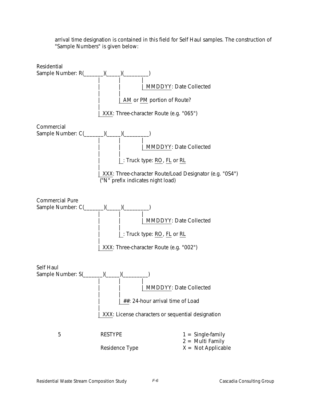arrival time designation is contained in this field for Self Haul samples. The construction of "Sample Numbers" is given below:

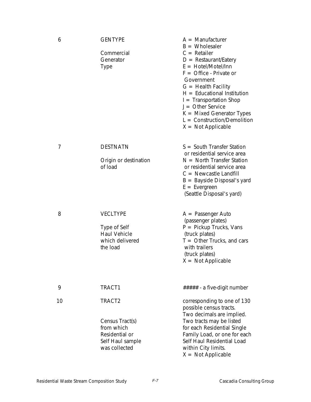| 6  | <b>GENTYPE</b><br>Commercial<br>Generator<br>Type | $A =$ Manufacturer<br>$B =$ Wholesaler<br>$C =$ Retailer<br>$D =$ Restaurant/Eatery<br>$E = \text{Hotel/Motel/Inn}$<br>$F =$ Office - Private or<br>Government<br>$G =$ Health Facility<br>$H =$ Educational Institution<br>$I =$ Transportation Shop<br>$J =$ Other Service<br>$K =$ Mixed Generator Types<br>$L =$ Construction/Demolition<br>$X = Not Applicable$ |
|----|---------------------------------------------------|----------------------------------------------------------------------------------------------------------------------------------------------------------------------------------------------------------------------------------------------------------------------------------------------------------------------------------------------------------------------|
| 7  | <b>DESTNATN</b>                                   | $S =$ South Transfer Station<br>or residential service area                                                                                                                                                                                                                                                                                                          |
|    | Origin or destination<br>of load                  | $N =$ North Transfer Station<br>or residential service area<br>$C =$ Newcastle Landfill<br>$B =$ Bayside Disposal's yard<br>$E =$ Evergreen<br>(Seattle Disposal's yard)                                                                                                                                                                                             |
| 8  | <b>VECLTYPE</b>                                   | $A =$ Passenger Auto<br>(passenger plates)                                                                                                                                                                                                                                                                                                                           |
|    | Type of Self<br><b>Haul Vehicle</b>               | P = Pickup Trucks, Vans<br>(truck plates)                                                                                                                                                                                                                                                                                                                            |
|    | which delivered<br>the load                       | $T =$ Other Trucks, and cars<br>with trailers<br>(truck plates)<br>$X = Not Applicable$                                                                                                                                                                                                                                                                              |
| 9  | TRACT1                                            | ##### - a five-digit number                                                                                                                                                                                                                                                                                                                                          |
| 10 | TRACT2                                            | corresponding to one of 130<br>possible census tracts.<br>Two decimals are implied.                                                                                                                                                                                                                                                                                  |
|    | Census Tract(s)<br>from which                     | Two tracts may be listed<br>for each Residential Single                                                                                                                                                                                                                                                                                                              |
|    | Residential or<br>Self Haul sample                | Family Load, or one for each<br>Self Haul Residential Load                                                                                                                                                                                                                                                                                                           |
|    | was collected                                     | within City limits.<br>$X = Not Applicable$                                                                                                                                                                                                                                                                                                                          |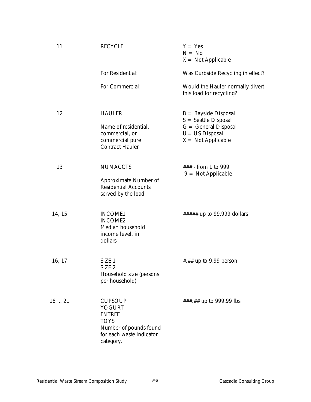| 11     | <b>RECYCLE</b>                                                                                                                     | $Y = Yes$<br>$N = No$<br>$X = Not Applicable$                                                                           |
|--------|------------------------------------------------------------------------------------------------------------------------------------|-------------------------------------------------------------------------------------------------------------------------|
|        | For Residential:                                                                                                                   | Was Curbside Recycling in effect?                                                                                       |
|        | For Commercial:                                                                                                                    | Would the Hauler normally divert<br>this load for recycling?                                                            |
| 12     | <b>HAULER</b><br>Name of residential,<br>commercial, or<br>commercial pure<br><b>Contract Hauler</b>                               | $B =$ Bayside Disposal<br>$S =$ Seattle Disposal<br>$G =$ General Disposal<br>$U = US Disposal$<br>$X = Not Applicable$ |
| 13     | <b>NUMACCTS</b><br>Approximate Number of<br><b>Residential Accounts</b><br>served by the load                                      | ### - from 1 to 999<br>$-9$ = Not Applicable                                                                            |
| 14, 15 | <b>INCOME1</b><br><b>INCOME2</b><br>Median household<br>income level, in<br>dollars                                                | ##### up to 99,999 dollars                                                                                              |
| 16, 17 | SIZE <sub>1</sub><br>SIZE <sub>2</sub><br>Household size (persons<br>per household)                                                | #.## up to 9.99 person                                                                                                  |
| 1821   | <b>CUPSOUP</b><br>YOGURT<br><b>ENTREE</b><br><b>TOYS</b><br>Number of <i>pounds</i> found<br>for each waste indicator<br>category. | ###.## up to 999.99 lbs                                                                                                 |